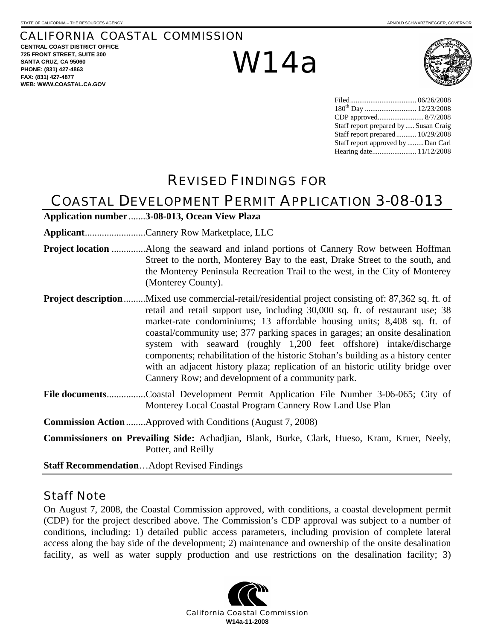#### CALIFORNIA COASTAL COMMISSION

**CENTRAL COAST DISTRICT OFFICE 725 FRONT STREET, SUITE 300 SANTA CRUZ, CA 95060 PHONE: (831) 427-4863 FAX: (831) 427-4877 WEB: WWW.COASTAL.CA.GOV**

# W14a



| Staff report prepared by  Susan Craig |  |
|---------------------------------------|--|
| Staff report prepared 10/29/2008      |  |
| Staff report approved by Dan Carl     |  |
|                                       |  |

## REVISED FINDINGS FOR

## COASTAL DEVELOPMENT PERMIT APPLICATION 3-08-013

| Application number 3-08-013, Ocean View Plaza                                                                                                                                                                                                                                                                                                                                                                                                                                                                                                                                                                                                            |
|----------------------------------------------------------------------------------------------------------------------------------------------------------------------------------------------------------------------------------------------------------------------------------------------------------------------------------------------------------------------------------------------------------------------------------------------------------------------------------------------------------------------------------------------------------------------------------------------------------------------------------------------------------|
| ApplicantCannery Row Marketplace, LLC                                                                                                                                                                                                                                                                                                                                                                                                                                                                                                                                                                                                                    |
| Street to the north, Monterey Bay to the east, Drake Street to the south, and<br>the Monterey Peninsula Recreation Trail to the west, in the City of Monterey<br>(Monterey County).                                                                                                                                                                                                                                                                                                                                                                                                                                                                      |
| <b>Project description</b> Mixed use commercial-retail/residential project consisting of: 87,362 sq. ft. of<br>retail and retail support use, including 30,000 sq. ft. of restaurant use; 38<br>market-rate condominiums; 13 affordable housing units; 8,408 sq. ft. of<br>coastal/community use; 377 parking spaces in garages; an onsite desalination<br>system with seaward (roughly 1,200 feet offshore) intake/discharge<br>components; rehabilitation of the historic Stohan's building as a history center<br>with an adjacent history plaza; replication of an historic utility bridge over<br>Cannery Row; and development of a community park. |
| File documentsCoastal Development Permit Application File Number 3-06-065; City of<br>Monterey Local Coastal Program Cannery Row Land Use Plan                                                                                                                                                                                                                                                                                                                                                                                                                                                                                                           |
| <b>Commission Action </b> Approved with Conditions (August 7, 2008)                                                                                                                                                                                                                                                                                                                                                                                                                                                                                                                                                                                      |
| Commissioners on Prevailing Side: Achadjian, Blank, Burke, Clark, Hueso, Kram, Kruer, Neely,<br>Potter, and Reilly                                                                                                                                                                                                                                                                                                                                                                                                                                                                                                                                       |
| <b>Staff RecommendationAdopt Revised Findings</b>                                                                                                                                                                                                                                                                                                                                                                                                                                                                                                                                                                                                        |

Staff Note

On August 7, 2008, the Coastal Commission approved, with conditions, a coastal development permit (CDP) for the project described above. The Commission's CDP approval was subject to a number of conditions, including: 1) detailed public access parameters, including provision of complete lateral access along the bay side of the development; 2) maintenance and ownership of the onsite desalination facility, as well as water supply production and use restrictions on the desalination facility; 3)

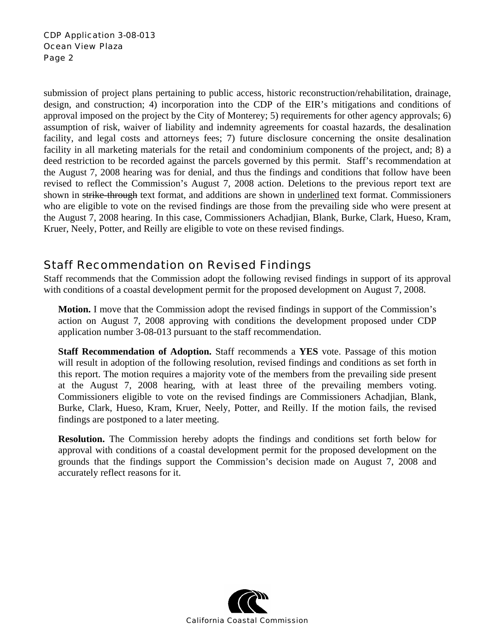submission of project plans pertaining to public access, historic reconstruction/rehabilitation, drainage, design, and construction; 4) incorporation into the CDP of the EIR's mitigations and conditions of approval imposed on the project by the City of Monterey; 5) requirements for other agency approvals; 6) assumption of risk, waiver of liability and indemnity agreements for coastal hazards, the desalination facility, and legal costs and attorneys fees; 7) future disclosure concerning the onsite desalination facility in all marketing materials for the retail and condominium components of the project, and; 8) a deed restriction to be recorded against the parcels governed by this permit. Staff's recommendation at the August 7, 2008 hearing was for denial, and thus the findings and conditions that follow have been revised to reflect the Commission's August 7, 2008 action. Deletions to the previous report text are shown in strike-through text format, and additions are shown in <u>underlined</u> text format. Commissioners who are eligible to vote on the revised findings are those from the prevailing side who were present at the August 7, 2008 hearing. In this case, Commissioners Achadjian, Blank, Burke, Clark, Hueso, Kram, Kruer, Neely, Potter, and Reilly are eligible to vote on these revised findings.

## Staff Recommendation on Revised Findings

Staff recommends that the Commission adopt the following revised findings in support of its approval with conditions of a coastal development permit for the proposed development on August 7, 2008.

**Motion.** I move that the Commission adopt the revised findings in support of the Commission's action on August 7, 2008 approving with conditions the development proposed under CDP application number 3-08-013 pursuant to the staff recommendation.

**Staff Recommendation of Adoption.** Staff recommends a **YES** vote. Passage of this motion will result in adoption of the following resolution, revised findings and conditions as set forth in this report. The motion requires a majority vote of the members from the prevailing side present at the August 7, 2008 hearing, with at least three of the prevailing members voting. Commissioners eligible to vote on the revised findings are Commissioners Achadjian, Blank, Burke, Clark, Hueso, Kram, Kruer, Neely, Potter, and Reilly. If the motion fails, the revised findings are postponed to a later meeting.

**Resolution.** The Commission hereby adopts the findings and conditions set forth below for approval with conditions of a coastal development permit for the proposed development on the grounds that the findings support the Commission's decision made on August 7, 2008 and accurately reflect reasons for it.

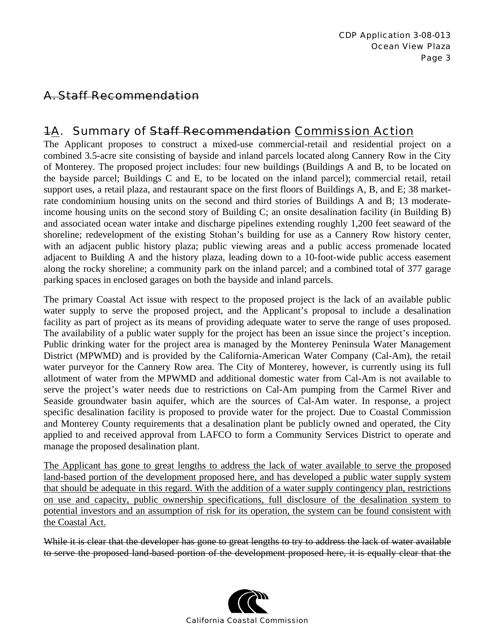## A. Staff Recommendation

## 1A. Summary of Staff Recommendation Commission Action

The Applicant proposes to construct a mixed-use commercial-retail and residential project on a combined 3.5-acre site consisting of bayside and inland parcels located along Cannery Row in the City of Monterey. The proposed project includes: four new buildings (Buildings A and B, to be located on the bayside parcel; Buildings C and E, to be located on the inland parcel); commercial retail, retail support uses, a retail plaza, and restaurant space on the first floors of Buildings A, B, and E; 38 marketrate condominium housing units on the second and third stories of Buildings A and B; 13 moderateincome housing units on the second story of Building C; an onsite desalination facility (in Building B) and associated ocean water intake and discharge pipelines extending roughly 1,200 feet seaward of the shoreline; redevelopment of the existing Stohan's building for use as a Cannery Row history center, with an adjacent public history plaza; public viewing areas and a public access promenade located adjacent to Building A and the history plaza, leading down to a 10-foot-wide public access easement along the rocky shoreline; a community park on the inland parcel; and a combined total of 377 garage parking spaces in enclosed garages on both the bayside and inland parcels.

The primary Coastal Act issue with respect to the proposed project is the lack of an available public water supply to serve the proposed project, and the Applicant's proposal to include a desalination facility as part of project as its means of providing adequate water to serve the range of uses proposed. The availability of a public water supply for the project has been an issue since the project's inception. Public drinking water for the project area is managed by the Monterey Peninsula Water Management District (MPWMD) and is provided by the California-American Water Company (Cal-Am), the retail water purveyor for the Cannery Row area. The City of Monterey, however, is currently using its full allotment of water from the MPWMD and additional domestic water from Cal-Am is not available to serve the project's water needs due to restrictions on Cal-Am pumping from the Carmel River and Seaside groundwater basin aquifer, which are the sources of Cal-Am water. In response, a project specific desalination facility is proposed to provide water for the project. Due to Coastal Commission and Monterey County requirements that a desalination plant be publicly owned and operated, the City applied to and received approval from LAFCO to form a Community Services District to operate and manage the proposed desalination plant.

The Applicant has gone to great lengths to address the lack of water available to serve the proposed land-based portion of the development proposed here, and has developed a public water supply system that should be adequate in this regard. With the addition of a water supply contingency plan, restrictions on use and capacity, public ownership specifications, full disclosure of the desalination system to potential investors and an assumption of risk for its operation, the system can be found consistent with the Coastal Act.

While it is clear that the developer has gone to great lengths to try to address the lack of water available to serve the proposed land-based portion of the development proposed here, it is equally clear that the

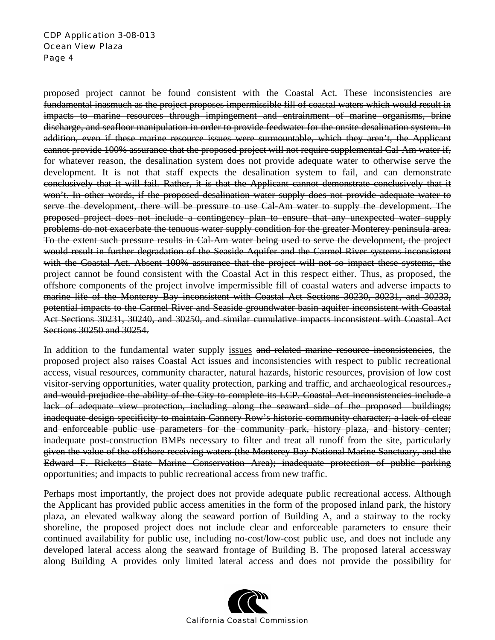#### CDP Application 3-08-013 Ocean View Plaza Page 4

proposed project cannot be found consistent with the Coastal Act. These inconsistencies are fundamental inasmuch as the project proposes impermissible fill of coastal waters which would result in impacts to marine resources through impingement and entrainment of marine organisms, brine discharge, and seafloor manipulation in order to provide feedwater for the onsite desalination system. In addition, even if these marine resource issues were surmountable, which they aren't, the Applicant cannot provide 100% assurance that the proposed project will not require supplemental Cal-Am water if, for whatever reason, the desalination system does not provide adequate water to otherwise serve the development. It is not that staff expects the desalination system to fail, and can demonstrate conclusively that it will fail. Rather, it is that the Applicant cannot demonstrate conclusively that it won't. In other words, if the proposed desalination water supply does not provide adequate water to serve the development, there will be pressure to use Cal-Am water to supply the development. The proposed project does not include a contingency plan to ensure that any unexpected water supply problems do not exacerbate the tenuous water supply condition for the greater Monterey peninsula area. To the extent such pressure results in Cal-Am water being used to serve the development, the project would result in further degradation of the Seaside Aquifer and the Carmel River systems inconsistent with the Coastal Act. Absent 100% assurance that the project will not so impact these systems, the project cannot be found consistent with the Coastal Act in this respect either. Thus, as proposed, the offshore components of the project involve impermissible fill of coastal waters and adverse impacts to marine life of the Monterey Bay inconsistent with Coastal Act Sections 30230, 30231, and 30233, potential impacts to the Carmel River and Seaside groundwater basin aquifer inconsistent with Coastal Act Sections 30231, 30240, and 30250, and similar cumulative impacts inconsistent with Coastal Act Sections 30250 and 30254.

In addition to the fundamental water supply issues and related marine resource inconsistencies, the proposed project also raises Coastal Act issues and inconsistencies with respect to public recreational access, visual resources, community character, natural hazards, historic resources, provision of low cost visitor-serving opportunities, water quality protection, parking and traffic, and archaeological resources., and would prejudice the ability of the City to complete its LCP. Coastal Act inconsistencies include a lack of adequate view protection, including along the seaward side of the proposed buildings; inadequate design specificity to maintain Cannery Row's historic community character; a lack of clear and enforceable public use parameters for the community park, history plaza, and history center; inadequate post-construction BMPs necessary to filter and treat all runoff from the site, particularly given the value of the offshore receiving waters (the Monterey Bay National Marine Sanctuary, and the Edward F. Ricketts State Marine Conservation Area); inadequate protection of public parking opportunities; and impacts to public recreational access from new traffic.

Perhaps most importantly, the project does not provide adequate public recreational access. Although the Applicant has provided public access amenities in the form of the proposed inland park, the history plaza, an elevated walkway along the seaward portion of Building A, and a stairway to the rocky shoreline, the proposed project does not include clear and enforceable parameters to ensure their continued availability for public use, including no-cost/low-cost public use, and does not include any developed lateral access along the seaward frontage of Building B. The proposed lateral accessway along Building A provides only limited lateral access and does not provide the possibility for

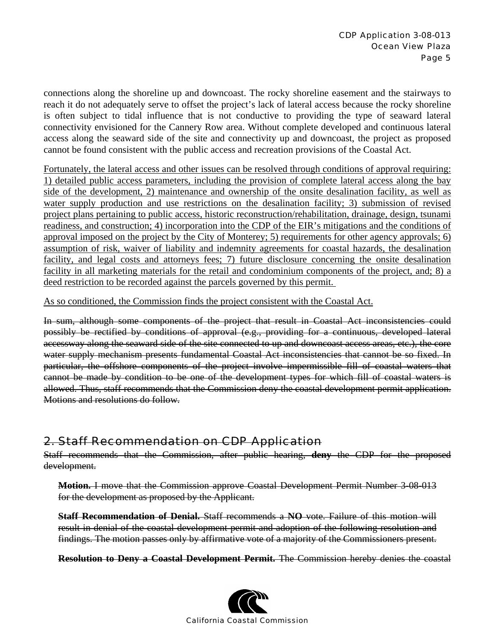connections along the shoreline up and downcoast. The rocky shoreline easement and the stairways to reach it do not adequately serve to offset the project's lack of lateral access because the rocky shoreline is often subject to tidal influence that is not conductive to providing the type of seaward lateral connectivity envisioned for the Cannery Row area. Without complete developed and continuous lateral access along the seaward side of the site and connectivity up and downcoast, the project as proposed cannot be found consistent with the public access and recreation provisions of the Coastal Act.

Fortunately, the lateral access and other issues can be resolved through conditions of approval requiring: 1) detailed public access parameters, including the provision of complete lateral access along the bay side of the development, 2) maintenance and ownership of the onsite desalination facility, as well as water supply production and use restrictions on the desalination facility; 3) submission of revised project plans pertaining to public access, historic reconstruction/rehabilitation, drainage, design, tsunami readiness, and construction; 4) incorporation into the CDP of the EIR's mitigations and the conditions of approval imposed on the project by the City of Monterey; 5) requirements for other agency approvals; 6) assumption of risk, waiver of liability and indemnity agreements for coastal hazards, the desalination facility, and legal costs and attorneys fees; 7) future disclosure concerning the onsite desalination facility in all marketing materials for the retail and condominium components of the project, and; 8) a deed restriction to be recorded against the parcels governed by this permit.

As so conditioned, the Commission finds the project consistent with the Coastal Act.

In sum, although some components of the project that result in Coastal Act inconsistencies could possibly be rectified by conditions of approval (e.g., providing for a continuous, developed lateral accessway along the seaward side of the site connected to up and downcoast access areas, etc.), the core water supply mechanism presents fundamental Coastal Act inconsistencies that cannot be so fixed. In particular, the offshore components of the project involve impermissible fill of coastal waters that cannot be made by condition to be one of the development types for which fill of coastal waters is allowed. Thus, staff recommends that the Commission deny the coastal development permit application. Motions and resolutions do follow.

## 2. Staff Recommendation on CDP Application

Staff recommends that the Commission, after public hearing, **deny** the CDP for the proposed development.

**Motion.** I move that the Commission approve Coastal Development Permit Number 3-08-013 for the development as proposed by the Applicant.

**Staff Recommendation of Denial.** Staff recommends a **NO** vote. Failure of this motion will result in denial of the coastal development permit and adoption of the following resolution and findings. The motion passes only by affirmative vote of a majority of the Commissioners present.

**Resolution to Deny a Coastal Development Permit.** The Commission hereby denies the coastal

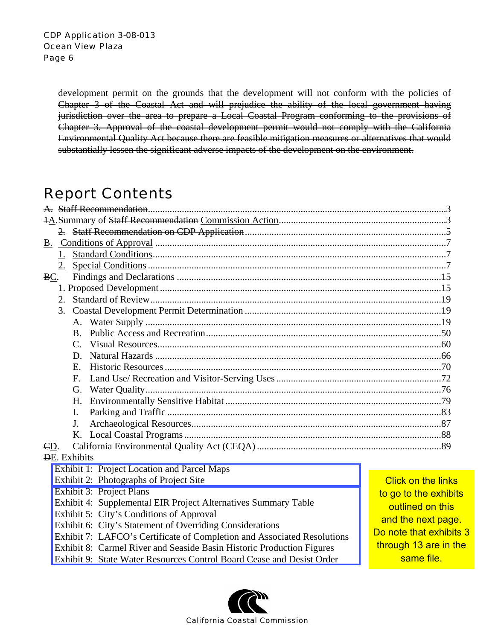development permit on the grounds that the development will not conform with the policies of Chapter 3 of the Coastal Act and will prejudice the ability of the local government having jurisdiction over the area to prepare a Local Coastal Program conforming to the provisions of Chapter 3. Approval of the coastal development permit would not comply with the California Environmental Quality Act because there are feasible mitigation measures or alternatives that would substantially lessen the significant adverse impacts of the development on the environment.

## Report Contents

| 1.                                                                      |                           |  |  |
|-------------------------------------------------------------------------|---------------------------|--|--|
|                                                                         |                           |  |  |
| BC.                                                                     |                           |  |  |
|                                                                         |                           |  |  |
| 2.                                                                      |                           |  |  |
| 3.                                                                      |                           |  |  |
|                                                                         |                           |  |  |
| $\mathbf{B}$                                                            |                           |  |  |
| $C_{\cdot}$                                                             |                           |  |  |
| D.                                                                      |                           |  |  |
| $E_{\rm c}$                                                             |                           |  |  |
| $F_{\cdot}$                                                             |                           |  |  |
| G.                                                                      |                           |  |  |
| Н.                                                                      |                           |  |  |
| L.                                                                      |                           |  |  |
| $\mathbf{J}$ .                                                          |                           |  |  |
| Κ.                                                                      |                           |  |  |
| CD.                                                                     |                           |  |  |
| <b>DE.</b> Exhibits                                                     |                           |  |  |
| Exhibit 1: Project Location and Parcel Maps                             |                           |  |  |
| Exhibit 2: Photographs of Project Site                                  | <b>Click on the links</b> |  |  |
| Exhibit 3: Project Plans                                                | to go to the exhibits     |  |  |
| Exhibit 4: Supplemental EIR Project Alternatives Summary Table          | outlined on this          |  |  |
| Exhibit 5: City's Conditions of Approval                                | and the next page.        |  |  |
| Exhibit 6: City's Statement of Overriding Considerations                | Do note that exhibits 3   |  |  |
| Exhibit 7: LAFCO's Certificate of Completion and Associated Resolutions |                           |  |  |
| Exhibit 8: Carmel River and Seaside Basin Historic Production Figures   | through 13 are in the     |  |  |

Exhibit 9: State Water Resources Control Board Cease and Desist Order



same file.

California Coastal Commission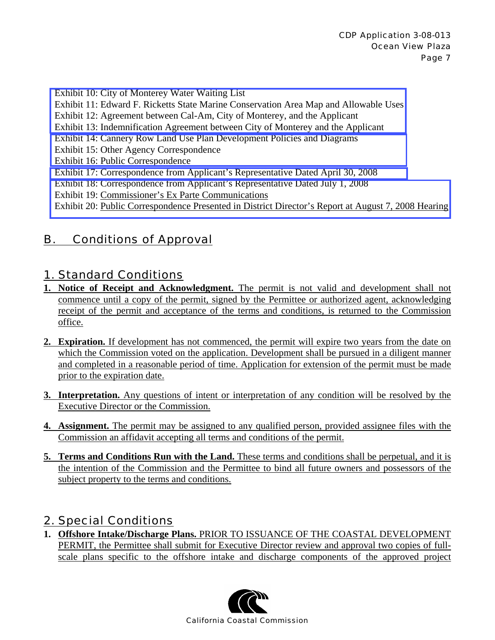Exhibit 10: City of Monterey Water Waiting List

[Exhibit 11: Edward F. Ricketts State Marine Conservation Area Map and Allowable Uses](http://documents.coastal.ca.gov/reports/2008/11/W14a-11-2008-a2.pdf) 

- Exhibit 12: Agreement between Cal-Am, City of Monterey, and the Applicant
- Exhibit 13: Indemnification Agreement between City of Monterey and the Applicant
- [Exhibit 14: Cannery Row Land Use Plan Development Policies and Diagrams](http://documents.coastal.ca.gov/reports/2008/11/W14a-11-2008-a3.pdf)
- Exhibit 15: Other Agency Correspondence
- Exhibit 16: Public Correspondence
- [Exhibit 17: Correspondence from Applicant's Representative Dated April 30, 2008](http://documents.coastal.ca.gov/reports/2008/11/W14a-11-2008-a4.pdf)
- Exhibit 18: Correspondence from Applicant's Representative Dated July 1, 2008
- Exhibit 19: Commissioner's Ex Parte Communications

[Exhibit 20: Public Correspondence Presented in District Director's Report at August 7, 2008 Hearing](http://documents.coastal.ca.gov/reports/2008/11/W14a-11-2008-a4.pdf)

## B. Conditions of Approval

### 1. Standard Conditions

- **1. Notice of Receipt and Acknowledgment.** The permit is not valid and development shall not commence until a copy of the permit, signed by the Permittee or authorized agent, acknowledging receipt of the permit and acceptance of the terms and conditions, is returned to the Commission office.
- **2. Expiration.** If development has not commenced, the permit will expire two years from the date on which the Commission voted on the application. Development shall be pursued in a diligent manner and completed in a reasonable period of time. Application for extension of the permit must be made prior to the expiration date.
- **3. Interpretation.** Any questions of intent or interpretation of any condition will be resolved by the Executive Director or the Commission.
- **4. Assignment.** The permit may be assigned to any qualified person, provided assignee files with the Commission an affidavit accepting all terms and conditions of the permit.
- **5. Terms and Conditions Run with the Land.** These terms and conditions shall be perpetual, and it is the intention of the Commission and the Permittee to bind all future owners and possessors of the subject property to the terms and conditions.

## 2. Special Conditions

**1. Offshore Intake/Discharge Plans.** PRIOR TO ISSUANCE OF THE COASTAL DEVELOPMENT PERMIT, the Permittee shall submit for Executive Director review and approval two copies of fullscale plans specific to the offshore intake and discharge components of the approved project

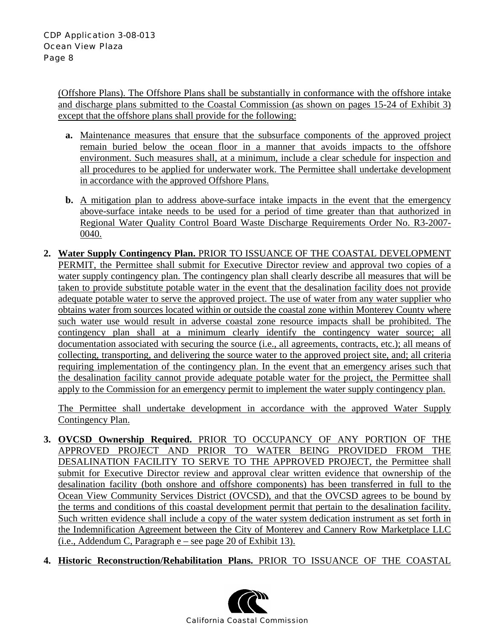(Offshore Plans). The Offshore Plans shall be substantially in conformance with the offshore intake and discharge plans submitted to the Coastal Commission (as shown on pages 15-24 of Exhibit 3) except that the offshore plans shall provide for the following:

- **a.** Maintenance measures that ensure that the subsurface components of the approved project remain buried below the ocean floor in a manner that avoids impacts to the offshore environment. Such measures shall, at a minimum, include a clear schedule for inspection and all procedures to be applied for underwater work. The Permittee shall undertake development in accordance with the approved Offshore Plans.
- **b.** A mitigation plan to address above-surface intake impacts in the event that the emergency above-surface intake needs to be used for a period of time greater than that authorized in Regional Water Quality Control Board Waste Discharge Requirements Order No. R3-2007- 0040.
- **2. Water Supply Contingency Plan.** PRIOR TO ISSUANCE OF THE COASTAL DEVELOPMENT PERMIT, the Permittee shall submit for Executive Director review and approval two copies of a water supply contingency plan. The contingency plan shall clearly describe all measures that will be taken to provide substitute potable water in the event that the desalination facility does not provide adequate potable water to serve the approved project. The use of water from any water supplier who obtains water from sources located within or outside the coastal zone within Monterey County where such water use would result in adverse coastal zone resource impacts shall be prohibited. The contingency plan shall at a minimum clearly identify the contingency water source; all documentation associated with securing the source (i.e., all agreements, contracts, etc.); all means of collecting, transporting, and delivering the source water to the approved project site, and; all criteria requiring implementation of the contingency plan. In the event that an emergency arises such that the desalination facility cannot provide adequate potable water for the project, the Permittee shall apply to the Commission for an emergency permit to implement the water supply contingency plan.

The Permittee shall undertake development in accordance with the approved Water Supply Contingency Plan.

- **3. OVCSD Ownership Required.** PRIOR TO OCCUPANCY OF ANY PORTION OF THE APPROVED PROJECT AND PRIOR TO WATER BEING PROVIDED FROM THE DESALINATION FACILITY TO SERVE TO THE APPROVED PROJECT, the Permittee shall submit for Executive Director review and approval clear written evidence that ownership of the desalination facility (both onshore and offshore components) has been transferred in full to the Ocean View Community Services District (OVCSD), and that the OVCSD agrees to be bound by the terms and conditions of this coastal development permit that pertain to the desalination facility. Such written evidence shall include a copy of the water system dedication instrument as set forth in the Indemnification Agreement between the City of Monterey and Cannery Row Marketplace LLC (i.e., Addendum C, Paragraph e – see page 20 of Exhibit 13).
- **4. Historic Reconstruction/Rehabilitation Plans.** PRIOR TO ISSUANCE OF THE COASTAL

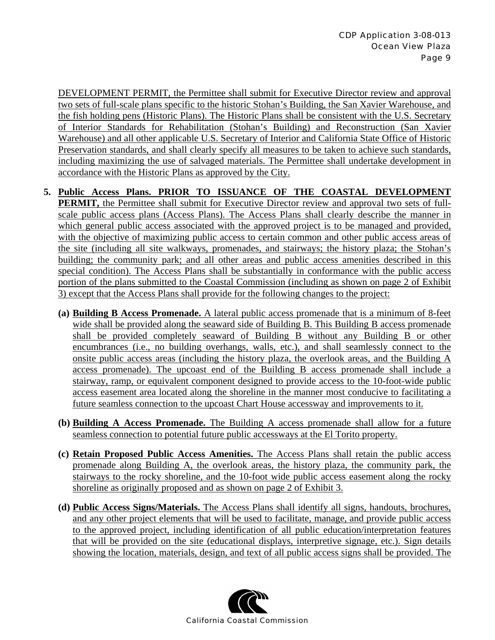DEVELOPMENT PERMIT, the Permittee shall submit for Executive Director review and approval two sets of full-scale plans specific to the historic Stohan's Building, the San Xavier Warehouse, and the fish holding pens (Historic Plans). The Historic Plans shall be consistent with the U.S. Secretary of Interior Standards for Rehabilitation (Stohan's Building) and Reconstruction (San Xavier Warehouse) and all other applicable U.S. Secretary of Interior and California State Office of Historic Preservation standards, and shall clearly specify all measures to be taken to achieve such standards, including maximizing the use of salvaged materials. The Permittee shall undertake development in accordance with the Historic Plans as approved by the City.

- **5. Public Access Plans. PRIOR TO ISSUANCE OF THE COASTAL DEVELOPMENT PERMIT,** the Permittee shall submit for Executive Director review and approval two sets of fullscale public access plans (Access Plans). The Access Plans shall clearly describe the manner in which general public access associated with the approved project is to be managed and provided, with the objective of maximizing public access to certain common and other public access areas of the site (including all site walkways, promenades, and stairways; the history plaza; the Stohan's building; the community park; and all other areas and public access amenities described in this special condition). The Access Plans shall be substantially in conformance with the public access portion of the plans submitted to the Coastal Commission (including as shown on page 2 of Exhibit 3) except that the Access Plans shall provide for the following changes to the project:
	- **(a) Building B Access Promenade.** A lateral public access promenade that is a minimum of 8-feet wide shall be provided along the seaward side of Building B. This Building B access promenade shall be provided completely seaward of Building B without any Building B or other encumbrances (i.e., no building overhangs, walls, etc.), and shall seamlessly connect to the onsite public access areas (including the history plaza, the overlook areas, and the Building A access promenade). The upcoast end of the Building B access promenade shall include a stairway, ramp, or equivalent component designed to provide access to the 10-foot-wide public access easement area located along the shoreline in the manner most conducive to facilitating a future seamless connection to the upcoast Chart House accessway and improvements to it.
	- **(b) Building A Access Promenade.** The Building A access promenade shall allow for a future seamless connection to potential future public accessways at the El Torito property.
	- **(c) Retain Proposed Public Access Amenities.** The Access Plans shall retain the public access promenade along Building A, the overlook areas, the history plaza, the community park, the stairways to the rocky shoreline, and the 10-foot wide public access easement along the rocky shoreline as originally proposed and as shown on page 2 of Exhibit 3.
	- **(d) Public Access Signs/Materials.** The Access Plans shall identify all signs, handouts, brochures, and any other project elements that will be used to facilitate, manage, and provide public access to the approved project, including identification of all public education/interpretation features that will be provided on the site (educational displays, interpretive signage, etc.). Sign details showing the location, materials, design, and text of all public access signs shall be provided. The

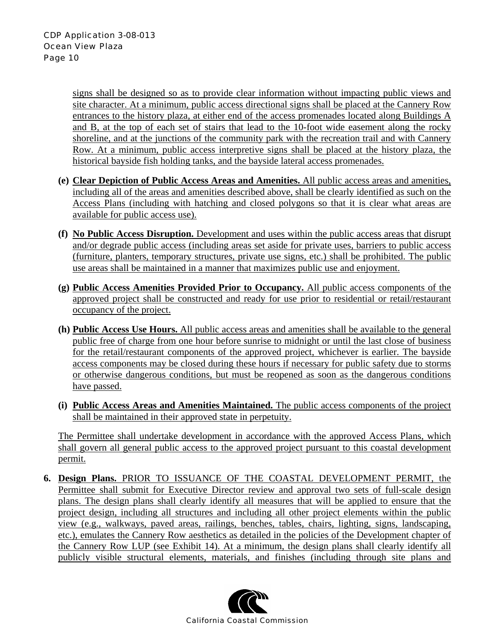signs shall be designed so as to provide clear information without impacting public views and site character. At a minimum, public access directional signs shall be placed at the Cannery Row entrances to the history plaza, at either end of the access promenades located along Buildings A and B, at the top of each set of stairs that lead to the 10-foot wide easement along the rocky shoreline, and at the junctions of the community park with the recreation trail and with Cannery Row. At a minimum, public access interpretive signs shall be placed at the history plaza, the historical bayside fish holding tanks, and the bayside lateral access promenades.

- **(e) Clear Depiction of Public Access Areas and Amenities.** All public access areas and amenities, including all of the areas and amenities described above, shall be clearly identified as such on the Access Plans (including with hatching and closed polygons so that it is clear what areas are available for public access use).
- **(f) No Public Access Disruption.** Development and uses within the public access areas that disrupt and/or degrade public access (including areas set aside for private uses, barriers to public access (furniture, planters, temporary structures, private use signs, etc.) shall be prohibited. The public use areas shall be maintained in a manner that maximizes public use and enjoyment.
- **(g) Public Access Amenities Provided Prior to Occupancy.** All public access components of the approved project shall be constructed and ready for use prior to residential or retail/restaurant occupancy of the project.
- **(h) Public Access Use Hours.** All public access areas and amenities shall be available to the general public free of charge from one hour before sunrise to midnight or until the last close of business for the retail/restaurant components of the approved project, whichever is earlier. The bayside access components may be closed during these hours if necessary for public safety due to storms or otherwise dangerous conditions, but must be reopened as soon as the dangerous conditions have passed.
- **(i) Public Access Areas and Amenities Maintained.** The public access components of the project shall be maintained in their approved state in perpetuity.

The Permittee shall undertake development in accordance with the approved Access Plans, which shall govern all general public access to the approved project pursuant to this coastal development permit.

**6. Design Plans.** PRIOR TO ISSUANCE OF THE COASTAL DEVELOPMENT PERMIT, the Permittee shall submit for Executive Director review and approval two sets of full-scale design plans. The design plans shall clearly identify all measures that will be applied to ensure that the project design, including all structures and including all other project elements within the public view (e.g., walkways, paved areas, railings, benches, tables, chairs, lighting, signs, landscaping, etc.), emulates the Cannery Row aesthetics as detailed in the policies of the Development chapter of the Cannery Row LUP (see Exhibit 14). At a minimum, the design plans shall clearly identify all publicly visible structural elements, materials, and finishes (including through site plans and

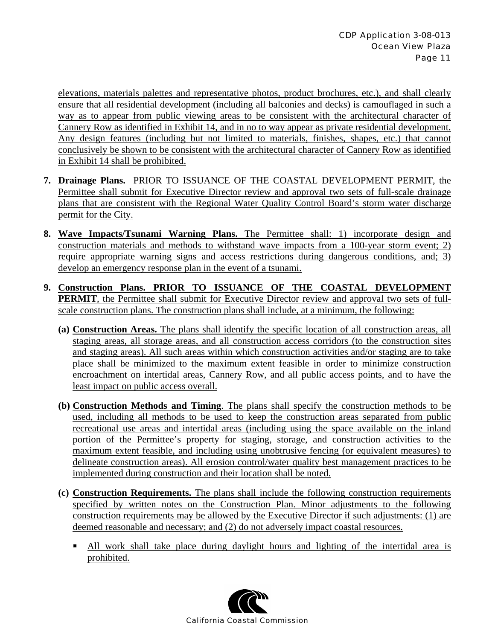elevations, materials palettes and representative photos, product brochures, etc.), and shall clearly ensure that all residential development (including all balconies and decks) is camouflaged in such a way as to appear from public viewing areas to be consistent with the architectural character of Cannery Row as identified in Exhibit 14, and in no to way appear as private residential development. Any design features (including but not limited to materials, finishes, shapes, etc.) that cannot conclusively be shown to be consistent with the architectural character of Cannery Row as identified in Exhibit 14 shall be prohibited.

- **7. Drainage Plans.** PRIOR TO ISSUANCE OF THE COASTAL DEVELOPMENT PERMIT, the Permittee shall submit for Executive Director review and approval two sets of full-scale drainage plans that are consistent with the Regional Water Quality Control Board's storm water discharge permit for the City.
- **8. Wave Impacts/Tsunami Warning Plans.** The Permittee shall: 1) incorporate design and construction materials and methods to withstand wave impacts from a 100-year storm event; 2) require appropriate warning signs and access restrictions during dangerous conditions, and; 3) develop an emergency response plan in the event of a tsunami.
- **9. Construction Plans. PRIOR TO ISSUANCE OF THE COASTAL DEVELOPMENT PERMIT**, the Permittee shall submit for Executive Director review and approval two sets of fullscale construction plans. The construction plans shall include, at a minimum, the following:
	- **(a) Construction Areas.** The plans shall identify the specific location of all construction areas, all staging areas, all storage areas, and all construction access corridors (to the construction sites and staging areas). All such areas within which construction activities and/or staging are to take place shall be minimized to the maximum extent feasible in order to minimize construction encroachment on intertidal areas, Cannery Row, and all public access points, and to have the least impact on public access overall.
	- **(b) Construction Methods and Timing**. The plans shall specify the construction methods to be used, including all methods to be used to keep the construction areas separated from public recreational use areas and intertidal areas (including using the space available on the inland portion of the Permittee's property for staging, storage, and construction activities to the maximum extent feasible, and including using unobtrusive fencing (or equivalent measures) to delineate construction areas). All erosion control/water quality best management practices to be implemented during construction and their location shall be noted.
	- **(c) Construction Requirements.** The plans shall include the following construction requirements specified by written notes on the Construction Plan. Minor adjustments to the following construction requirements may be allowed by the Executive Director if such adjustments: (1) are deemed reasonable and necessary; and (2) do not adversely impact coastal resources.
		- All work shall take place during daylight hours and lighting of the intertidal area is prohibited.

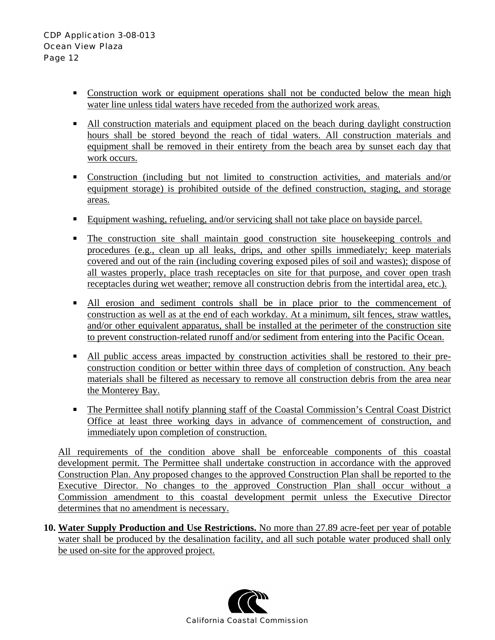- Construction work or equipment operations shall not be conducted below the mean high water line unless tidal waters have receded from the authorized work areas.
- All construction materials and equipment placed on the beach during daylight construction hours shall be stored beyond the reach of tidal waters. All construction materials and equipment shall be removed in their entirety from the beach area by sunset each day that work occurs.
- **Construction** (including but not limited to construction activities, and materials and/or equipment storage) is prohibited outside of the defined construction, staging, and storage areas.
- Equipment washing, refueling, and/or servicing shall not take place on bayside parcel.
- **The construction site shall maintain good construction site housekeeping controls and** procedures (e.g., clean up all leaks, drips, and other spills immediately; keep materials covered and out of the rain (including covering exposed piles of soil and wastes); dispose of all wastes properly, place trash receptacles on site for that purpose, and cover open trash receptacles during wet weather; remove all construction debris from the intertidal area, etc.).
- All erosion and sediment controls shall be in place prior to the commencement of construction as well as at the end of each workday. At a minimum, silt fences, straw wattles, and/or other equivalent apparatus, shall be installed at the perimeter of the construction site to prevent construction-related runoff and/or sediment from entering into the Pacific Ocean.
- All public access areas impacted by construction activities shall be restored to their preconstruction condition or better within three days of completion of construction. Any beach materials shall be filtered as necessary to remove all construction debris from the area near the Monterey Bay.
- The Permittee shall notify planning staff of the Coastal Commission's Central Coast District Office at least three working days in advance of commencement of construction, and immediately upon completion of construction.

All requirements of the condition above shall be enforceable components of this coastal development permit. The Permittee shall undertake construction in accordance with the approved Construction Plan. Any proposed changes to the approved Construction Plan shall be reported to the Executive Director. No changes to the approved Construction Plan shall occur without a Commission amendment to this coastal development permit unless the Executive Director determines that no amendment is necessary.

**10. Water Supply Production and Use Restrictions.** No more than 27.89 acre-feet per year of potable water shall be produced by the desalination facility, and all such potable water produced shall only be used on-site for the approved project.

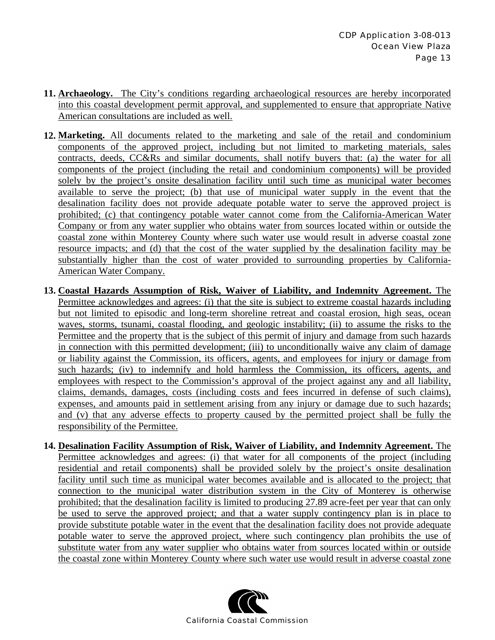- **11. Archaeology.** The City's conditions regarding archaeological resources are hereby incorporated into this coastal development permit approval, and supplemented to ensure that appropriate Native American consultations are included as well.
- **12. Marketing.** All documents related to the marketing and sale of the retail and condominium components of the approved project, including but not limited to marketing materials, sales contracts, deeds, CC&Rs and similar documents, shall notify buyers that: (a) the water for all components of the project (including the retail and condominium components) will be provided solely by the project's onsite desalination facility until such time as municipal water becomes available to serve the project; (b) that use of municipal water supply in the event that the desalination facility does not provide adequate potable water to serve the approved project is prohibited; (c) that contingency potable water cannot come from the California-American Water Company or from any water supplier who obtains water from sources located within or outside the coastal zone within Monterey County where such water use would result in adverse coastal zone resource impacts; and (d) that the cost of the water supplied by the desalination facility may be substantially higher than the cost of water provided to surrounding properties by California-American Water Company.
- **13. Coastal Hazards Assumption of Risk, Waiver of Liability, and Indemnity Agreement.** The Permittee acknowledges and agrees: (i) that the site is subject to extreme coastal hazards including but not limited to episodic and long-term shoreline retreat and coastal erosion, high seas, ocean waves, storms, tsunami, coastal flooding, and geologic instability; (ii) to assume the risks to the Permittee and the property that is the subject of this permit of injury and damage from such hazards in connection with this permitted development; (iii) to unconditionally waive any claim of damage or liability against the Commission, its officers, agents, and employees for injury or damage from such hazards; (iv) to indemnify and hold harmless the Commission, its officers, agents, and employees with respect to the Commission's approval of the project against any and all liability, claims, demands, damages, costs (including costs and fees incurred in defense of such claims), expenses, and amounts paid in settlement arising from any injury or damage due to such hazards; and (v) that any adverse effects to property caused by the permitted project shall be fully the responsibility of the Permittee.
- **14. Desalination Facility Assumption of Risk, Waiver of Liability, and Indemnity Agreement.** The Permittee acknowledges and agrees: (i) that water for all components of the project (including residential and retail components) shall be provided solely by the project's onsite desalination facility until such time as municipal water becomes available and is allocated to the project; that connection to the municipal water distribution system in the City of Monterey is otherwise prohibited; that the desalination facility is limited to producing 27.89 acre-feet per year that can only be used to serve the approved project; and that a water supply contingency plan is in place to provide substitute potable water in the event that the desalination facility does not provide adequate potable water to serve the approved project, where such contingency plan prohibits the use of substitute water from any water supplier who obtains water from sources located within or outside the coastal zone within Monterey County where such water use would result in adverse coastal zone

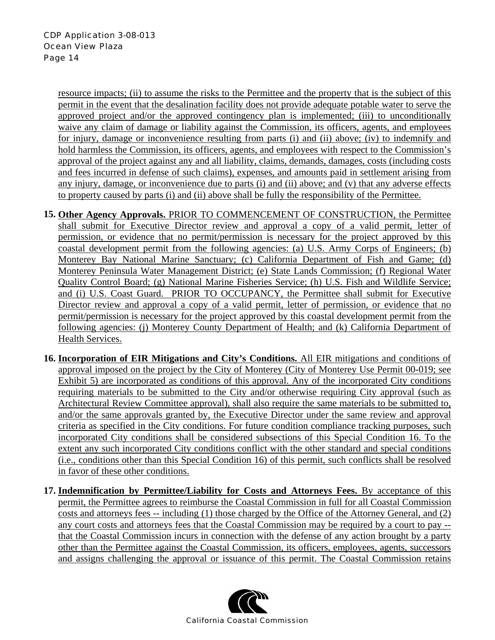resource impacts; (ii) to assume the risks to the Permittee and the property that is the subject of this permit in the event that the desalination facility does not provide adequate potable water to serve the approved project and/or the approved contingency plan is implemented; (iii) to unconditionally waive any claim of damage or liability against the Commission, its officers, agents, and employees for injury, damage or inconvenience resulting from parts (i) and (ii) above; (iv) to indemnify and hold harmless the Commission, its officers, agents, and employees with respect to the Commission's approval of the project against any and all liability, claims, demands, damages, costs (including costs and fees incurred in defense of such claims), expenses, and amounts paid in settlement arising from any injury, damage, or inconvenience due to parts (i) and (ii) above; and (v) that any adverse effects to property caused by parts (i) and (ii) above shall be fully the responsibility of the Permittee.

- **15. Other Agency Approvals.** PRIOR TO COMMENCEMENT OF CONSTRUCTION, the Permittee shall submit for Executive Director review and approval a copy of a valid permit, letter of permission, or evidence that no permit/permission is necessary for the project approved by this coastal development permit from the following agencies: (a) U.S. Army Corps of Engineers; (b) Monterey Bay National Marine Sanctuary; (c) California Department of Fish and Game; (d) Monterey Peninsula Water Management District; (e) State Lands Commission; (f) Regional Water Quality Control Board; (g) National Marine Fisheries Service; (h) U.S. Fish and Wildlife Service; and (i) U.S. Coast Guard.PRIOR TO OCCUPANCY, the Permittee shall submit for Executive Director review and approval a copy of a valid permit, letter of permission, or evidence that no permit/permission is necessary for the project approved by this coastal development permit from the following agencies: (j) Monterey County Department of Health; and (k) California Department of Health Services.
- **16. Incorporation of EIR Mitigations and City's Conditions.** All EIR mitigations and conditions of approval imposed on the project by the City of Monterey (City of Monterey Use Permit 00-019; see Exhibit 5) are incorporated as conditions of this approval. Any of the incorporated City conditions requiring materials to be submitted to the City and/or otherwise requiring City approval (such as Architectural Review Committee approval), shall also require the same materials to be submitted to, and/or the same approvals granted by, the Executive Director under the same review and approval criteria as specified in the City conditions. For future condition compliance tracking purposes, such incorporated City conditions shall be considered subsections of this Special Condition 16. To the extent any such incorporated City conditions conflict with the other standard and special conditions (i.e., conditions other than this Special Condition 16) of this permit, such conflicts shall be resolved in favor of these other conditions.
- **17. Indemnification by Permittee/Liability for Costs and Attorneys Fees.** By acceptance of this permit, the Permittee agrees to reimburse the Coastal Commission in full for all Coastal Commission costs and attorneys fees -- including (1) those charged by the Office of the Attorney General, and (2) any court costs and attorneys fees that the Coastal Commission may be required by a court to pay - that the Coastal Commission incurs in connection with the defense of any action brought by a party other than the Permittee against the Coastal Commission, its officers, employees, agents, successors and assigns challenging the approval or issuance of this permit. The Coastal Commission retains

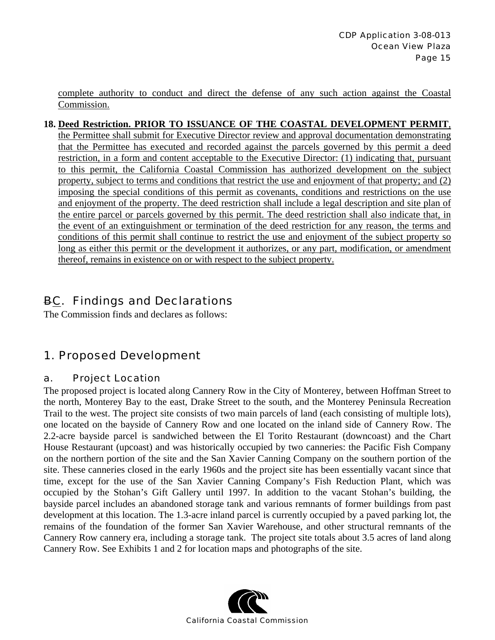complete authority to conduct and direct the defense of any such action against the Coastal Commission.

#### **18. Deed Restriction. PRIOR TO ISSUANCE OF THE COASTAL DEVELOPMENT PERMIT**,

the Permittee shall submit for Executive Director review and approval documentation demonstrating that the Permittee has executed and recorded against the parcels governed by this permit a deed restriction, in a form and content acceptable to the Executive Director: (1) indicating that, pursuant to this permit, the California Coastal Commission has authorized development on the subject property, subject to terms and conditions that restrict the use and enjoyment of that property; and (2) imposing the special conditions of this permit as covenants, conditions and restrictions on the use and enjoyment of the property. The deed restriction shall include a legal description and site plan of the entire parcel or parcels governed by this permit. The deed restriction shall also indicate that, in the event of an extinguishment or termination of the deed restriction for any reason, the terms and conditions of this permit shall continue to restrict the use and enjoyment of the subject property so long as either this permit or the development it authorizes, or any part, modification, or amendment thereof, remains in existence on or with respect to the subject property.

## BC. Findings and Declarations

The Commission finds and declares as follows:

## 1. Proposed Development

#### a. Project Location

The proposed project is located along Cannery Row in the City of Monterey, between Hoffman Street to the north, Monterey Bay to the east, Drake Street to the south, and the Monterey Peninsula Recreation Trail to the west. The project site consists of two main parcels of land (each consisting of multiple lots), one located on the bayside of Cannery Row and one located on the inland side of Cannery Row. The 2.2-acre bayside parcel is sandwiched between the El Torito Restaurant (downcoast) and the Chart House Restaurant (upcoast) and was historically occupied by two canneries: the Pacific Fish Company on the northern portion of the site and the San Xavier Canning Company on the southern portion of the site. These canneries closed in the early 1960s and the project site has been essentially vacant since that time, except for the use of the San Xavier Canning Company's Fish Reduction Plant, which was occupied by the Stohan's Gift Gallery until 1997. In addition to the vacant Stohan's building, the bayside parcel includes an abandoned storage tank and various remnants of former buildings from past development at this location. The 1.3-acre inland parcel is currently occupied by a paved parking lot, the remains of the foundation of the former San Xavier Warehouse, and other structural remnants of the Cannery Row cannery era, including a storage tank. The project site totals about 3.5 acres of land along Cannery Row. See Exhibits 1 and 2 for location maps and photographs of the site.

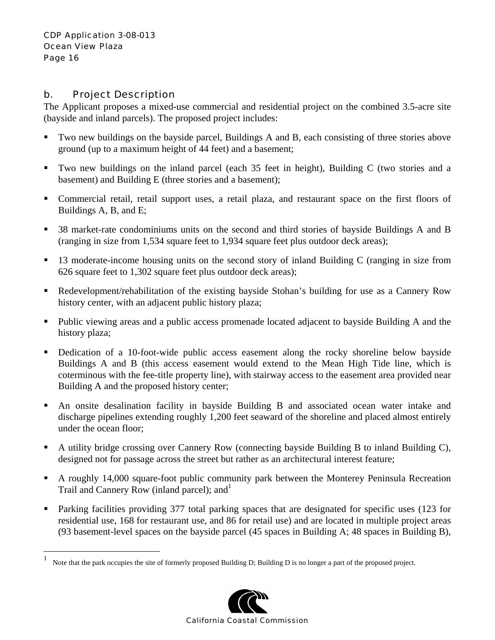$\overline{a}$ 

#### b. Project Description

The Applicant proposes a mixed-use commercial and residential project on the combined 3.5-acre site (bayside and inland parcels). The proposed project includes:

- Two new buildings on the bayside parcel, Buildings A and B, each consisting of three stories above ground (up to a maximum height of 44 feet) and a basement;
- Two new buildings on the inland parcel (each 35 feet in height), Building C (two stories and a basement) and Building E (three stories and a basement);
- Commercial retail, retail support uses, a retail plaza, and restaurant space on the first floors of Buildings A, B, and E;
- <sup>38</sup> market-rate condominiums units on the second and third stories of bayside Buildings A and B (ranging in size from 1,534 square feet to 1,934 square feet plus outdoor deck areas);
- <sup>13</sup> moderate-income housing units on the second story of inland Building C (ranging in size from 626 square feet to 1,302 square feet plus outdoor deck areas);
- Redevelopment/rehabilitation of the existing bayside Stohan's building for use as a Cannery Row history center, with an adjacent public history plaza;
- Public viewing areas and a public access promenade located adjacent to bayside Building A and the history plaza;
- Dedication of a 10-foot-wide public access easement along the rocky shoreline below bayside Buildings A and B (this access easement would extend to the Mean High Tide line, which is coterminous with the fee-title property line), with stairway access to the easement area provided near Building A and the proposed history center;
- An onsite desalination facility in bayside Building B and associated ocean water intake and discharge pipelines extending roughly 1,200 feet seaward of the shoreline and placed almost entirely under the ocean floor;
- A utility bridge crossing over Cannery Row (connecting bayside Building B to inland Building C), designed not for passage across the street but rather as an architectural interest feature;
- A roughly 14,000 square-foot public community park between the Monterey Peninsula Recreation Trail and Cannery Row (inland parcel); and<sup>1</sup>
- Parking facilities providing 377 total parking spaces that are designated for specific uses (123 for residential use, 168 for restaurant use, and 86 for retail use) and are located in multiple project areas (93 basement-level spaces on the bayside parcel (45 spaces in Building A; 48 spaces in Building B),

<sup>1</sup> Note that the park occupies the site of formerly proposed Building D; Building D is no longer a part of the proposed project.

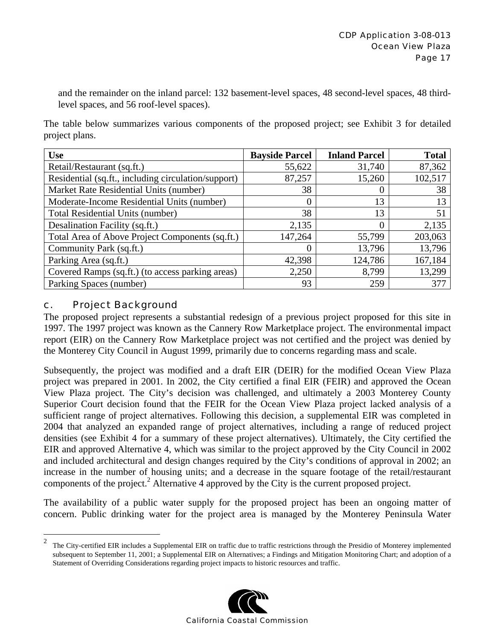and the remainder on the inland parcel: 132 basement-level spaces, 48 second-level spaces, 48 thirdlevel spaces, and 56 roof-level spaces).

The table below summarizes various components of the proposed project; see Exhibit 3 for detailed project plans.

| <b>Use</b>                                          | <b>Bayside Parcel</b> | <b>Inland Parcel</b> | <b>Total</b> |
|-----------------------------------------------------|-----------------------|----------------------|--------------|
| Retail/Restaurant (sq.ft.)                          | 55,622                | 31,740               | 87,362       |
| Residential (sq.ft., including circulation/support) | 87,257                | 15,260               | 102,517      |
| Market Rate Residential Units (number)              | 38                    | $\theta$             | 38           |
| Moderate-Income Residential Units (number)          |                       | 13                   | 13           |
| Total Residential Units (number)                    | 38                    | 13                   | 51           |
| Desalination Facility (sq.ft.)                      | 2,135                 | 0                    | 2,135        |
| Total Area of Above Project Components (sq.ft.)     | 147,264               | 55,799               | 203,063      |
| Community Park (sq.ft.)                             | $\left( \right)$      | 13,796               | 13,796       |
| Parking Area (sq.ft.)                               | 42,398                | 124,786              | 167,184      |
| Covered Ramps (sq.ft.) (to access parking areas)    | 2,250                 | 8,799                | 13,299       |
| Parking Spaces (number)                             | 93                    | 259                  | 377          |

#### c. Project Background

1

The proposed project represents a substantial redesign of a previous project proposed for this site in 1997. The 1997 project was known as the Cannery Row Marketplace project. The environmental impact report (EIR) on the Cannery Row Marketplace project was not certified and the project was denied by the Monterey City Council in August 1999, primarily due to concerns regarding mass and scale.

Subsequently, the project was modified and a draft EIR (DEIR) for the modified Ocean View Plaza project was prepared in 2001. In 2002, the City certified a final EIR (FEIR) and approved the Ocean View Plaza project. The City's decision was challenged, and ultimately a 2003 Monterey County Superior Court decision found that the FEIR for the Ocean View Plaza project lacked analysis of a sufficient range of project alternatives. Following this decision, a supplemental EIR was completed in 2004 that analyzed an expanded range of project alternatives, including a range of reduced project densities (see Exhibit 4 for a summary of these project alternatives). Ultimately, the City certified the EIR and approved Alternative 4, which was similar to the project approved by the City Council in 2002 and included architectural and design changes required by the City's conditions of approval in 2002; an increase in the number of housing units; and a decrease in the square footage of the retail/restaurant components of the project.<sup>2</sup> Alternative 4 approved by the City is the current proposed project.

The availability of a public water supply for the proposed project has been an ongoing matter of concern. Public drinking water for the project area is managed by the Monterey Peninsula Water

<sup>&</sup>lt;sup>2</sup> The City-certified EIR includes a Supplemental EIR on traffic due to traffic restrictions through the Presidio of Monterey implemented subsequent to September 11, 2001; a Supplemental EIR on Alternatives; a Findings and Mitigation Monitoring Chart; and adoption of a Statement of Overriding Considerations regarding project impacts to historic resources and traffic.

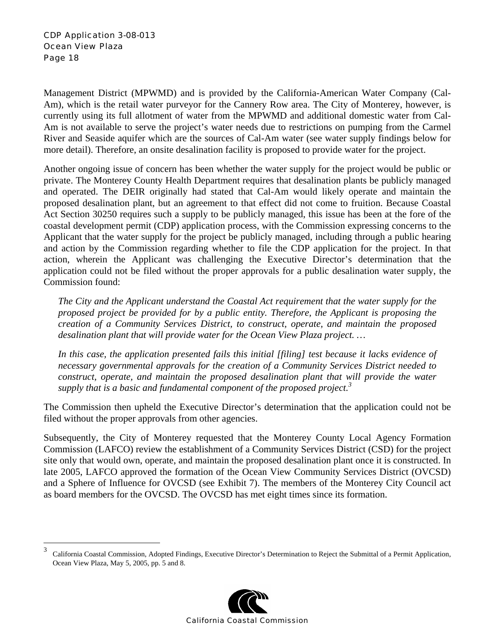$\overline{a}$ 

Management District (MPWMD) and is provided by the California-American Water Company (Cal-Am), which is the retail water purveyor for the Cannery Row area. The City of Monterey, however, is currently using its full allotment of water from the MPWMD and additional domestic water from Cal-Am is not available to serve the project's water needs due to restrictions on pumping from the Carmel River and Seaside aquifer which are the sources of Cal-Am water (see water supply findings below for more detail). Therefore, an onsite desalination facility is proposed to provide water for the project.

Another ongoing issue of concern has been whether the water supply for the project would be public or private. The Monterey County Health Department requires that desalination plants be publicly managed and operated. The DEIR originally had stated that Cal-Am would likely operate and maintain the proposed desalination plant, but an agreement to that effect did not come to fruition. Because Coastal Act Section 30250 requires such a supply to be publicly managed, this issue has been at the fore of the coastal development permit (CDP) application process, with the Commission expressing concerns to the Applicant that the water supply for the project be publicly managed, including through a public hearing and action by the Commission regarding whether to file the CDP application for the project. In that action, wherein the Applicant was challenging the Executive Director's determination that the application could not be filed without the proper approvals for a public desalination water supply, the Commission found:

*The City and the Applicant understand the Coastal Act requirement that the water supply for the proposed project be provided for by a public entity. Therefore, the Applicant is proposing the creation of a Community Services District, to construct, operate, and maintain the proposed desalination plant that will provide water for the Ocean View Plaza project. …* 

*In this case, the application presented fails this initial [filing] test because it lacks evidence of necessary governmental approvals for the creation of a Community Services District needed to construct, operate, and maintain the proposed desalination plant that will provide the water supply that is a basic and fundamental component of the proposed project.<sup>3</sup>*

The Commission then upheld the Executive Director's determination that the application could not be filed without the proper approvals from other agencies.

Subsequently, the City of Monterey requested that the Monterey County Local Agency Formation Commission (LAFCO) review the establishment of a Community Services District (CSD) for the project site only that would own, operate, and maintain the proposed desalination plant once it is constructed. In late 2005, LAFCO approved the formation of the Ocean View Community Services District (OVCSD) and a Sphere of Influence for OVCSD (see Exhibit 7). The members of the Monterey City Council act as board members for the OVCSD. The OVCSD has met eight times since its formation.

<sup>3</sup> California Coastal Commission, Adopted Findings, Executive Director's Determination to Reject the Submittal of a Permit Application, Ocean View Plaza, May 5, 2005, pp. 5 and 8.

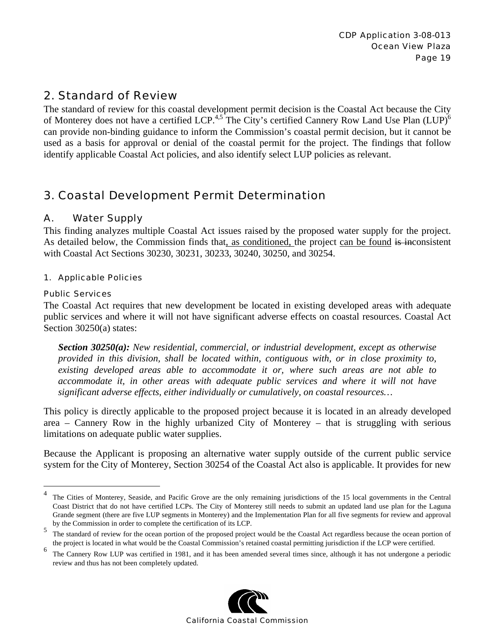## 2. Standard of Review

The standard of review for this coastal development permit decision is the Coastal Act because the City of Monterey does not have a certified LCP.<sup>4,5</sup> The City's certified Cannery Row Land Use Plan (LUP)<sup>6</sup> can provide non-binding guidance to inform the Commission's coastal permit decision, but it cannot be used as a basis for approval or denial of the coastal permit for the project. The findings that follow identify applicable Coastal Act policies, and also identify select LUP policies as relevant.

## 3. Coastal Development Permit Determination

#### A. Water Supply

This finding analyzes multiple Coastal Act issues raised by the proposed water supply for the project. As detailed below, the Commission finds that, as conditioned, the project can be found is inconsistent with Coastal Act Sections 30230, 30231, 30233, 30240, 30250, and 30254.

#### 1. Applicable Policies

#### Public Services

 $\overline{a}$ 

The Coastal Act requires that new development be located in existing developed areas with adequate public services and where it will not have significant adverse effects on coastal resources. Coastal Act Section 30250(a) states:

*Section 30250(a): New residential, commercial, or industrial development, except as otherwise provided in this division, shall be located within, contiguous with, or in close proximity to, existing developed areas able to accommodate it or, where such areas are not able to accommodate it, in other areas with adequate public services and where it will not have significant adverse effects, either individually or cumulatively, on coastal resources…* 

This policy is directly applicable to the proposed project because it is located in an already developed area – Cannery Row in the highly urbanized City of Monterey – that is struggling with serious limitations on adequate public water supplies.

Because the Applicant is proposing an alternative water supply outside of the current public service system for the City of Monterey, Section 30254 of the Coastal Act also is applicable. It provides for new

<sup>&</sup>lt;sup>6</sup> The Cannery Row LUP was certified in 1981, and it has been amended several times since, although it has not undergone a periodic review and thus has not been completely updated.



<sup>&</sup>lt;sup>4</sup> The Cities of Monterey, Seaside, and Pacific Grove are the only remaining jurisdictions of the 15 local governments in the Central Coast District that do not have certified LCPs. The City of Monterey still needs to submit an updated land use plan for the Laguna Grande segment (there are five LUP segments in Monterey) and the Implementation Plan for all five segments for review and approval by the Commission in order to complete the certification of its LCP.

<sup>&</sup>lt;sup>5</sup> The standard of review for the ocean portion of the proposed project would be the Coastal Act regardless because the ocean portion of the project is located in what would be the Coastal Commission's retained coastal permitting jurisdiction if the LCP were certified.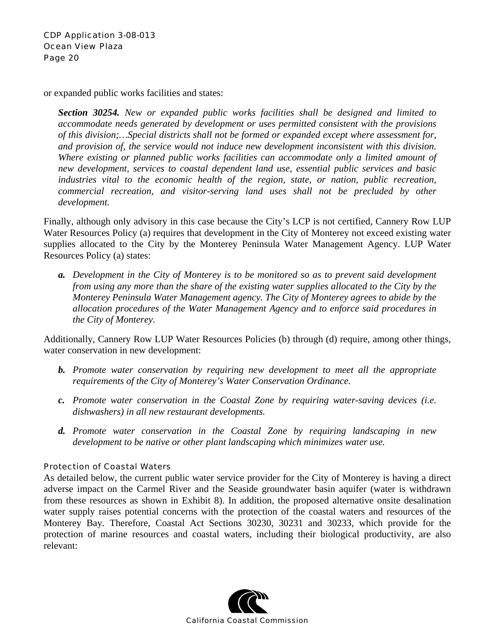or expanded public works facilities and states:

*Section 30254. New or expanded public works facilities shall be designed and limited to accommodate needs generated by development or uses permitted consistent with the provisions of this division;…Special districts shall not be formed or expanded except where assessment for, and provision of, the service would not induce new development inconsistent with this division. Where existing or planned public works facilities can accommodate only a limited amount of new development, services to coastal dependent land use, essential public services and basic industries vital to the economic health of the region, state, or nation, public recreation, commercial recreation, and visitor-serving land uses shall not be precluded by other development.* 

Finally, although only advisory in this case because the City's LCP is not certified, Cannery Row LUP Water Resources Policy (a) requires that development in the City of Monterey not exceed existing water supplies allocated to the City by the Monterey Peninsula Water Management Agency. LUP Water Resources Policy (a) states:

*a. Development in the City of Monterey is to be monitored so as to prevent said development from using any more than the share of the existing water supplies allocated to the City by the Monterey Peninsula Water Management agency. The City of Monterey agrees to abide by the allocation procedures of the Water Management Agency and to enforce said procedures in the City of Monterey.* 

Additionally, Cannery Row LUP Water Resources Policies (b) through (d) require, among other things, water conservation in new development:

- *b. Promote water conservation by requiring new development to meet all the appropriate requirements of the City of Monterey's Water Conservation Ordinance.*
- *c. Promote water conservation in the Coastal Zone by requiring water-saving devices (i.e. dishwashers) in all new restaurant developments.*
- *d. Promote water conservation in the Coastal Zone by requiring landscaping in new development to be native or other plant landscaping which minimizes water use.*

#### Protection of Coastal Waters

As detailed below, the current public water service provider for the City of Monterey is having a direct adverse impact on the Carmel River and the Seaside groundwater basin aquifer (water is withdrawn from these resources as shown in Exhibit 8). In addition, the proposed alternative onsite desalination water supply raises potential concerns with the protection of the coastal waters and resources of the Monterey Bay. Therefore, Coastal Act Sections 30230, 30231 and 30233, which provide for the protection of marine resources and coastal waters, including their biological productivity, are also relevant:

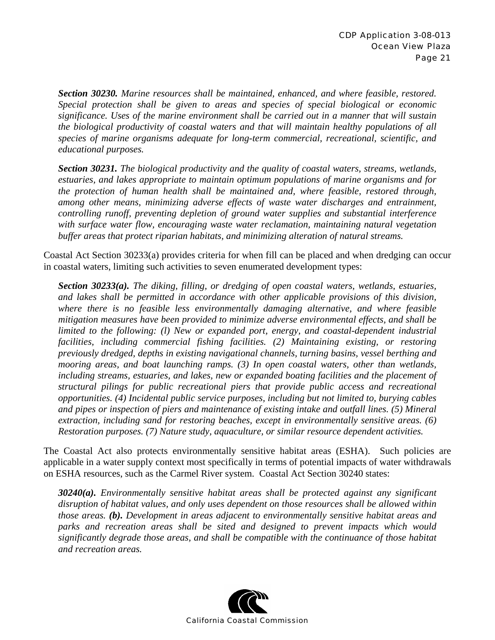*Section 30230. Marine resources shall be maintained, enhanced, and where feasible, restored. Special protection shall be given to areas and species of special biological or economic significance. Uses of the marine environment shall be carried out in a manner that will sustain the biological productivity of coastal waters and that will maintain healthy populations of all species of marine organisms adequate for long-term commercial, recreational, scientific, and educational purposes.* 

*Section 30231. The biological productivity and the quality of coastal waters, streams, wetlands, estuaries, and lakes appropriate to maintain optimum populations of marine organisms and for the protection of human health shall be maintained and, where feasible, restored through, among other means, minimizing adverse effects of waste water discharges and entrainment, controlling runoff, preventing depletion of ground water supplies and substantial interference with surface water flow, encouraging waste water reclamation, maintaining natural vegetation buffer areas that protect riparian habitats, and minimizing alteration of natural streams.* 

Coastal Act Section 30233(a) provides criteria for when fill can be placed and when dredging can occur in coastal waters, limiting such activities to seven enumerated development types:

*Section 30233(a). The diking, filling, or dredging of open coastal waters, wetlands, estuaries, and lakes shall be permitted in accordance with other applicable provisions of this division, where there is no feasible less environmentally damaging alternative, and where feasible mitigation measures have been provided to minimize adverse environmental effects, and shall be limited to the following: (l) New or expanded port, energy, and coastal-dependent industrial facilities, including commercial fishing facilities. (2) Maintaining existing, or restoring previously dredged, depths in existing navigational channels, turning basins, vessel berthing and mooring areas, and boat launching ramps. (3) In open coastal waters, other than wetlands, including streams, estuaries, and lakes, new or expanded boating facilities and the placement of structural pilings for public recreational piers that provide public access and recreational opportunities. (4) Incidental public service purposes, including but not limited to, burying cables and pipes or inspection of piers and maintenance of existing intake and outfall lines. (5) Mineral extraction, including sand for restoring beaches, except in environmentally sensitive areas. (6) Restoration purposes. (7) Nature study, aquaculture, or similar resource dependent activities.* 

The Coastal Act also protects environmentally sensitive habitat areas (ESHA). Such policies are applicable in a water supply context most specifically in terms of potential impacts of water withdrawals on ESHA resources, such as the Carmel River system. Coastal Act Section 30240 states:

*30240(a). Environmentally sensitive habitat areas shall be protected against any significant disruption of habitat values, and only uses dependent on those resources shall be allowed within those areas. (b). Development in areas adjacent to environmentally sensitive habitat areas and*  parks and recreation areas shall be sited and designed to prevent impacts which would *significantly degrade those areas, and shall be compatible with the continuance of those habitat and recreation areas.* 

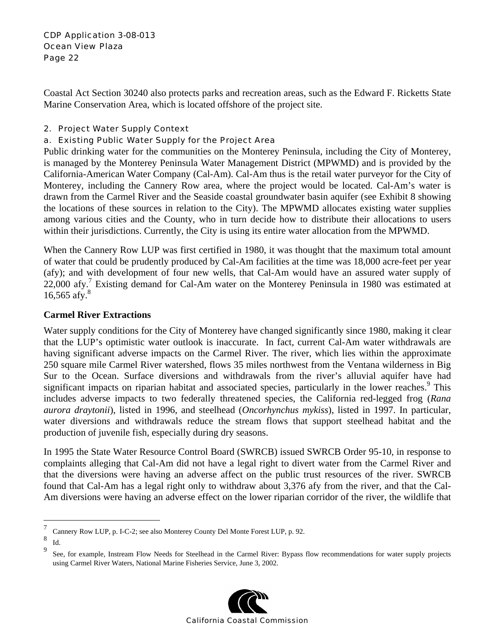Coastal Act Section 30240 also protects parks and recreation areas, such as the Edward F. Ricketts State Marine Conservation Area, which is located offshore of the project site.

#### 2. Project Water Supply Context

#### a. Existing Public Water Supply for the Project Area

Public drinking water for the communities on the Monterey Peninsula, including the City of Monterey, is managed by the Monterey Peninsula Water Management District (MPWMD) and is provided by the California-American Water Company (Cal-Am). Cal-Am thus is the retail water purveyor for the City of Monterey, including the Cannery Row area, where the project would be located. Cal-Am's water is drawn from the Carmel River and the Seaside coastal groundwater basin aquifer (see Exhibit 8 showing the locations of these sources in relation to the City). The MPWMD allocates existing water supplies among various cities and the County, who in turn decide how to distribute their allocations to users within their jurisdictions. Currently, the City is using its entire water allocation from the MPWMD.

When the Cannery Row LUP was first certified in 1980, it was thought that the maximum total amount of water that could be prudently produced by Cal-Am facilities at the time was 18,000 acre-feet per year (afy); and with development of four new wells, that Cal-Am would have an assured water supply of 22,000 afy.<sup>7</sup> Existing demand for Cal-Am water on the Monterey Peninsula in 1980 was estimated at 16,565 afy. $8$ 

#### **Carmel River Extractions**

Water supply conditions for the City of Monterey have changed significantly since 1980, making it clear that the LUP's optimistic water outlook is inaccurate. In fact, current Cal-Am water withdrawals are having significant adverse impacts on the Carmel River. The river, which lies within the approximate 250 square mile Carmel River watershed, flows 35 miles northwest from the Ventana wilderness in Big Sur to the Ocean. Surface diversions and withdrawals from the river's alluvial aquifer have had significant impacts on riparian habitat and associated species, particularly in the lower reaches.<sup>9</sup> This includes adverse impacts to two federally threatened species, the California red-legged frog (*Rana aurora draytonii*), listed in 1996, and steelhead (*Oncorhynchus mykiss*), listed in 1997. In particular, water diversions and withdrawals reduce the stream flows that support steelhead habitat and the production of juvenile fish, especially during dry seasons.

In 1995 the State Water Resource Control Board (SWRCB) issued SWRCB Order 95-10, in response to complaints alleging that Cal-Am did not have a legal right to divert water from the Carmel River and that the diversions were having an adverse affect on the public trust resources of the river. SWRCB found that Cal-Am has a legal right only to withdraw about 3,376 afy from the river, and that the Cal-Am diversions were having an adverse effect on the lower riparian corridor of the river, the wildlife that

<u>.</u>

<sup>9</sup> See, for example, Instream Flow Needs for Steelhead in the Carmel River: Bypass flow recommendations for water supply projects using Carmel River Waters, National Marine Fisheries Service, June 3, 2002.



<sup>7</sup> Cannery Row LUP, p. I-C-2; see also Monterey County Del Monte Forest LUP, p. 92.

<sup>8</sup>  $\int_{9}^{\infty}$  Id.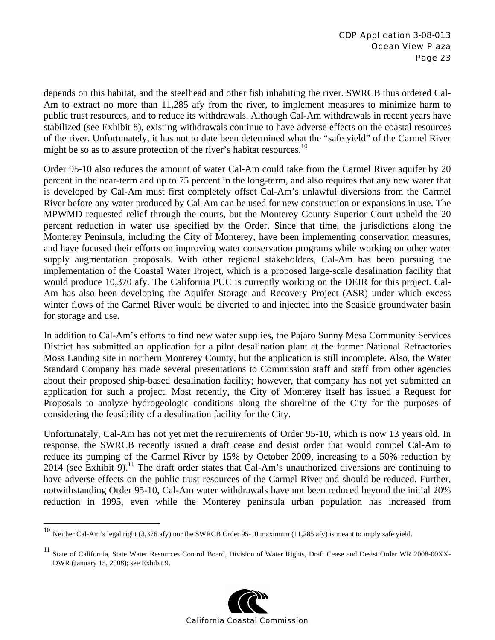depends on this habitat, and the steelhead and other fish inhabiting the river. SWRCB thus ordered Cal-Am to extract no more than 11,285 afy from the river, to implement measures to minimize harm to public trust resources, and to reduce its withdrawals. Although Cal-Am withdrawals in recent years have stabilized (see Exhibit 8), existing withdrawals continue to have adverse effects on the coastal resources of the river. Unfortunately, it has not to date been determined what the "safe yield" of the Carmel River might be so as to assure protection of the river's habitat resources.<sup>10</sup>

Order 95-10 also reduces the amount of water Cal-Am could take from the Carmel River aquifer by 20 percent in the near-term and up to 75 percent in the long-term, and also requires that any new water that is developed by Cal-Am must first completely offset Cal-Am's unlawful diversions from the Carmel River before any water produced by Cal-Am can be used for new construction or expansions in use. The MPWMD requested relief through the courts, but the Monterey County Superior Court upheld the 20 percent reduction in water use specified by the Order. Since that time, the jurisdictions along the Monterey Peninsula, including the City of Monterey, have been implementing conservation measures, and have focused their efforts on improving water conservation programs while working on other water supply augmentation proposals. With other regional stakeholders, Cal-Am has been pursuing the implementation of the Coastal Water Project, which is a proposed large-scale desalination facility that would produce 10,370 afy. The California PUC is currently working on the DEIR for this project. Cal-Am has also been developing the Aquifer Storage and Recovery Project (ASR) under which excess winter flows of the Carmel River would be diverted to and injected into the Seaside groundwater basin for storage and use.

In addition to Cal-Am's efforts to find new water supplies, the Pajaro Sunny Mesa Community Services District has submitted an application for a pilot desalination plant at the former National Refractories Moss Landing site in northern Monterey County, but the application is still incomplete. Also, the Water Standard Company has made several presentations to Commission staff and staff from other agencies about their proposed ship-based desalination facility; however, that company has not yet submitted an application for such a project. Most recently, the City of Monterey itself has issued a Request for Proposals to analyze hydrogeologic conditions along the shoreline of the City for the purposes of considering the feasibility of a desalination facility for the City.

Unfortunately, Cal-Am has not yet met the requirements of Order 95-10, which is now 13 years old. In response, the SWRCB recently issued a draft cease and desist order that would compel Cal-Am to reduce its pumping of the Carmel River by 15% by October 2009, increasing to a 50% reduction by  $2014$  (see Exhibit 9).<sup>11</sup> The draft order states that Cal-Am's unauthorized diversions are continuing to have adverse effects on the public trust resources of the Carmel River and should be reduced. Further, notwithstanding Order 95-10, Cal-Am water withdrawals have not been reduced beyond the initial 20% reduction in 1995, even while the Monterey peninsula urban population has increased from

 $\overline{a}$ 

<sup>&</sup>lt;sup>11</sup> State of California, State Water Resources Control Board, Division of Water Rights, Draft Cease and Desist Order WR 2008-00XX-DWR (January 15, 2008); see Exhibit 9.



<sup>10</sup> Neither Cal-Am's legal right (3,376 afy) nor the SWRCB Order 95-10 maximum (11,285 afy) is meant to imply safe yield.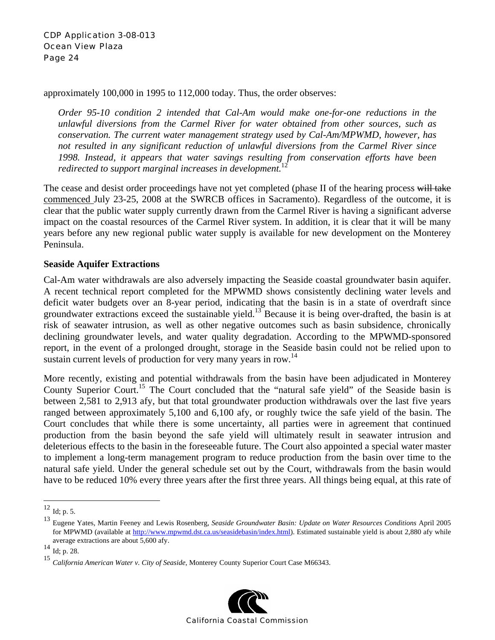approximately 100,000 in 1995 to 112,000 today. Thus, the order observes:

*Order 95-10 condition 2 intended that Cal-Am would make one-for-one reductions in the unlawful diversions from the Carmel River for water obtained from other sources, such as conservation. The current water management strategy used by Cal-Am/MPWMD, however, has not resulted in any significant reduction of unlawful diversions from the Carmel River since 1998. Instead, it appears that water savings resulting from conservation efforts have been redirected to support marginal increases in development.*<sup>1</sup>

The cease and desist order proceedings have not yet completed (phase II of the hearing process will take commenced July 23-25, 2008 at the SWRCB offices in Sacramento). Regardless of the outcome, it is clear that the public water supply currently drawn from the Carmel River is having a significant adverse impact on the coastal resources of the Carmel River system. In addition, it is clear that it will be many years before any new regional public water supply is available for new development on the Monterey Peninsula.

#### **Seaside Aquifer Extractions**

Cal-Am water withdrawals are also adversely impacting the Seaside coastal groundwater basin aquifer. A recent technical report completed for the MPWMD shows consistently declining water levels and deficit water budgets over an 8-year period, indicating that the basin is in a state of overdraft since groundwater extractions exceed the sustainable yield.13 Because it is being over-drafted, the basin is at risk of seawater intrusion, as well as other negative outcomes such as basin subsidence, chronically declining groundwater levels, and water quality degradation. According to the MPWMD-sponsored report, in the event of a prolonged drought, storage in the Seaside basin could not be relied upon to sustain current levels of production for very many years in row.<sup>14</sup>

More recently, existing and potential withdrawals from the basin have been adjudicated in Monterey County Superior Court.<sup>15</sup> The Court concluded that the "natural safe yield" of the Seaside basin is between 2,581 to 2,913 afy, but that total groundwater production withdrawals over the last five years ranged between approximately 5,100 and 6,100 afy, or roughly twice the safe yield of the basin. The Court concludes that while there is some uncertainty, all parties were in agreement that continued production from the basin beyond the safe yield will ultimately result in seawater intrusion and deleterious effects to the basin in the foreseeable future. The Court also appointed a special water master to implement a long-term management program to reduce production from the basin over time to the natural safe yield. Under the general schedule set out by the Court, withdrawals from the basin would have to be reduced 10% every three years after the first three years. All things being equal, at this rate of

1

<sup>15</sup> *California American Water v. City of Seaside*, Monterey County Superior Court Case M66343.



 $^{12}$  Id; p. 5.

<sup>13</sup> Eugene Yates, Martin Feeney and Lewis Rosenberg, *Seaside Groundwater Basin: Update on Water Resources Conditions* April 2005 for MPWMD (available at http://www.mpwmd.dst.ca.us/seasidebasin/index.html). Estimated sustainable yield is about 2,880 afy while average extractions are about 5,600 afy.<br>
<sup>14</sup> Id; p. 28.<br>
<sup>15</sup>  $G$  *L'C* is 4. The *NV* is  $G$ <sup>16</sup>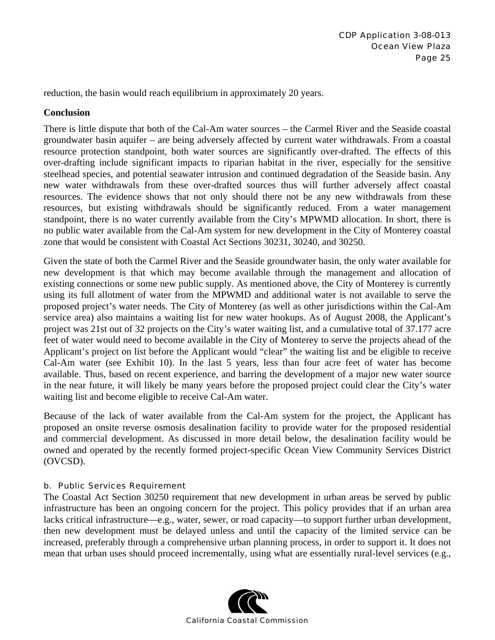reduction, the basin would reach equilibrium in approximately 20 years.

#### **Conclusion**

There is little dispute that both of the Cal-Am water sources – the Carmel River and the Seaside coastal groundwater basin aquifer – are being adversely affected by current water withdrawals. From a coastal resource protection standpoint, both water sources are significantly over-drafted. The effects of this over-drafting include significant impacts to riparian habitat in the river, especially for the sensitive steelhead species, and potential seawater intrusion and continued degradation of the Seaside basin. Any new water withdrawals from these over-drafted sources thus will further adversely affect coastal resources. The evidence shows that not only should there not be any new withdrawals from these resources, but existing withdrawals should be significantly reduced. From a water management standpoint, there is no water currently available from the City's MPWMD allocation. In short, there is no public water available from the Cal-Am system for new development in the City of Monterey coastal zone that would be consistent with Coastal Act Sections 30231, 30240, and 30250.

Given the state of both the Carmel River and the Seaside groundwater basin, the only water available for new development is that which may become available through the management and allocation of existing connections or some new public supply. As mentioned above, the City of Monterey is currently using its full allotment of water from the MPWMD and additional water is not available to serve the proposed project's water needs. The City of Monterey (as well as other jurisdictions within the Cal-Am service area) also maintains a waiting list for new water hookups. As of August 2008, the Applicant's project was 21st out of 32 projects on the City's water waiting list, and a cumulative total of 37.177 acre feet of water would need to become available in the City of Monterey to serve the projects ahead of the Applicant's project on list before the Applicant would "clear" the waiting list and be eligible to receive Cal-Am water (see Exhibit 10). In the last 5 years, less than four acre feet of water has become available. Thus, based on recent experience, and barring the development of a major new water source in the near future, it will likely be many years before the proposed project could clear the City's water waiting list and become eligible to receive Cal-Am water.

Because of the lack of water available from the Cal-Am system for the project, the Applicant has proposed an onsite reverse osmosis desalination facility to provide water for the proposed residential and commercial development. As discussed in more detail below, the desalination facility would be owned and operated by the recently formed project-specific Ocean View Community Services District (OVCSD).

#### b. Public Services Requirement

The Coastal Act Section 30250 requirement that new development in urban areas be served by public infrastructure has been an ongoing concern for the project. This policy provides that if an urban area lacks critical infrastructure—e.g., water, sewer, or road capacity—to support further urban development, then new development must be delayed unless and until the capacity of the limited service can be increased, preferably through a comprehensive urban planning process, in order to support it. It does not mean that urban uses should proceed incrementally, using what are essentially rural-level services (e.g.,

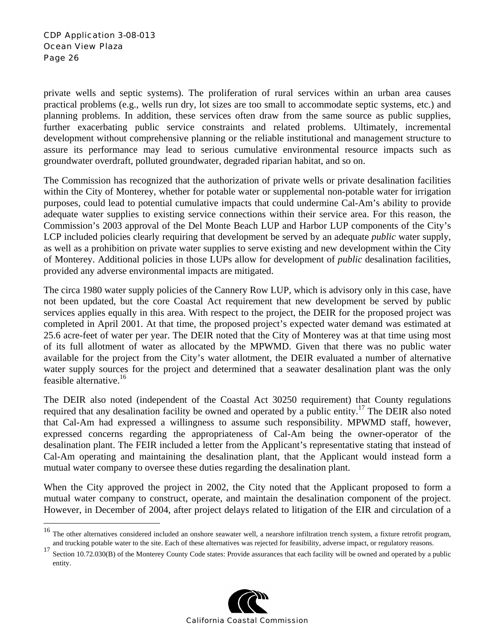<u>.</u>

private wells and septic systems). The proliferation of rural services within an urban area causes practical problems (e.g., wells run dry, lot sizes are too small to accommodate septic systems, etc.) and planning problems. In addition, these services often draw from the same source as public supplies, further exacerbating public service constraints and related problems. Ultimately, incremental development without comprehensive planning or the reliable institutional and management structure to assure its performance may lead to serious cumulative environmental resource impacts such as groundwater overdraft, polluted groundwater, degraded riparian habitat, and so on.

The Commission has recognized that the authorization of private wells or private desalination facilities within the City of Monterey, whether for potable water or supplemental non-potable water for irrigation purposes, could lead to potential cumulative impacts that could undermine Cal-Am's ability to provide adequate water supplies to existing service connections within their service area. For this reason, the Commission's 2003 approval of the Del Monte Beach LUP and Harbor LUP components of the City's LCP included policies clearly requiring that development be served by an adequate *public* water supply, as well as a prohibition on private water supplies to serve existing and new development within the City of Monterey. Additional policies in those LUPs allow for development of *public* desalination facilities, provided any adverse environmental impacts are mitigated.

The circa 1980 water supply policies of the Cannery Row LUP, which is advisory only in this case, have not been updated, but the core Coastal Act requirement that new development be served by public services applies equally in this area. With respect to the project, the DEIR for the proposed project was completed in April 2001. At that time, the proposed project's expected water demand was estimated at 25.6 acre-feet of water per year. The DEIR noted that the City of Monterey was at that time using most of its full allotment of water as allocated by the MPWMD. Given that there was no public water available for the project from the City's water allotment, the DEIR evaluated a number of alternative water supply sources for the project and determined that a seawater desalination plant was the only feasible alternative.16

The DEIR also noted (independent of the Coastal Act 30250 requirement) that County regulations required that any desalination facility be owned and operated by a public entity.<sup>17</sup> The DEIR also noted that Cal-Am had expressed a willingness to assume such responsibility. MPWMD staff, however, expressed concerns regarding the appropriateness of Cal-Am being the owner-operator of the desalination plant. The FEIR included a letter from the Applicant's representative stating that instead of Cal-Am operating and maintaining the desalination plant, that the Applicant would instead form a mutual water company to oversee these duties regarding the desalination plant.

When the City approved the project in 2002, the City noted that the Applicant proposed to form a mutual water company to construct, operate, and maintain the desalination component of the project. However, in December of 2004, after project delays related to litigation of the EIR and circulation of a

<sup>&</sup>lt;sup>17</sup> Section 10.72.030(B) of the Monterey County Code states: Provide assurances that each facility will be owned and operated by a public entity.



<sup>&</sup>lt;sup>16</sup> The other alternatives considered included an onshore seawater well, a nearshore infiltration trench system, a fixture retrofit program, and trucking potable water to the site. Each of these alternatives was rejected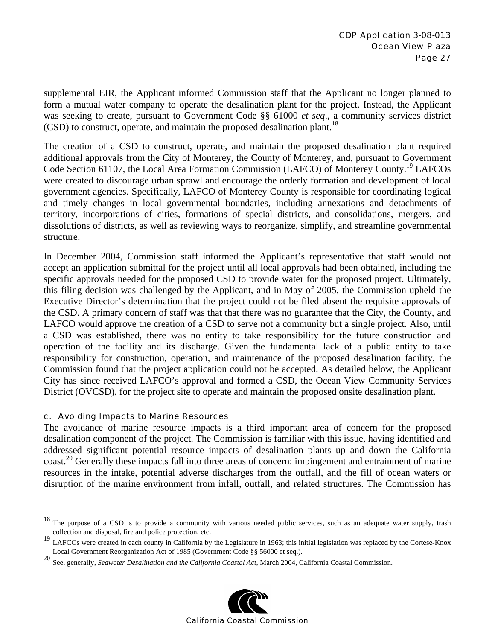supplemental EIR, the Applicant informed Commission staff that the Applicant no longer planned to form a mutual water company to operate the desalination plant for the project. Instead, the Applicant was seeking to create, pursuant to Government Code §§ 61000 *et seq*., a community services district  $(CSD)$  to construct, operate, and maintain the proposed desalination plant.<sup>18</sup>

The creation of a CSD to construct, operate, and maintain the proposed desalination plant required additional approvals from the City of Monterey, the County of Monterey, and, pursuant to Government Code Section 61107, the Local Area Formation Commission (LAFCO) of Monterey County.<sup>19</sup> LAFCOs were created to discourage urban sprawl and encourage the orderly formation and development of local government agencies. Specifically, LAFCO of Monterey County is responsible for coordinating logical and timely changes in local governmental boundaries, including annexations and detachments of territory, incorporations of cities, formations of special districts, and consolidations, mergers, and dissolutions of districts, as well as reviewing ways to reorganize, simplify, and streamline governmental structure.

In December 2004, Commission staff informed the Applicant's representative that staff would not accept an application submittal for the project until all local approvals had been obtained, including the specific approvals needed for the proposed CSD to provide water for the proposed project. Ultimately, this filing decision was challenged by the Applicant, and in May of 2005, the Commission upheld the Executive Director's determination that the project could not be filed absent the requisite approvals of the CSD. A primary concern of staff was that that there was no guarantee that the City, the County, and LAFCO would approve the creation of a CSD to serve not a community but a single project. Also, until a CSD was established, there was no entity to take responsibility for the future construction and operation of the facility and its discharge. Given the fundamental lack of a public entity to take responsibility for construction, operation, and maintenance of the proposed desalination facility, the Commission found that the project application could not be accepted. As detailed below, the Applicant City has since received LAFCO's approval and formed a CSD, the Ocean View Community Services District (OVCSD), for the project site to operate and maintain the proposed onsite desalination plant.

#### c. Avoiding Impacts to Marine Resources

 $\overline{a}$ 

The avoidance of marine resource impacts is a third important area of concern for the proposed desalination component of the project. The Commission is familiar with this issue, having identified and addressed significant potential resource impacts of desalination plants up and down the California coast.<sup>20</sup> Generally these impacts fall into three areas of concern: impingement and entrainment of marine resources in the intake, potential adverse discharges from the outfall, and the fill of ocean waters or disruption of the marine environment from infall, outfall, and related structures. The Commission has

<sup>20</sup> See, generally, *Seawater Desalination and the California Coastal Act*, March 2004, California Coastal Commission.



<sup>&</sup>lt;sup>18</sup> The purpose of a CSD is to provide a community with various needed public services, such as an adequate water supply, trash collection and disposal, fire and police protection, etc.

<sup>&</sup>lt;sup>19</sup> LAFCOs were created in each county in California by the Legislature in 1963; this initial legislation was replaced by the Cortese-Knox Local Government Reorganization Act of 1985 (Government Code §§ 56000 et seq.).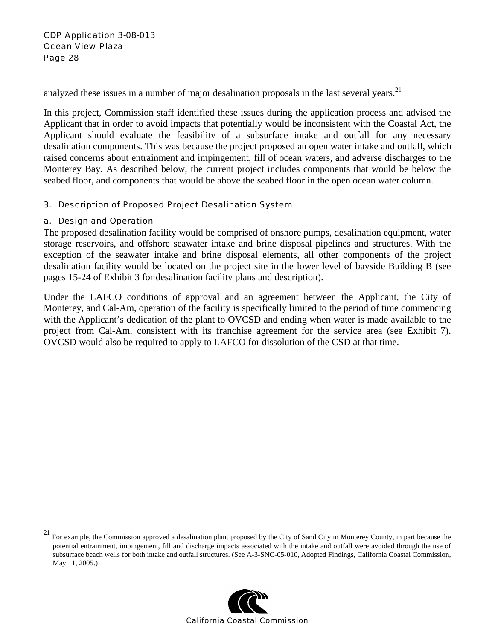analyzed these issues in a number of major desalination proposals in the last several years.<sup>21</sup>

In this project, Commission staff identified these issues during the application process and advised the Applicant that in order to avoid impacts that potentially would be inconsistent with the Coastal Act, the Applicant should evaluate the feasibility of a subsurface intake and outfall for any necessary desalination components. This was because the project proposed an open water intake and outfall, which raised concerns about entrainment and impingement, fill of ocean waters, and adverse discharges to the Monterey Bay. As described below, the current project includes components that would be below the seabed floor, and components that would be above the seabed floor in the open ocean water column.

#### 3. Description of Proposed Project Desalination System

#### a. Design and Operation

 $\overline{a}$ 

The proposed desalination facility would be comprised of onshore pumps, desalination equipment, water storage reservoirs, and offshore seawater intake and brine disposal pipelines and structures. With the exception of the seawater intake and brine disposal elements, all other components of the project desalination facility would be located on the project site in the lower level of bayside Building B (see pages 15-24 of Exhibit 3 for desalination facility plans and description).

Under the LAFCO conditions of approval and an agreement between the Applicant, the City of Monterey, and Cal-Am, operation of the facility is specifically limited to the period of time commencing with the Applicant's dedication of the plant to OVCSD and ending when water is made available to the project from Cal-Am, consistent with its franchise agreement for the service area (see Exhibit 7). OVCSD would also be required to apply to LAFCO for dissolution of the CSD at that time.

 $21$  For example, the Commission approved a desalination plant proposed by the City of Sand City in Monterey County, in part because the potential entrainment, impingement, fill and discharge impacts associated with the intake and outfall were avoided through the use of subsurface beach wells for both intake and outfall structures. (See A-3-SNC-05-010, Adopted Findings, California Coastal Commission, May 11, 2005.)

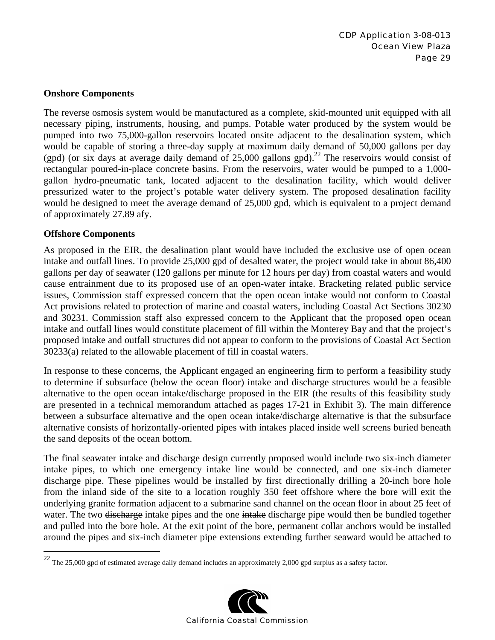#### **Onshore Components**

The reverse osmosis system would be manufactured as a complete, skid-mounted unit equipped with all necessary piping, instruments, housing, and pumps. Potable water produced by the system would be pumped into two 75,000-gallon reservoirs located onsite adjacent to the desalination system, which would be capable of storing a three-day supply at maximum daily demand of 50,000 gallons per day (gpd) (or six days at average daily demand of  $25,000$  gallons gpd).<sup>22</sup> The reservoirs would consist of rectangular poured-in-place concrete basins. From the reservoirs, water would be pumped to a 1,000 gallon hydro-pneumatic tank, located adjacent to the desalination facility, which would deliver pressurized water to the project's potable water delivery system. The proposed desalination facility would be designed to meet the average demand of 25,000 gpd, which is equivalent to a project demand of approximately 27.89 afy.

#### **Offshore Components**

1

As proposed in the EIR, the desalination plant would have included the exclusive use of open ocean intake and outfall lines. To provide 25,000 gpd of desalted water, the project would take in about 86,400 gallons per day of seawater (120 gallons per minute for 12 hours per day) from coastal waters and would cause entrainment due to its proposed use of an open-water intake. Bracketing related public service issues, Commission staff expressed concern that the open ocean intake would not conform to Coastal Act provisions related to protection of marine and coastal waters, including Coastal Act Sections 30230 and 30231. Commission staff also expressed concern to the Applicant that the proposed open ocean intake and outfall lines would constitute placement of fill within the Monterey Bay and that the project's proposed intake and outfall structures did not appear to conform to the provisions of Coastal Act Section 30233(a) related to the allowable placement of fill in coastal waters.

In response to these concerns, the Applicant engaged an engineering firm to perform a feasibility study to determine if subsurface (below the ocean floor) intake and discharge structures would be a feasible alternative to the open ocean intake/discharge proposed in the EIR (the results of this feasibility study are presented in a technical memorandum attached as pages 17-21 in Exhibit 3). The main difference between a subsurface alternative and the open ocean intake/discharge alternative is that the subsurface alternative consists of horizontally-oriented pipes with intakes placed inside well screens buried beneath the sand deposits of the ocean bottom.

The final seawater intake and discharge design currently proposed would include two six-inch diameter intake pipes, to which one emergency intake line would be connected, and one six-inch diameter discharge pipe. These pipelines would be installed by first directionally drilling a 20-inch bore hole from the inland side of the site to a location roughly 350 feet offshore where the bore will exit the underlying granite formation adjacent to a submarine sand channel on the ocean floor in about 25 feet of water. The two <del>discharge</del> intake pipes and the one intake discharge pipe would then be bundled together and pulled into the bore hole. At the exit point of the bore, permanent collar anchors would be installed around the pipes and six-inch diameter pipe extensions extending further seaward would be attached to

<sup>&</sup>lt;sup>22</sup> The 25,000 gpd of estimated average daily demand includes an approximately 2,000 gpd surplus as a safety factor.

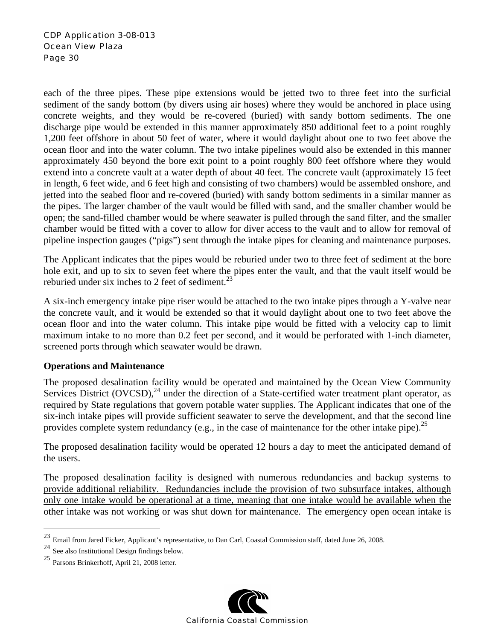each of the three pipes. These pipe extensions would be jetted two to three feet into the surficial sediment of the sandy bottom (by divers using air hoses) where they would be anchored in place using concrete weights, and they would be re-covered (buried) with sandy bottom sediments. The one discharge pipe would be extended in this manner approximately 850 additional feet to a point roughly 1,200 feet offshore in about 50 feet of water, where it would daylight about one to two feet above the ocean floor and into the water column. The two intake pipelines would also be extended in this manner approximately 450 beyond the bore exit point to a point roughly 800 feet offshore where they would extend into a concrete vault at a water depth of about 40 feet. The concrete vault (approximately 15 feet in length, 6 feet wide, and 6 feet high and consisting of two chambers) would be assembled onshore, and jetted into the seabed floor and re-covered (buried) with sandy bottom sediments in a similar manner as the pipes. The larger chamber of the vault would be filled with sand, and the smaller chamber would be open; the sand-filled chamber would be where seawater is pulled through the sand filter, and the smaller chamber would be fitted with a cover to allow for diver access to the vault and to allow for removal of pipeline inspection gauges ("pigs") sent through the intake pipes for cleaning and maintenance purposes.

The Applicant indicates that the pipes would be reburied under two to three feet of sediment at the bore hole exit, and up to six to seven feet where the pipes enter the vault, and that the vault itself would be reburied under six inches to 2 feet of sediment.<sup>23</sup>

A six-inch emergency intake pipe riser would be attached to the two intake pipes through a Y-valve near the concrete vault, and it would be extended so that it would daylight about one to two feet above the ocean floor and into the water column. This intake pipe would be fitted with a velocity cap to limit maximum intake to no more than 0.2 feet per second, and it would be perforated with 1-inch diameter, screened ports through which seawater would be drawn.

#### **Operations and Maintenance**

The proposed desalination facility would be operated and maintained by the Ocean View Community Services District (OVCSD),<sup>24</sup> under the direction of a State-certified water treatment plant operator, as required by State regulations that govern potable water supplies. The Applicant indicates that one of the six-inch intake pipes will provide sufficient seawater to serve the development, and that the second line provides complete system redundancy (e.g., in the case of maintenance for the other intake pipe). <sup>25</sup>

The proposed desalination facility would be operated 12 hours a day to meet the anticipated demand of the users.

The proposed desalination facility is designed with numerous redundancies and backup systems to provide additional reliability. Redundancies include the provision of two subsurface intakes, although only one intake would be operational at a time, meaning that one intake would be available when the other intake was not working or was shut down for maintenance. The emergency open ocean intake is

<sup>25</sup> Parsons Brinkerhoff, April 21, 2008 letter.



 $23\,$ 23 Email from Jared Ficker, Applicant's representative, to Dan Carl, Coastal Commission staff, dated June 26, 2008.

<sup>24</sup> See also Institutional Design findings below.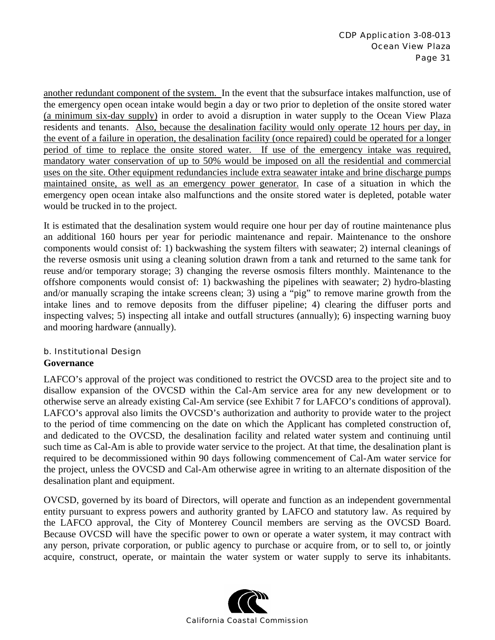another redundant component of the system. In the event that the subsurface intakes malfunction, use of the emergency open ocean intake would begin a day or two prior to depletion of the onsite stored water (a minimum six-day supply) in order to avoid a disruption in water supply to the Ocean View Plaza residents and tenants. Also, because the desalination facility would only operate 12 hours per day, in the event of a failure in operation, the desalination facility (once repaired) could be operated for a longer period of time to replace the onsite stored water. If use of the emergency intake was required, mandatory water conservation of up to 50% would be imposed on all the residential and commercial uses on the site. Other equipment redundancies include extra seawater intake and brine discharge pumps maintained onsite, as well as an emergency power generator. In case of a situation in which the emergency open ocean intake also malfunctions and the onsite stored water is depleted, potable water would be trucked in to the project.

It is estimated that the desalination system would require one hour per day of routine maintenance plus an additional 160 hours per year for periodic maintenance and repair. Maintenance to the onshore components would consist of: 1) backwashing the system filters with seawater; 2) internal cleanings of the reverse osmosis unit using a cleaning solution drawn from a tank and returned to the same tank for reuse and/or temporary storage; 3) changing the reverse osmosis filters monthly. Maintenance to the offshore components would consist of: 1) backwashing the pipelines with seawater; 2) hydro-blasting and/or manually scraping the intake screens clean; 3) using a "pig" to remove marine growth from the intake lines and to remove deposits from the diffuser pipeline; 4) clearing the diffuser ports and inspecting valves; 5) inspecting all intake and outfall structures (annually); 6) inspecting warning buoy and mooring hardware (annually).

#### b. Institutional Design **Governance**

LAFCO's approval of the project was conditioned to restrict the OVCSD area to the project site and to disallow expansion of the OVCSD within the Cal-Am service area for any new development or to otherwise serve an already existing Cal-Am service (see Exhibit 7 for LAFCO's conditions of approval). LAFCO's approval also limits the OVCSD's authorization and authority to provide water to the project to the period of time commencing on the date on which the Applicant has completed construction of, and dedicated to the OVCSD, the desalination facility and related water system and continuing until such time as Cal-Am is able to provide water service to the project. At that time, the desalination plant is required to be decommissioned within 90 days following commencement of Cal-Am water service for the project, unless the OVCSD and Cal-Am otherwise agree in writing to an alternate disposition of the desalination plant and equipment.

OVCSD, governed by its board of Directors, will operate and function as an independent governmental entity pursuant to express powers and authority granted by LAFCO and statutory law. As required by the LAFCO approval, the City of Monterey Council members are serving as the OVCSD Board. Because OVCSD will have the specific power to own or operate a water system, it may contract with any person, private corporation, or public agency to purchase or acquire from, or to sell to, or jointly acquire, construct, operate, or maintain the water system or water supply to serve its inhabitants.

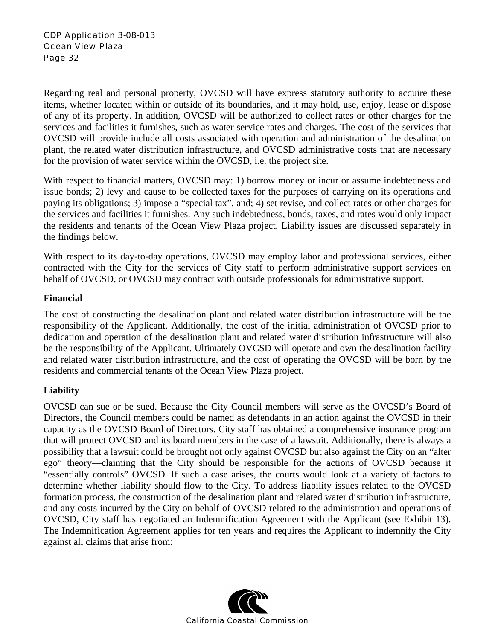Regarding real and personal property, OVCSD will have express statutory authority to acquire these items, whether located within or outside of its boundaries, and it may hold, use, enjoy, lease or dispose of any of its property. In addition, OVCSD will be authorized to collect rates or other charges for the services and facilities it furnishes, such as water service rates and charges. The cost of the services that OVCSD will provide include all costs associated with operation and administration of the desalination plant, the related water distribution infrastructure, and OVCSD administrative costs that are necessary for the provision of water service within the OVCSD, i.e. the project site.

With respect to financial matters, OVCSD may: 1) borrow money or incur or assume indebtedness and issue bonds; 2) levy and cause to be collected taxes for the purposes of carrying on its operations and paying its obligations; 3) impose a "special tax", and; 4) set revise, and collect rates or other charges for the services and facilities it furnishes. Any such indebtedness, bonds, taxes, and rates would only impact the residents and tenants of the Ocean View Plaza project. Liability issues are discussed separately in the findings below.

With respect to its day-to-day operations, OVCSD may employ labor and professional services, either contracted with the City for the services of City staff to perform administrative support services on behalf of OVCSD, or OVCSD may contract with outside professionals for administrative support.

#### **Financial**

The cost of constructing the desalination plant and related water distribution infrastructure will be the responsibility of the Applicant. Additionally, the cost of the initial administration of OVCSD prior to dedication and operation of the desalination plant and related water distribution infrastructure will also be the responsibility of the Applicant. Ultimately OVCSD will operate and own the desalination facility and related water distribution infrastructure, and the cost of operating the OVCSD will be born by the residents and commercial tenants of the Ocean View Plaza project.

#### **Liability**

OVCSD can sue or be sued. Because the City Council members will serve as the OVCSD's Board of Directors, the Council members could be named as defendants in an action against the OVCSD in their capacity as the OVCSD Board of Directors. City staff has obtained a comprehensive insurance program that will protect OVCSD and its board members in the case of a lawsuit. Additionally, there is always a possibility that a lawsuit could be brought not only against OVCSD but also against the City on an "alter ego" theory—claiming that the City should be responsible for the actions of OVCSD because it "essentially controls" OVCSD. If such a case arises, the courts would look at a variety of factors to determine whether liability should flow to the City. To address liability issues related to the OVCSD formation process, the construction of the desalination plant and related water distribution infrastructure, and any costs incurred by the City on behalf of OVCSD related to the administration and operations of OVCSD, City staff has negotiated an Indemnification Agreement with the Applicant (see Exhibit 13). The Indemnification Agreement applies for ten years and requires the Applicant to indemnify the City against all claims that arise from:

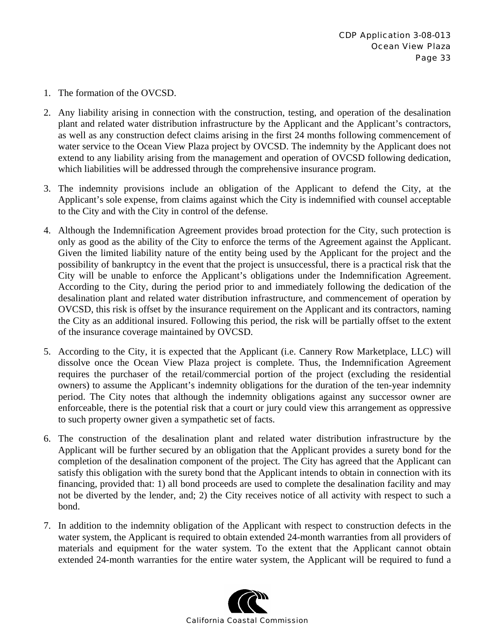- 1. The formation of the OVCSD.
- 2. Any liability arising in connection with the construction, testing, and operation of the desalination plant and related water distribution infrastructure by the Applicant and the Applicant's contractors, as well as any construction defect claims arising in the first 24 months following commencement of water service to the Ocean View Plaza project by OVCSD. The indemnity by the Applicant does not extend to any liability arising from the management and operation of OVCSD following dedication, which liabilities will be addressed through the comprehensive insurance program.
- 3. The indemnity provisions include an obligation of the Applicant to defend the City, at the Applicant's sole expense, from claims against which the City is indemnified with counsel acceptable to the City and with the City in control of the defense.
- 4. Although the Indemnification Agreement provides broad protection for the City, such protection is only as good as the ability of the City to enforce the terms of the Agreement against the Applicant. Given the limited liability nature of the entity being used by the Applicant for the project and the possibility of bankruptcy in the event that the project is unsuccessful, there is a practical risk that the City will be unable to enforce the Applicant's obligations under the Indemnification Agreement. According to the City, during the period prior to and immediately following the dedication of the desalination plant and related water distribution infrastructure, and commencement of operation by OVCSD, this risk is offset by the insurance requirement on the Applicant and its contractors, naming the City as an additional insured. Following this period, the risk will be partially offset to the extent of the insurance coverage maintained by OVCSD.
- 5. According to the City, it is expected that the Applicant (i.e. Cannery Row Marketplace, LLC) will dissolve once the Ocean View Plaza project is complete. Thus, the Indemnification Agreement requires the purchaser of the retail/commercial portion of the project (excluding the residential owners) to assume the Applicant's indemnity obligations for the duration of the ten-year indemnity period. The City notes that although the indemnity obligations against any successor owner are enforceable, there is the potential risk that a court or jury could view this arrangement as oppressive to such property owner given a sympathetic set of facts.
- 6. The construction of the desalination plant and related water distribution infrastructure by the Applicant will be further secured by an obligation that the Applicant provides a surety bond for the completion of the desalination component of the project. The City has agreed that the Applicant can satisfy this obligation with the surety bond that the Applicant intends to obtain in connection with its financing, provided that: 1) all bond proceeds are used to complete the desalination facility and may not be diverted by the lender, and; 2) the City receives notice of all activity with respect to such a bond.
- 7. In addition to the indemnity obligation of the Applicant with respect to construction defects in the water system, the Applicant is required to obtain extended 24-month warranties from all providers of materials and equipment for the water system. To the extent that the Applicant cannot obtain extended 24-month warranties for the entire water system, the Applicant will be required to fund a

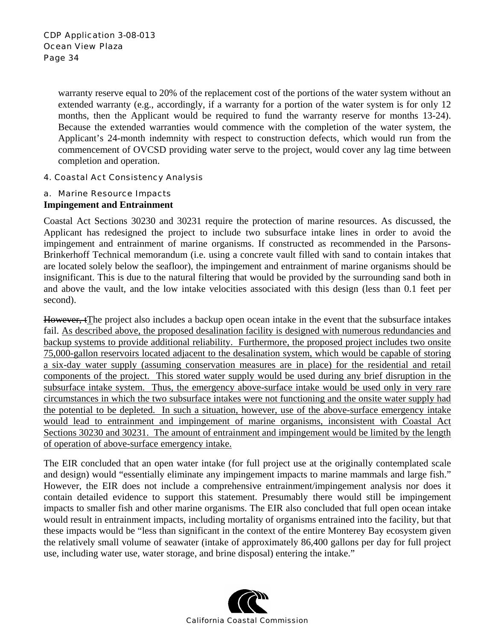warranty reserve equal to 20% of the replacement cost of the portions of the water system without an extended warranty (e.g., accordingly, if a warranty for a portion of the water system is for only 12 months, then the Applicant would be required to fund the warranty reserve for months 13-24). Because the extended warranties would commence with the completion of the water system, the Applicant's 24-month indemnity with respect to construction defects, which would run from the commencement of OVCSD providing water serve to the project, would cover any lag time between completion and operation.

#### 4. Coastal Act Consistency Analysis

#### a. Marine Resource Impacts **Impingement and Entrainment**

Coastal Act Sections 30230 and 30231 require the protection of marine resources. As discussed, the Applicant has redesigned the project to include two subsurface intake lines in order to avoid the impingement and entrainment of marine organisms. If constructed as recommended in the Parsons-Brinkerhoff Technical memorandum (i.e. using a concrete vault filled with sand to contain intakes that are located solely below the seafloor), the impingement and entrainment of marine organisms should be insignificant. This is due to the natural filtering that would be provided by the surrounding sand both in and above the vault, and the low intake velocities associated with this design (less than 0.1 feet per second).

However, tThe project also includes a backup open ocean intake in the event that the subsurface intakes fail. As described above, the proposed desalination facility is designed with numerous redundancies and backup systems to provide additional reliability. Furthermore, the proposed project includes two onsite 75,000-gallon reservoirs located adjacent to the desalination system, which would be capable of storing a six-day water supply (assuming conservation measures are in place) for the residential and retail components of the project. This stored water supply would be used during any brief disruption in the subsurface intake system. Thus, the emergency above-surface intake would be used only in very rare circumstances in which the two subsurface intakes were not functioning and the onsite water supply had the potential to be depleted. In such a situation, however, use of the above-surface emergency intake would lead to entrainment and impingement of marine organisms, inconsistent with Coastal Act Sections 30230 and 30231. The amount of entrainment and impingement would be limited by the length of operation of above-surface emergency intake.

The EIR concluded that an open water intake (for full project use at the originally contemplated scale and design) would "essentially eliminate any impingement impacts to marine mammals and large fish." However, the EIR does not include a comprehensive entrainment/impingement analysis nor does it contain detailed evidence to support this statement. Presumably there would still be impingement impacts to smaller fish and other marine organisms. The EIR also concluded that full open ocean intake would result in entrainment impacts, including mortality of organisms entrained into the facility, but that these impacts would be "less than significant in the context of the entire Monterey Bay ecosystem given the relatively small volume of seawater (intake of approximately 86,400 gallons per day for full project use, including water use, water storage, and brine disposal) entering the intake."

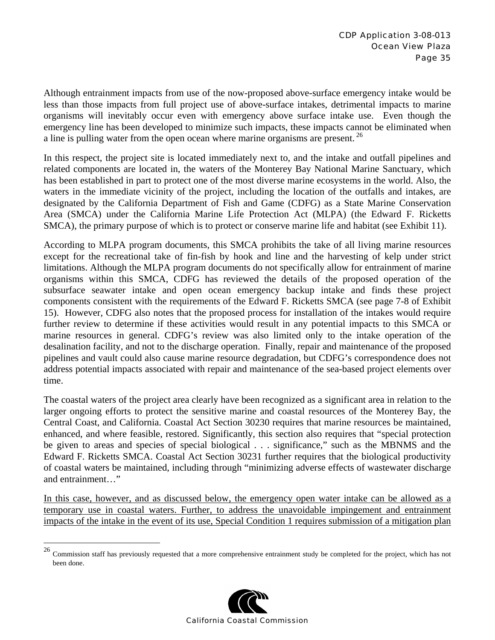Although entrainment impacts from use of the now-proposed above-surface emergency intake would be less than those impacts from full project use of above-surface intakes, detrimental impacts to marine organisms will inevitably occur even with emergency above surface intake use. Even though the emergency line has been developed to minimize such impacts, these impacts cannot be eliminated when a line is pulling water from the open ocean where marine organisms are present.  $^{26}$ 

In this respect, the project site is located immediately next to, and the intake and outfall pipelines and related components are located in, the waters of the Monterey Bay National Marine Sanctuary, which has been established in part to protect one of the most diverse marine ecosystems in the world. Also, the waters in the immediate vicinity of the project, including the location of the outfalls and intakes, are designated by the California Department of Fish and Game (CDFG) as a State Marine Conservation Area (SMCA) under the California Marine Life Protection Act (MLPA) (the Edward F. Ricketts SMCA), the primary purpose of which is to protect or conserve marine life and habitat (see Exhibit 11).

According to MLPA program documents, this SMCA prohibits the take of all living marine resources except for the recreational take of fin-fish by hook and line and the harvesting of kelp under strict limitations. Although the MLPA program documents do not specifically allow for entrainment of marine organisms within this SMCA, CDFG has reviewed the details of the proposed operation of the subsurface seawater intake and open ocean emergency backup intake and finds these project components consistent with the requirements of the Edward F. Ricketts SMCA (see page 7-8 of Exhibit 15). However, CDFG also notes that the proposed process for installation of the intakes would require further review to determine if these activities would result in any potential impacts to this SMCA or marine resources in general. CDFG's review was also limited only to the intake operation of the desalination facility, and not to the discharge operation. Finally, repair and maintenance of the proposed pipelines and vault could also cause marine resource degradation, but CDFG's correspondence does not address potential impacts associated with repair and maintenance of the sea-based project elements over time.

The coastal waters of the project area clearly have been recognized as a significant area in relation to the larger ongoing efforts to protect the sensitive marine and coastal resources of the Monterey Bay, the Central Coast, and California. Coastal Act Section 30230 requires that marine resources be maintained, enhanced, and where feasible, restored. Significantly, this section also requires that "special protection be given to areas and species of special biological . . . significance," such as the MBNMS and the Edward F. Ricketts SMCA. Coastal Act Section 30231 further requires that the biological productivity of coastal waters be maintained, including through "minimizing adverse effects of wastewater discharge and entrainment…"

In this case, however, and as discussed below, the emergency open water intake can be allowed as a temporary use in coastal waters. Further, to address the unavoidable impingement and entrainment impacts of the intake in the event of its use, Special Condition 1 requires submission of a mitigation plan

 $\overline{a}$ 



 $^{26}$  Commission staff has previously requested that a more comprehensive entrainment study be completed for the project, which has not been done.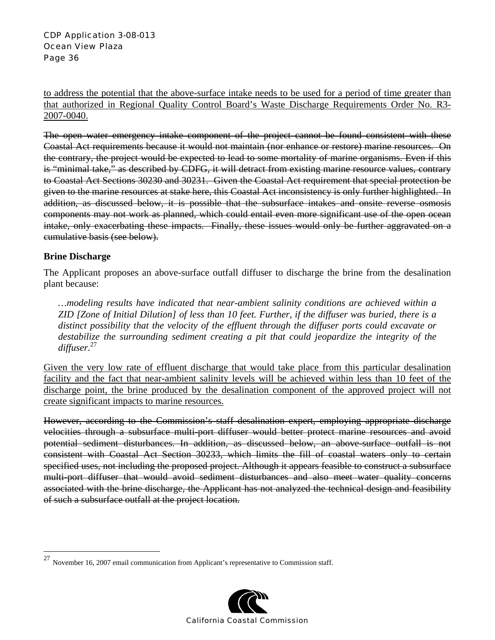#### CDP Application 3-08-013 Ocean View Plaza Page 36

to address the potential that the above-surface intake needs to be used for a period of time greater than that authorized in Regional Quality Control Board's Waste Discharge Requirements Order No. R3- 2007-0040.

The open water emergency intake component of the project cannot be found consistent with these Coastal Act requirements because it would not maintain (nor enhance or restore) marine resources. On the contrary, the project would be expected to lead to some mortality of marine organisms. Even if this is "minimal take," as described by CDFG, it will detract from existing marine resource values, contrary to Coastal Act Sections 30230 and 30231. Given the Coastal Act requirement that special protection be given to the marine resources at stake here, this Coastal Act inconsistency is only further highlighted. In addition, as discussed below, it is possible that the subsurface intakes and onsite reverse osmosis components may not work as planned, which could entail even more significant use of the open ocean intake, only exacerbating these impacts. Finally, these issues would only be further aggravated on a cumulative basis (see below).

#### **Brine Discharge**

1

The Applicant proposes an above-surface outfall diffuser to discharge the brine from the desalination plant because:

*…modeling results have indicated that near-ambient salinity conditions are achieved within a ZID [Zone of Initial Dilution] of less than 10 feet. Further, if the diffuser was buried, there is a distinct possibility that the velocity of the effluent through the diffuser ports could excavate or destabilize the surrounding sediment creating a pit that could jeopardize the integrity of the diffuser.*<sup>27</sup>

Given the very low rate of effluent discharge that would take place from this particular desalination facility and the fact that near-ambient salinity levels will be achieved within less than 10 feet of the discharge point, the brine produced by the desalination component of the approved project will not create significant impacts to marine resources.

However, according to the Commission's staff desalination expert, employing appropriate discharge velocities through a subsurface multi-port diffuser would better protect marine resources and avoid potential sediment disturbances. In addition, as discussed below, an above-surface outfall is not consistent with Coastal Act Section 30233, which limits the fill of coastal waters only to certain specified uses, not including the proposed project. Although it appears feasible to construct a subsurface multi-port diffuser that would avoid sediment disturbances and also meet water quality concerns associated with the brine discharge, the Applicant has not analyzed the technical design and feasibility of such a subsurface outfall at the project location.

 $27$  November 16, 2007 email communication from Applicant's representative to Commission staff.

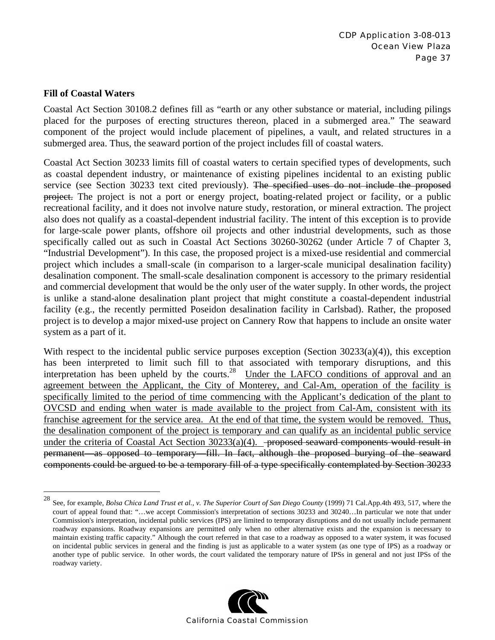#### **Fill of Coastal Waters**

 $\overline{a}$ 

Coastal Act Section 30108.2 defines fill as "earth or any other substance or material, including pilings placed for the purposes of erecting structures thereon, placed in a submerged area." The seaward component of the project would include placement of pipelines, a vault, and related structures in a submerged area. Thus, the seaward portion of the project includes fill of coastal waters.

Coastal Act Section 30233 limits fill of coastal waters to certain specified types of developments, such as coastal dependent industry, or maintenance of existing pipelines incidental to an existing public service (see Section 30233 text cited previously). The specified uses do not include the proposed project. The project is not a port or energy project, boating-related project or facility, or a public recreational facility, and it does not involve nature study, restoration, or mineral extraction. The project also does not qualify as a coastal-dependent industrial facility. The intent of this exception is to provide for large-scale power plants, offshore oil projects and other industrial developments, such as those specifically called out as such in Coastal Act Sections 30260-30262 (under Article 7 of Chapter 3, "Industrial Development"). In this case, the proposed project is a mixed-use residential and commercial project which includes a small-scale (in comparison to a larger-scale municipal desalination facility) desalination component. The small-scale desalination component is accessory to the primary residential and commercial development that would be the only user of the water supply. In other words, the project is unlike a stand-alone desalination plant project that might constitute a coastal-dependent industrial facility (e.g., the recently permitted Poseidon desalination facility in Carlsbad). Rather, the proposed project is to develop a major mixed-use project on Cannery Row that happens to include an onsite water system as a part of it.

With respect to the incidental public service purposes exception (Section 30233(a)(4)), this exception has been interpreted to limit such fill to that associated with temporary disruptions, and this interpretation has been upheld by the courts.<sup>28</sup> Under the LAFCO conditions of approval and an agreement between the Applicant, the City of Monterey, and Cal-Am, operation of the facility is specifically limited to the period of time commencing with the Applicant's dedication of the plant to OVCSD and ending when water is made available to the project from Cal-Am, consistent with its franchise agreement for the service area. At the end of that time, the system would be removed. Thus, the desalination component of the project is temporary and can qualify as an incidental public service under the criteria of Coastal Act Section  $30233(a)(4)$ . <del>proposed seaward components would result in</del> permanent—as opposed to temporary—fill. In fact, although the proposed burying of the seaward components could be argued to be a temporary fill of a type specifically contemplated by Section 30233

<sup>28</sup> See, for example, *Bolsa Chica Land Trust et al., v. The Superior Court of San Diego County* (1999) 71 Cal.App.4th 493, 517, where the court of appeal found that: "…we accept Commission's interpretation of sections 30233 and 30240…In particular we note that under Commission's interpretation, incidental public services (IPS) are limited to temporary disruptions and do not usually include permanent roadway expansions. Roadway expansions are permitted only when no other alternative exists and the expansion is necessary to maintain existing traffic capacity." Although the court referred in that case to a roadway as opposed to a water system, it was focused on incidental public services in general and the finding is just as applicable to a water system (as one type of IPS) as a roadway or another type of public service. In other words, the court validated the temporary nature of IPSs in general and not just IPSs of the roadway variety.

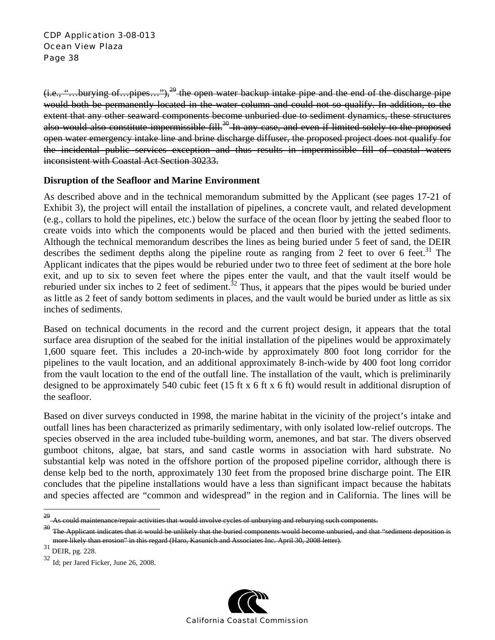$(i.e., "...$ burying of...pipes..."),<sup>29</sup> the open water backup intake pipe and the end of the discharge pipe would both be permanently located in the water column and could not so qualify. In addition, to the extent that any other seaward components become unburied due to sediment dynamics, these structures also would also constitute impermissible fill.<sup>30</sup> In any case, and even if limited solely to the proposed open water emergency intake line and brine discharge diffuser, the proposed project does not qualify for the incidental public services exception and thus results in impermissible fill of coastal waters inconsistent with Coastal Act Section 30233.

#### **Disruption of the Seafloor and Marine Environment**

As described above and in the technical memorandum submitted by the Applicant (see pages 17-21 of Exhibit 3), the project will entail the installation of pipelines, a concrete vault, and related development (e.g., collars to hold the pipelines, etc.) below the surface of the ocean floor by jetting the seabed floor to create voids into which the components would be placed and then buried with the jetted sediments. Although the technical memorandum describes the lines as being buried under 5 feet of sand, the DEIR describes the sediment depths along the pipeline route as ranging from 2 feet to over 6 feet.<sup>31</sup> The Applicant indicates that the pipes would be reburied under two to three feet of sediment at the bore hole exit, and up to six to seven feet where the pipes enter the vault, and that the vault itself would be reburied under six inches to 2 feet of sediment.<sup>32</sup> Thus, it appears that the pipes would be buried under as little as 2 feet of sandy bottom sediments in places, and the vault would be buried under as little as six inches of sediments.

Based on technical documents in the record and the current project design, it appears that the total surface area disruption of the seabed for the initial installation of the pipelines would be approximately 1,600 square feet. This includes a 20-inch-wide by approximately 800 foot long corridor for the pipelines to the vault location, and an additional approximately 8-inch-wide by 400 foot long corridor from the vault location to the end of the outfall line. The installation of the vault, which is preliminarily designed to be approximately 540 cubic feet (15 ft x 6 ft x 6 ft) would result in additional disruption of the seafloor.

Based on diver surveys conducted in 1998, the marine habitat in the vicinity of the project's intake and outfall lines has been characterized as primarily sedimentary, with only isolated low-relief outcrops. The species observed in the area included tube-building worm, anemones, and bat star. The divers observed gumboot chitons, algae, bat stars, and sand castle worms in association with hard substrate. No substantial kelp was noted in the offshore portion of the proposed pipeline corridor, although there is dense kelp bed to the north, approximately 130 feet from the proposed brine discharge point. The EIR concludes that the pipeline installations would have a less than significant impact because the habitats and species affected are "common and widespread" in the region and in California. The lines will be

 $\overline{a}$ 

<sup>32</sup> Id; per Jared Ficker, June 26, 2008.



As could maintenance/repair activities that would involve cycles of unburying and reburying such components.

<sup>&</sup>lt;sup>30</sup> The Applicant indicates that it would be unlikely that the buried components would become unburied, and that "sediment deposition is more likely than erosion" in this regard (Haro, Kasunich and Associates Inc. April 30, 2008 letter).

 $31$  DEIR, pg. 228.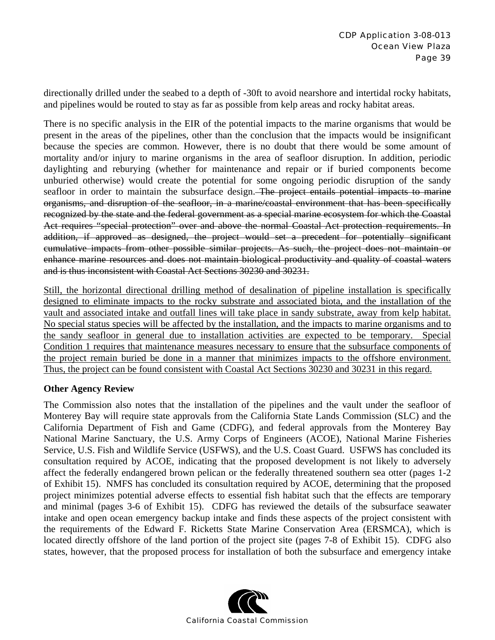directionally drilled under the seabed to a depth of -30ft to avoid nearshore and intertidal rocky habitats, and pipelines would be routed to stay as far as possible from kelp areas and rocky habitat areas.

There is no specific analysis in the EIR of the potential impacts to the marine organisms that would be present in the areas of the pipelines, other than the conclusion that the impacts would be insignificant because the species are common. However, there is no doubt that there would be some amount of mortality and/or injury to marine organisms in the area of seafloor disruption. In addition, periodic daylighting and reburying (whether for maintenance and repair or if buried components become unburied otherwise) would create the potential for some ongoing periodic disruption of the sandy seafloor in order to maintain the subsurface design. The project entails potential impacts to marine organisms, and disruption of the seafloor, in a marine/coastal environment that has been specifically recognized by the state and the federal government as a special marine ecosystem for which the Coastal Act requires "special protection" over and above the normal Coastal Act protection requirements. In addition, if approved as designed, the project would set a precedent for potentially significant cumulative impacts from other possible similar projects. As such, the project does not maintain or enhance marine resources and does not maintain biological productivity and quality of coastal waters and is thus inconsistent with Coastal Act Sections 30230 and 30231.

Still, the horizontal directional drilling method of desalination of pipeline installation is specifically designed to eliminate impacts to the rocky substrate and associated biota, and the installation of the vault and associated intake and outfall lines will take place in sandy substrate, away from kelp habitat. No special status species will be affected by the installation, and the impacts to marine organisms and to the sandy seafloor in general due to installation activities are expected to be temporary. Special Condition 1 requires that maintenance measures necessary to ensure that the subsurface components of the project remain buried be done in a manner that minimizes impacts to the offshore environment. Thus, the project can be found consistent with Coastal Act Sections 30230 and 30231 in this regard.

#### **Other Agency Review**

The Commission also notes that the installation of the pipelines and the vault under the seafloor of Monterey Bay will require state approvals from the California State Lands Commission (SLC) and the California Department of Fish and Game (CDFG), and federal approvals from the Monterey Bay National Marine Sanctuary, the U.S. Army Corps of Engineers (ACOE), National Marine Fisheries Service, U.S. Fish and Wildlife Service (USFWS), and the U.S. Coast Guard. USFWS has concluded its consultation required by ACOE, indicating that the proposed development is not likely to adversely affect the federally endangered brown pelican or the federally threatened southern sea otter (pages 1-2 of Exhibit 15). NMFS has concluded its consultation required by ACOE, determining that the proposed project minimizes potential adverse effects to essential fish habitat such that the effects are temporary and minimal (pages 3-6 of Exhibit 15). CDFG has reviewed the details of the subsurface seawater intake and open ocean emergency backup intake and finds these aspects of the project consistent with the requirements of the Edward F. Ricketts State Marine Conservation Area (ERSMCA), which is located directly offshore of the land portion of the project site (pages 7-8 of Exhibit 15). CDFG also states, however, that the proposed process for installation of both the subsurface and emergency intake

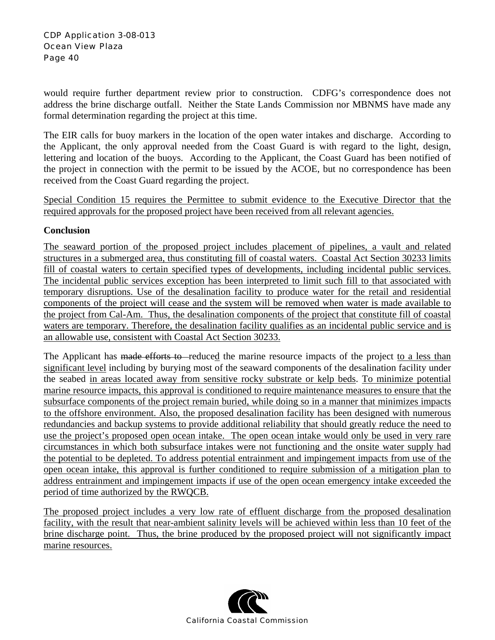would require further department review prior to construction. CDFG's correspondence does not address the brine discharge outfall. Neither the State Lands Commission nor MBNMS have made any formal determination regarding the project at this time.

The EIR calls for buoy markers in the location of the open water intakes and discharge. According to the Applicant, the only approval needed from the Coast Guard is with regard to the light, design, lettering and location of the buoys. According to the Applicant, the Coast Guard has been notified of the project in connection with the permit to be issued by the ACOE, but no correspondence has been received from the Coast Guard regarding the project.

Special Condition 15 requires the Permittee to submit evidence to the Executive Director that the required approvals for the proposed project have been received from all relevant agencies.

### **Conclusion**

The seaward portion of the proposed project includes placement of pipelines, a vault and related structures in a submerged area, thus constituting fill of coastal waters. Coastal Act Section 30233 limits fill of coastal waters to certain specified types of developments, including incidental public services. The incidental public services exception has been interpreted to limit such fill to that associated with temporary disruptions. Use of the desalination facility to produce water for the retail and residential components of the project will cease and the system will be removed when water is made available to the project from Cal-Am. Thus, the desalination components of the project that constitute fill of coastal waters are temporary. Therefore, the desalination facility qualifies as an incidental public service and is an allowable use, consistent with Coastal Act Section 30233.

The Applicant has made efforts to reduced the marine resource impacts of the project to a less than significant level including by burying most of the seaward components of the desalination facility under the seabed in areas located away from sensitive rocky substrate or kelp beds. To minimize potential marine resource impacts, this approval is conditioned to require maintenance measures to ensure that the subsurface components of the project remain buried, while doing so in a manner that minimizes impacts to the offshore environment. Also, the proposed desalination facility has been designed with numerous redundancies and backup systems to provide additional reliability that should greatly reduce the need to use the project's proposed open ocean intake. The open ocean intake would only be used in very rare circumstances in which both subsurface intakes were not functioning and the onsite water supply had the potential to be depleted. To address potential entrainment and impingement impacts from use of the open ocean intake, this approval is further conditioned to require submission of a mitigation plan to address entrainment and impingement impacts if use of the open ocean emergency intake exceeded the period of time authorized by the RWQCB.

The proposed project includes a very low rate of effluent discharge from the proposed desalination facility, with the result that near-ambient salinity levels will be achieved within less than 10 feet of the brine discharge point. Thus, the brine produced by the proposed project will not significantly impact marine resources.

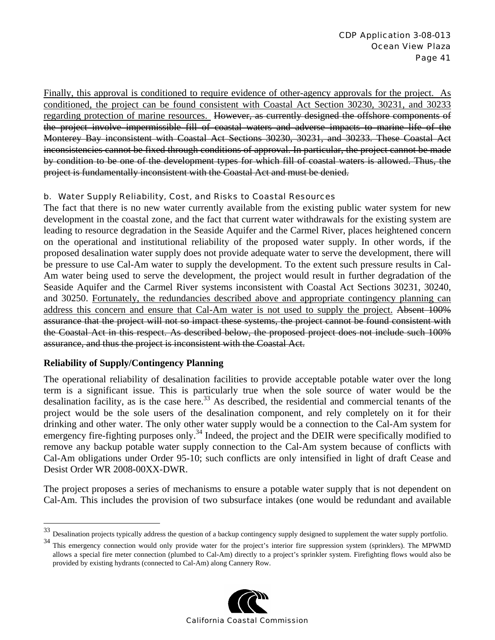Finally, this approval is conditioned to require evidence of other-agency approvals for the project. As conditioned, the project can be found consistent with Coastal Act Section 30230, 30231, and 30233 regarding protection of marine resources. However, as currently designed the offshore components of the project involve impermissible fill of coastal waters and adverse impacts to marine life of the Monterey Bay inconsistent with Coastal Act Sections 30230, 30231, and 30233. These Coastal Act inconsistencies cannot be fixed through conditions of approval. In particular, the project cannot be made by condition to be one of the development types for which fill of coastal waters is allowed. Thus, the project is fundamentally inconsistent with the Coastal Act and must be denied.

#### b. Water Supply Reliability, Cost, and Risks to Coastal Resources

The fact that there is no new water currently available from the existing public water system for new development in the coastal zone, and the fact that current water withdrawals for the existing system are leading to resource degradation in the Seaside Aquifer and the Carmel River, places heightened concern on the operational and institutional reliability of the proposed water supply. In other words, if the proposed desalination water supply does not provide adequate water to serve the development, there will be pressure to use Cal-Am water to supply the development. To the extent such pressure results in Cal-Am water being used to serve the development, the project would result in further degradation of the Seaside Aquifer and the Carmel River systems inconsistent with Coastal Act Sections 30231, 30240, and 30250. Fortunately, the redundancies described above and appropriate contingency planning can address this concern and ensure that Cal-Am water is not used to supply the project. Absent 100% assurance that the project will not so impact these systems, the project cannot be found consistent with the Coastal Act in this respect. As described below, the proposed project does not include such 100% assurance, and thus the project is inconsistent with the Coastal Act.

### **Reliability of Supply/Contingency Planning**

<u>.</u>

The operational reliability of desalination facilities to provide acceptable potable water over the long term is a significant issue. This is particularly true when the sole source of water would be the desalination facility, as is the case here.<sup>33</sup> As described, the residential and commercial tenants of the project would be the sole users of the desalination component, and rely completely on it for their drinking and other water. The only other water supply would be a connection to the Cal-Am system for emergency fire-fighting purposes only.<sup>34</sup> Indeed, the project and the DEIR were specifically modified to remove any backup potable water supply connection to the Cal-Am system because of conflicts with Cal-Am obligations under Order 95-10; such conflicts are only intensified in light of draft Cease and Desist Order WR 2008-00XX-DWR.

The project proposes a series of mechanisms to ensure a potable water supply that is not dependent on Cal-Am. This includes the provision of two subsurface intakes (one would be redundant and available

<sup>&</sup>lt;sup>34</sup> This emergency connection would only provide water for the project's interior fire suppression system (sprinklers). The MPWMD allows a special fire meter connection (plumbed to Cal-Am) directly to a project's sprinkler system. Firefighting flows would also be provided by existing hydrants (connected to Cal-Am) along Cannery Row.



<sup>33</sup> Desalination projects typically address the question of a backup contingency supply designed to supplement the water supply portfolio.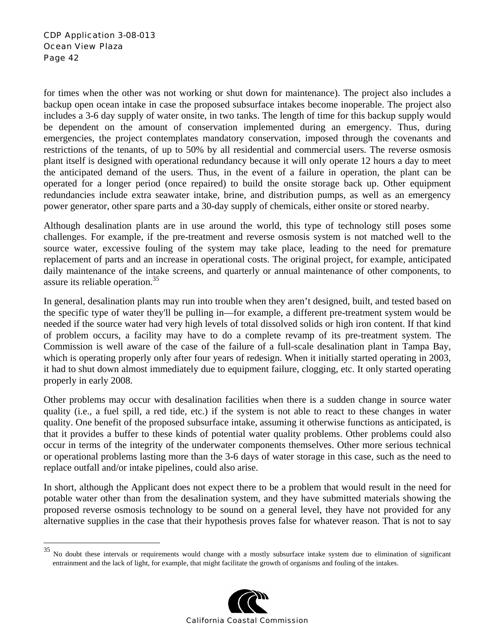$\overline{a}$ 

for times when the other was not working or shut down for maintenance). The project also includes a backup open ocean intake in case the proposed subsurface intakes become inoperable. The project also includes a 3-6 day supply of water onsite, in two tanks. The length of time for this backup supply would be dependent on the amount of conservation implemented during an emergency. Thus, during emergencies, the project contemplates mandatory conservation, imposed through the covenants and restrictions of the tenants, of up to 50% by all residential and commercial users. The reverse osmosis plant itself is designed with operational redundancy because it will only operate 12 hours a day to meet the anticipated demand of the users. Thus, in the event of a failure in operation, the plant can be operated for a longer period (once repaired) to build the onsite storage back up. Other equipment redundancies include extra seawater intake, brine, and distribution pumps, as well as an emergency power generator, other spare parts and a 30-day supply of chemicals, either onsite or stored nearby.

Although desalination plants are in use around the world, this type of technology still poses some challenges. For example, if the pre-treatment and reverse osmosis system is not matched well to the source water, excessive fouling of the system may take place, leading to the need for premature replacement of parts and an increase in operational costs. The original project, for example, anticipated daily maintenance of the intake screens, and quarterly or annual maintenance of other components, to assure its reliable operation.<sup>35</sup>

In general, desalination plants may run into trouble when they aren't designed, built, and tested based on the specific type of water they'll be pulling in—for example, a different pre-treatment system would be needed if the source water had very high levels of total dissolved solids or high iron content. If that kind of problem occurs, a facility may have to do a complete revamp of its pre-treatment system. The Commission is well aware of the case of the failure of a full-scale desalination plant in Tampa Bay, which is operating properly only after four years of redesign. When it initially started operating in 2003, it had to shut down almost immediately due to equipment failure, clogging, etc. It only started operating properly in early 2008.

Other problems may occur with desalination facilities when there is a sudden change in source water quality (i.e., a fuel spill, a red tide, etc.) if the system is not able to react to these changes in water quality. One benefit of the proposed subsurface intake, assuming it otherwise functions as anticipated, is that it provides a buffer to these kinds of potential water quality problems. Other problems could also occur in terms of the integrity of the underwater components themselves. Other more serious technical or operational problems lasting more than the 3-6 days of water storage in this case, such as the need to replace outfall and/or intake pipelines, could also arise.

In short, although the Applicant does not expect there to be a problem that would result in the need for potable water other than from the desalination system, and they have submitted materials showing the proposed reverse osmosis technology to be sound on a general level, they have not provided for any alternative supplies in the case that their hypothesis proves false for whatever reason. That is not to say

<sup>35</sup> No doubt these intervals or requirements would change with a mostly subsurface intake system due to elimination of significant entrainment and the lack of light, for example, that might facilitate the growth of organisms and fouling of the intakes.

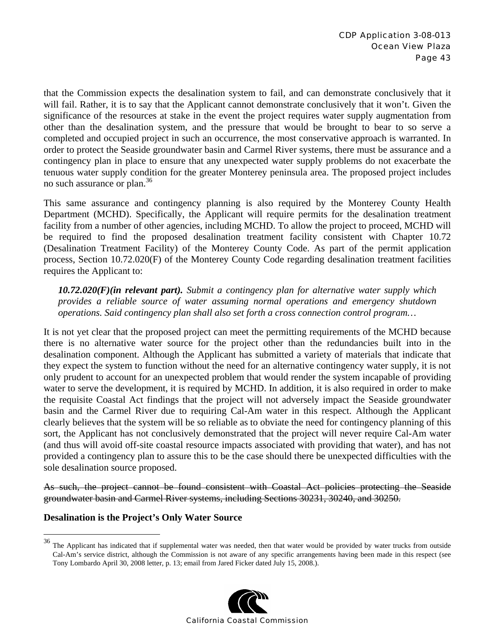that the Commission expects the desalination system to fail, and can demonstrate conclusively that it will fail. Rather, it is to say that the Applicant cannot demonstrate conclusively that it won't. Given the significance of the resources at stake in the event the project requires water supply augmentation from other than the desalination system, and the pressure that would be brought to bear to so serve a completed and occupied project in such an occurrence, the most conservative approach is warranted. In order to protect the Seaside groundwater basin and Carmel River systems, there must be assurance and a contingency plan in place to ensure that any unexpected water supply problems do not exacerbate the tenuous water supply condition for the greater Monterey peninsula area. The proposed project includes no such assurance or plan.<sup>36</sup>

This same assurance and contingency planning is also required by the Monterey County Health Department (MCHD). Specifically, the Applicant will require permits for the desalination treatment facility from a number of other agencies, including MCHD. To allow the project to proceed, MCHD will be required to find the proposed desalination treatment facility consistent with Chapter 10.72 (Desalination Treatment Facility) of the Monterey County Code. As part of the permit application process, Section 10.72.020(F) of the Monterey County Code regarding desalination treatment facilities requires the Applicant to:

*10.72.020(F)(in relevant part). Submit a contingency plan for alternative water supply which provides a reliable source of water assuming normal operations and emergency shutdown operations. Said contingency plan shall also set forth a cross connection control program…* 

It is not yet clear that the proposed project can meet the permitting requirements of the MCHD because there is no alternative water source for the project other than the redundancies built into in the desalination component. Although the Applicant has submitted a variety of materials that indicate that they expect the system to function without the need for an alternative contingency water supply, it is not only prudent to account for an unexpected problem that would render the system incapable of providing water to serve the development, it is required by MCHD. In addition, it is also required in order to make the requisite Coastal Act findings that the project will not adversely impact the Seaside groundwater basin and the Carmel River due to requiring Cal-Am water in this respect. Although the Applicant clearly believes that the system will be so reliable as to obviate the need for contingency planning of this sort, the Applicant has not conclusively demonstrated that the project will never require Cal-Am water (and thus will avoid off-site coastal resource impacts associated with providing that water), and has not provided a contingency plan to assure this to be the case should there be unexpected difficulties with the sole desalination source proposed.

As such, the project cannot be found consistent with Coastal Act policies protecting the Seaside groundwater basin and Carmel River systems, including Sections 30231, 30240, and 30250.

### **Desalination is the Project's Only Water Source**

 $\overline{a}$ 

 $36$  The Applicant has indicated that if supplemental water was needed, then that water would be provided by water trucks from outside Cal-Am's service district, although the Commission is not aware of any specific arrangements having been made in this respect (see Tony Lombardo April 30, 2008 letter, p. 13; email from Jared Ficker dated July 15, 2008.).

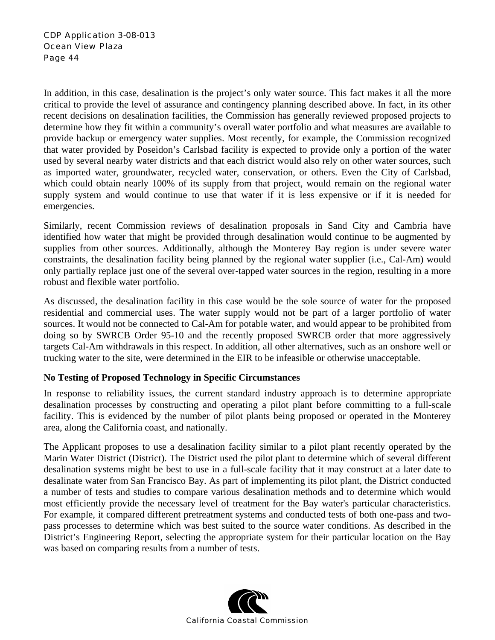In addition, in this case, desalination is the project's only water source. This fact makes it all the more critical to provide the level of assurance and contingency planning described above. In fact, in its other recent decisions on desalination facilities, the Commission has generally reviewed proposed projects to determine how they fit within a community's overall water portfolio and what measures are available to provide backup or emergency water supplies. Most recently, for example, the Commission recognized that water provided by Poseidon's Carlsbad facility is expected to provide only a portion of the water used by several nearby water districts and that each district would also rely on other water sources, such as imported water, groundwater, recycled water, conservation, or others. Even the City of Carlsbad, which could obtain nearly 100% of its supply from that project, would remain on the regional water supply system and would continue to use that water if it is less expensive or if it is needed for emergencies.

Similarly, recent Commission reviews of desalination proposals in Sand City and Cambria have identified how water that might be provided through desalination would continue to be augmented by supplies from other sources. Additionally, although the Monterey Bay region is under severe water constraints, the desalination facility being planned by the regional water supplier (i.e., Cal-Am) would only partially replace just one of the several over-tapped water sources in the region, resulting in a more robust and flexible water portfolio.

As discussed, the desalination facility in this case would be the sole source of water for the proposed residential and commercial uses. The water supply would not be part of a larger portfolio of water sources. It would not be connected to Cal-Am for potable water, and would appear to be prohibited from doing so by SWRCB Order 95-10 and the recently proposed SWRCB order that more aggressively targets Cal-Am withdrawals in this respect. In addition, all other alternatives, such as an onshore well or trucking water to the site, were determined in the EIR to be infeasible or otherwise unacceptable.

### **No Testing of Proposed Technology in Specific Circumstances**

In response to reliability issues, the current standard industry approach is to determine appropriate desalination processes by constructing and operating a pilot plant before committing to a full-scale facility. This is evidenced by the number of pilot plants being proposed or operated in the Monterey area, along the California coast, and nationally.

The Applicant proposes to use a desalination facility similar to a pilot plant recently operated by the Marin Water District (District). The District used the pilot plant to determine which of several different desalination systems might be best to use in a full-scale facility that it may construct at a later date to desalinate water from San Francisco Bay. As part of implementing its pilot plant, the District conducted a number of tests and studies to compare various desalination methods and to determine which would most efficiently provide the necessary level of treatment for the Bay water's particular characteristics. For example, it compared different pretreatment systems and conducted tests of both one-pass and twopass processes to determine which was best suited to the source water conditions. As described in the District's Engineering Report, selecting the appropriate system for their particular location on the Bay was based on comparing results from a number of tests.

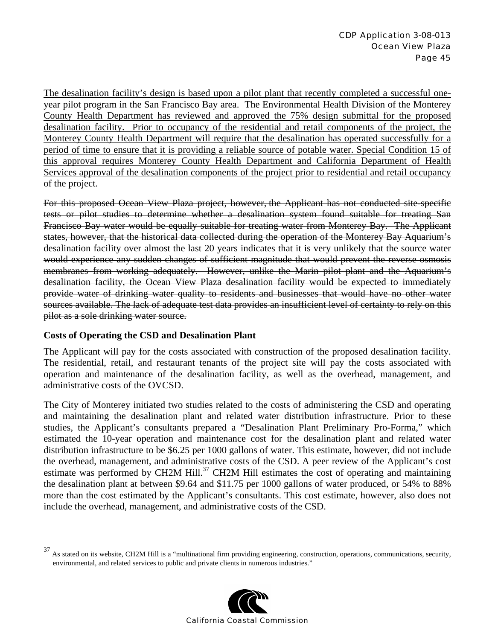The desalination facility's design is based upon a pilot plant that recently completed a successful oneyear pilot program in the San Francisco Bay area. The Environmental Health Division of the Monterey County Health Department has reviewed and approved the 75% design submittal for the proposed desalination facility. Prior to occupancy of the residential and retail components of the project, the Monterey County Health Department will require that the desalination has operated successfully for a period of time to ensure that it is providing a reliable source of potable water. Special Condition 15 of this approval requires Monterey County Health Department and California Department of Health Services approval of the desalination components of the project prior to residential and retail occupancy of the project.

For this proposed Ocean View Plaza project, however, the Applicant has not conducted site-specific tests or pilot studies to determine whether a desalination system found suitable for treating San Francisco Bay water would be equally suitable for treating water from Monterey Bay. The Applicant states, however, that the historical data collected during the operation of the Monterey Bay Aquarium's desalination facility over almost the last 20 years indicates that it is very unlikely that the source water would experience any sudden changes of sufficient magnitude that would prevent the reverse osmosis membranes from working adequately. However, unlike the Marin pilot plant and the Aquarium's desalination facility, the Ocean View Plaza desalination facility would be expected to immediately provide water of drinking water quality to residents and businesses that would have no other water sources available. The lack of adequate test data provides an insufficient level of certainty to rely on this pilot as a sole drinking water source.

### **Costs of Operating the CSD and Desalination Plant**

1

The Applicant will pay for the costs associated with construction of the proposed desalination facility. The residential, retail, and restaurant tenants of the project site will pay the costs associated with operation and maintenance of the desalination facility, as well as the overhead, management, and administrative costs of the OVCSD.

The City of Monterey initiated two studies related to the costs of administering the CSD and operating and maintaining the desalination plant and related water distribution infrastructure. Prior to these studies, the Applicant's consultants prepared a "Desalination Plant Preliminary Pro-Forma," which estimated the 10-year operation and maintenance cost for the desalination plant and related water distribution infrastructure to be \$6.25 per 1000 gallons of water. This estimate, however, did not include the overhead, management, and administrative costs of the CSD. A peer review of the Applicant's cost estimate was performed by CH2M Hill.<sup>37</sup> CH2M Hill estimates the cost of operating and maintaining the desalination plant at between \$9.64 and \$11.75 per 1000 gallons of water produced, or 54% to 88% more than the cost estimated by the Applicant's consultants. This cost estimate, however, also does not include the overhead, management, and administrative costs of the CSD.

<sup>&</sup>lt;sup>37</sup> As stated on its website, CH2M Hill is a "multinational firm providing engineering, construction, operations, communications, security, environmental, and related services to public and private clients in numerous industries."

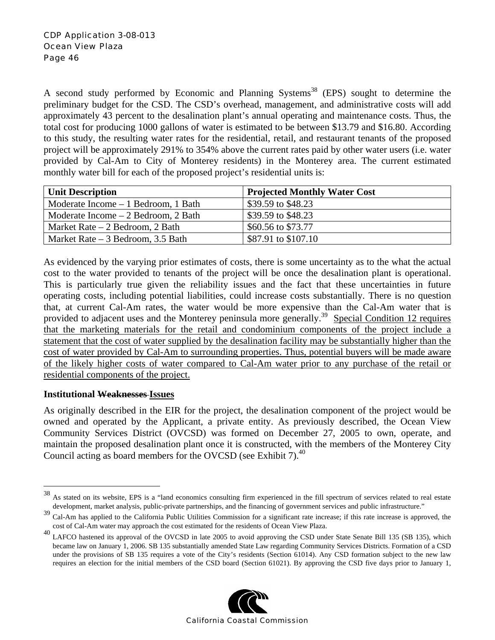A second study performed by Economic and Planning Systems<sup>38</sup> (EPS) sought to determine the preliminary budget for the CSD. The CSD's overhead, management, and administrative costs will add approximately 43 percent to the desalination plant's annual operating and maintenance costs. Thus, the total cost for producing 1000 gallons of water is estimated to be between \$13.79 and \$16.80. According to this study, the resulting water rates for the residential, retail, and restaurant tenants of the proposed project will be approximately 291% to 354% above the current rates paid by other water users (i.e. water provided by Cal-Am to City of Monterey residents) in the Monterey area. The current estimated monthly water bill for each of the proposed project's residential units is:

| <b>Unit Description</b>              | <b>Projected Monthly Water Cost</b> |
|--------------------------------------|-------------------------------------|
| Moderate Income – 1 Bedroom, 1 Bath  | \$39.59 to \$48.23                  |
| Moderate Income $-2$ Bedroom, 2 Bath | \$39.59 to \$48.23                  |
| Market Rate $-2$ Bedroom, 2 Bath     | \$60.56 to \$73.77                  |
| Market Rate $-3$ Bedroom, 3.5 Bath   | \$87.91 to \$107.10                 |

As evidenced by the varying prior estimates of costs, there is some uncertainty as to the what the actual cost to the water provided to tenants of the project will be once the desalination plant is operational. This is particularly true given the reliability issues and the fact that these uncertainties in future operating costs, including potential liabilities, could increase costs substantially. There is no question that, at current Cal-Am rates, the water would be more expensive than the Cal-Am water that is provided to adjacent uses and the Monterey peninsula more generally.<sup>39</sup> Special Condition 12 requires that the marketing materials for the retail and condominium components of the project include a statement that the cost of water supplied by the desalination facility may be substantially higher than the cost of water provided by Cal-Am to surrounding properties. Thus, potential buyers will be made aware of the likely higher costs of water compared to Cal-Am water prior to any purchase of the retail or residential components of the project.

#### **Institutional Weaknesses Issues**

 $\overline{a}$ 

As originally described in the EIR for the project, the desalination component of the project would be owned and operated by the Applicant, a private entity. As previously described, the Ocean View Community Services District (OVCSD) was formed on December 27, 2005 to own, operate, and maintain the proposed desalination plant once it is constructed, with the members of the Monterey City Council acting as board members for the OVCSD (see Exhibit 7).<sup>40</sup>

cost of Cal-Am water may approach the cost estimated for the residents of Ocean View Plaza.<br><sup>40</sup> LAFCO hastened its approval of the OVCSD in late 2005 to avoid approving the CSD under State Senate Bill 135 (SB 135), which became law on January 1, 2006. SB 135 substantially amended State Law regarding Community Services Districts. Formation of a CSD under the provisions of SB 135 requires a vote of the City's residents (Section 61014). Any CSD formation subject to the new law requires an election for the initial members of the CSD board (Section 61021). By approving the CSD five days prior to January 1,



<sup>38</sup> As stated on its website, EPS is a "land economics consulting firm experienced in the fill spectrum of services related to real estate development, market analysis, public-private partnerships, and the financing of government services and public infrastructure."

<sup>&</sup>lt;sup>39</sup> Cal-Am has applied to the California Public Utilities Commission for a significant rate increase; if this rate increase is approved, the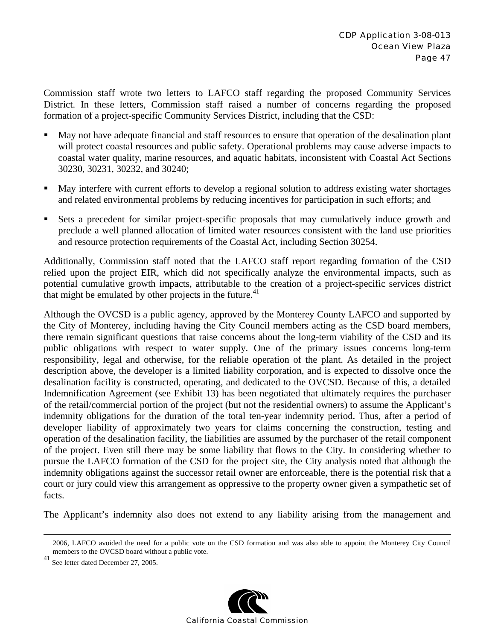Commission staff wrote two letters to LAFCO staff regarding the proposed Community Services District. In these letters, Commission staff raised a number of concerns regarding the proposed formation of a project-specific Community Services District, including that the CSD:

- May not have adequate financial and staff resources to ensure that operation of the desalination plant will protect coastal resources and public safety. Operational problems may cause adverse impacts to coastal water quality, marine resources, and aquatic habitats, inconsistent with Coastal Act Sections 30230, 30231, 30232, and 30240;
- May interfere with current efforts to develop a regional solution to address existing water shortages and related environmental problems by reducing incentives for participation in such efforts; and
- Sets a precedent for similar project-specific proposals that may cumulatively induce growth and preclude a well planned allocation of limited water resources consistent with the land use priorities and resource protection requirements of the Coastal Act, including Section 30254.

Additionally, Commission staff noted that the LAFCO staff report regarding formation of the CSD relied upon the project EIR, which did not specifically analyze the environmental impacts, such as potential cumulative growth impacts, attributable to the creation of a project-specific services district that might be emulated by other projects in the future.<sup>41</sup>

Although the OVCSD is a public agency, approved by the Monterey County LAFCO and supported by the City of Monterey, including having the City Council members acting as the CSD board members, there remain significant questions that raise concerns about the long-term viability of the CSD and its public obligations with respect to water supply. One of the primary issues concerns long-term responsibility, legal and otherwise, for the reliable operation of the plant. As detailed in the project description above, the developer is a limited liability corporation, and is expected to dissolve once the desalination facility is constructed, operating, and dedicated to the OVCSD. Because of this, a detailed Indemnification Agreement (see Exhibit 13) has been negotiated that ultimately requires the purchaser of the retail/commercial portion of the project (but not the residential owners) to assume the Applicant's indemnity obligations for the duration of the total ten-year indemnity period. Thus, after a period of developer liability of approximately two years for claims concerning the construction, testing and operation of the desalination facility, the liabilities are assumed by the purchaser of the retail component of the project. Even still there may be some liability that flows to the City. In considering whether to pursue the LAFCO formation of the CSD for the project site, the City analysis noted that although the indemnity obligations against the successor retail owner are enforceable, there is the potential risk that a court or jury could view this arrangement as oppressive to the property owner given a sympathetic set of facts.

The Applicant's indemnity also does not extend to any liability arising from the management and

<sup>41</sup> See letter dated December 27, 2005.



 <sup>2006,</sup> LAFCO avoided the need for a public vote on the CSD formation and was also able to appoint the Monterey City Council members to the OVCSD board without a public vote.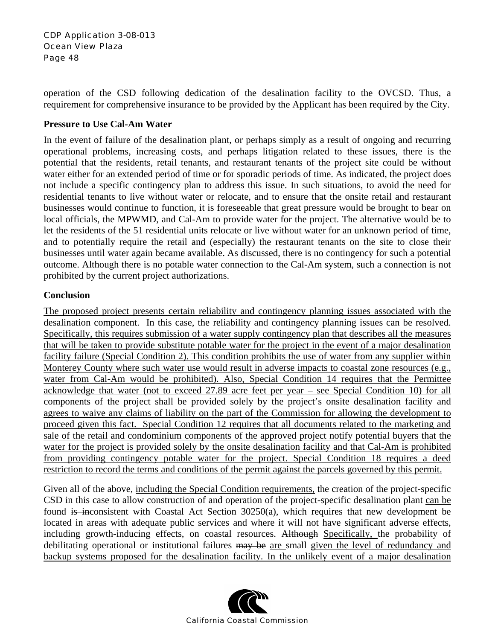operation of the CSD following dedication of the desalination facility to the OVCSD. Thus, a requirement for comprehensive insurance to be provided by the Applicant has been required by the City.

#### **Pressure to Use Cal-Am Water**

In the event of failure of the desalination plant, or perhaps simply as a result of ongoing and recurring operational problems, increasing costs, and perhaps litigation related to these issues, there is the potential that the residents, retail tenants, and restaurant tenants of the project site could be without water either for an extended period of time or for sporadic periods of time. As indicated, the project does not include a specific contingency plan to address this issue. In such situations, to avoid the need for residential tenants to live without water or relocate, and to ensure that the onsite retail and restaurant businesses would continue to function, it is foreseeable that great pressure would be brought to bear on local officials, the MPWMD, and Cal-Am to provide water for the project. The alternative would be to let the residents of the 51 residential units relocate or live without water for an unknown period of time, and to potentially require the retail and (especially) the restaurant tenants on the site to close their businesses until water again became available. As discussed, there is no contingency for such a potential outcome. Although there is no potable water connection to the Cal-Am system, such a connection is not prohibited by the current project authorizations.

#### **Conclusion**

The proposed project presents certain reliability and contingency planning issues associated with the desalination component. In this case, the reliability and contingency planning issues can be resolved. Specifically, this requires submission of a water supply contingency plan that describes all the measures that will be taken to provide substitute potable water for the project in the event of a major desalination facility failure (Special Condition 2). This condition prohibits the use of water from any supplier within Monterey County where such water use would result in adverse impacts to coastal zone resources (e.g., water from Cal-Am would be prohibited). Also, Special Condition 14 requires that the Permittee acknowledge that water (not to exceed 27.89 acre feet per year – see Special Condition 10) for all components of the project shall be provided solely by the project's onsite desalination facility and agrees to waive any claims of liability on the part of the Commission for allowing the development to proceed given this fact. Special Condition 12 requires that all documents related to the marketing and sale of the retail and condominium components of the approved project notify potential buyers that the water for the project is provided solely by the onsite desalination facility and that Cal-Am is prohibited from providing contingency potable water for the project. Special Condition 18 requires a deed restriction to record the terms and conditions of the permit against the parcels governed by this permit.

Given all of the above, including the Special Condition requirements, the creation of the project-specific CSD in this case to allow construction of and operation of the project-specific desalination plant can be found is inconsistent with Coastal Act Section 30250(a), which requires that new development be located in areas with adequate public services and where it will not have significant adverse effects, including growth-inducing effects, on coastal resources. Although Specifically, the probability of debilitating operational or institutional failures may be are small given the level of redundancy and backup systems proposed for the desalination facility. In the unlikely event of a major desalination

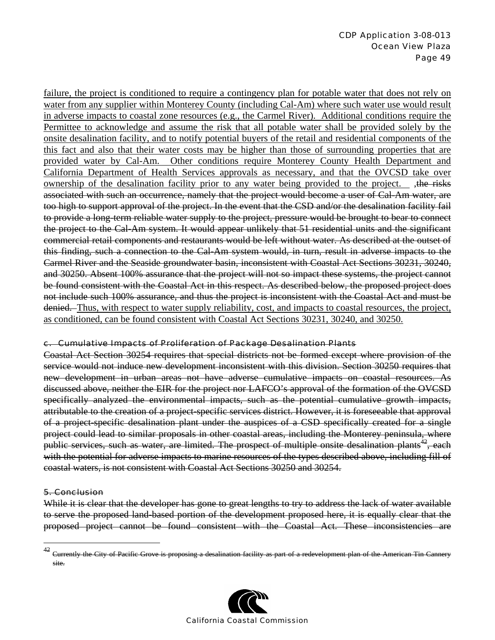failure, the project is conditioned to require a contingency plan for potable water that does not rely on water from any supplier within Monterey County (including Cal-Am) where such water use would result in adverse impacts to coastal zone resources (e.g., the Carmel River). Additional conditions require the Permittee to acknowledge and assume the risk that all potable water shall be provided solely by the onsite desalination facility, and to notify potential buyers of the retail and residential components of the this fact and also that their water costs may be higher than those of surrounding properties that are provided water by Cal-Am. Other conditions require Monterey County Health Department and California Department of Health Services approvals as necessary, and that the OVCSD take over ownership of the desalination facility prior to any water being provided to the project. , the risks associated with such an occurrence, namely that the project would become a user of Cal-Am water, are too high to support approval of the project. In the event that the CSD and/or the desalination facility fail to provide a long-term reliable water supply to the project, pressure would be brought to bear to connect the project to the Cal-Am system. It would appear unlikely that 51 residential units and the significant commercial retail components and restaurants would be left without water. As described at the outset of this finding, such a connection to the Cal-Am system would, in turn, result in adverse impacts to the Carmel River and the Seaside groundwater basin, inconsistent with Coastal Act Sections 30231, 30240, and 30250. Absent 100% assurance that the project will not so impact these systems, the project cannot be found consistent with the Coastal Act in this respect. As described below, the proposed project does not include such 100% assurance, and thus the project is inconsistent with the Coastal Act and must be denied. Thus, with respect to water supply reliability, cost, and impacts to coastal resources, the project, as conditioned, can be found consistent with Coastal Act Sections 30231, 30240, and 30250.

#### c. Cumulative Impacts of Proliferation of Package Desalination Plants

Coastal Act Section 30254 requires that special districts not be formed except where provision of the service would not induce new development inconsistent with this division. Section 30250 requires that new development in urban areas not have adverse cumulative impacts on coastal resources. As discussed above, neither the EIR for the project nor LAFCO's approval of the formation of the OVCSD specifically analyzed the environmental impacts, such as the potential cumulative growth impacts, attributable to the creation of a project-specific services district. However, it is foreseeable that approval of a project-specific desalination plant under the auspices of a CSD specifically created for a single project could lead to similar proposals in other coastal areas, including the Monterey peninsula, where public services, such as water, are limited. The prospect of multiple onsite desalination plants<sup>42</sup>, each with the potential for adverse impacts to marine resources of the types described above, including fill of coastal waters, is not consistent with Coastal Act Sections 30250 and 30254.

#### 5. Conclusion

 $\overline{a}$ 

While it is clear that the developer has gone to great lengths to try to address the lack of water available to serve the proposed land-based portion of the development proposed here, it is equally clear that the proposed project cannot be found consistent with the Coastal Act. These inconsistencies are

<sup>&</sup>lt;sup>42</sup> Currently the City of Pacific Grove is proposing a desalination facility as part of a redevelopment plan of the American Tin Cannery site.

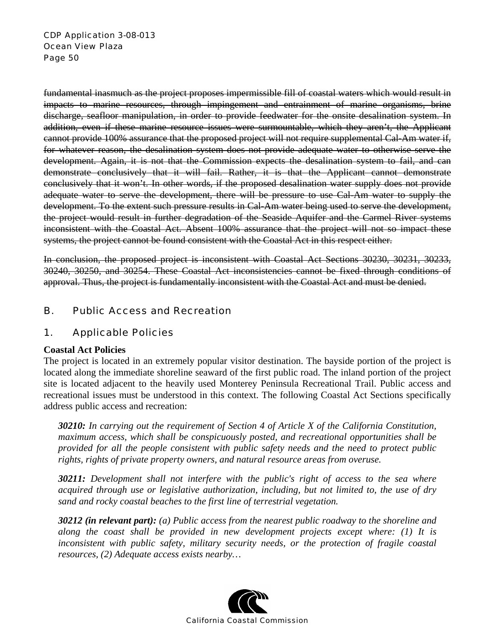fundamental inasmuch as the project proposes impermissible fill of coastal waters which would result in impacts to marine resources, through impingement and entrainment of marine organisms, brine discharge, seafloor manipulation, in order to provide feedwater for the onsite desalination system. In addition, even if these marine resource issues were surmountable, which they aren't, the Applicant cannot provide 100% assurance that the proposed project will not require supplemental Cal-Am water if, for whatever reason, the desalination system does not provide adequate water to otherwise serve the development. Again, it is not that the Commission expects the desalination system to fail, and can demonstrate conclusively that it will fail. Rather, it is that the Applicant cannot demonstrate conclusively that it won't. In other words, if the proposed desalination water supply does not provide adequate water to serve the development, there will be pressure to use Cal-Am water to supply the development. To the extent such pressure results in Cal-Am water being used to serve the development, the project would result in further degradation of the Seaside Aquifer and the Carmel River systems inconsistent with the Coastal Act. Absent 100% assurance that the project will not so impact these systems, the project cannot be found consistent with the Coastal Act in this respect either.

In conclusion, the proposed project is inconsistent with Coastal Act Sections 30230, 30231, 30233, 30240, 30250, and 30254. These Coastal Act inconsistencies cannot be fixed through conditions of approval. Thus, the project is fundamentally inconsistent with the Coastal Act and must be denied.

# B. Public Access and Recreation

### 1. Applicable Policies

#### **Coastal Act Policies**

The project is located in an extremely popular visitor destination. The bayside portion of the project is located along the immediate shoreline seaward of the first public road. The inland portion of the project site is located adjacent to the heavily used Monterey Peninsula Recreational Trail. Public access and recreational issues must be understood in this context. The following Coastal Act Sections specifically address public access and recreation:

*30210: In carrying out the requirement of Section 4 of Article X of the California Constitution, maximum access, which shall be conspicuously posted, and recreational opportunities shall be provided for all the people consistent with public safety needs and the need to protect public rights, rights of private property owners, and natural resource areas from overuse.* 

*30211: Development shall not interfere with the public's right of access to the sea where acquired through use or legislative authorization, including, but not limited to, the use of dry sand and rocky coastal beaches to the first line of terrestrial vegetation.* 

*30212 (in relevant part): (a) Public access from the nearest public roadway to the shoreline and along the coast shall be provided in new development projects except where: (1) It is inconsistent with public safety, military security needs, or the protection of fragile coastal resources, (2) Adequate access exists nearby…* 

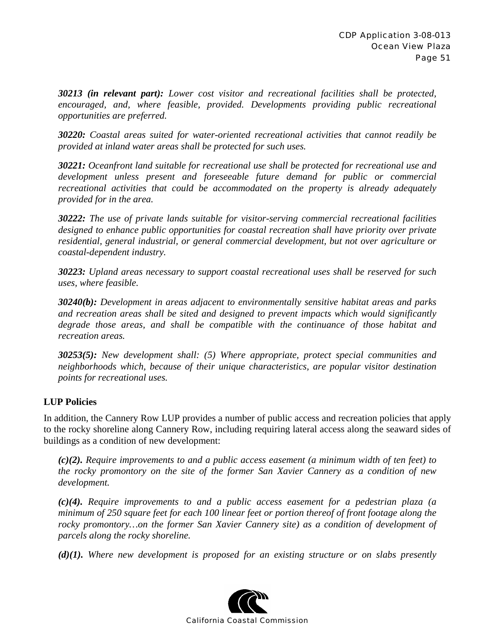*30213 (in relevant part): Lower cost visitor and recreational facilities shall be protected, encouraged, and, where feasible, provided. Developments providing public recreational opportunities are preferred.* 

*30220: Coastal areas suited for water-oriented recreational activities that cannot readily be provided at inland water areas shall be protected for such uses.* 

*30221: Oceanfront land suitable for recreational use shall be protected for recreational use and development unless present and foreseeable future demand for public or commercial recreational activities that could be accommodated on the property is already adequately provided for in the area.* 

*30222: The use of private lands suitable for visitor-serving commercial recreational facilities designed to enhance public opportunities for coastal recreation shall have priority over private residential, general industrial, or general commercial development, but not over agriculture or coastal-dependent industry.* 

*30223: Upland areas necessary to support coastal recreational uses shall be reserved for such uses, where feasible.* 

*30240(b): Development in areas adjacent to environmentally sensitive habitat areas and parks and recreation areas shall be sited and designed to prevent impacts which would significantly degrade those areas, and shall be compatible with the continuance of those habitat and recreation areas.* 

*30253(5): New development shall: (5) Where appropriate, protect special communities and neighborhoods which, because of their unique characteristics, are popular visitor destination points for recreational uses.* 

### **LUP Policies**

In addition, the Cannery Row LUP provides a number of public access and recreation policies that apply to the rocky shoreline along Cannery Row, including requiring lateral access along the seaward sides of buildings as a condition of new development:

*(c)(2). Require improvements to and a public access easement (a minimum width of ten feet) to the rocky promontory on the site of the former San Xavier Cannery as a condition of new development.* 

*(c)(4). Require improvements to and a public access easement for a pedestrian plaza (a minimum of 250 square feet for each 100 linear feet or portion thereof of front footage along the*  rocky promontory...on the former San Xavier Cannery site) as a condition of development of *parcels along the rocky shoreline.* 

*(d)(1). Where new development is proposed for an existing structure or on slabs presently* 

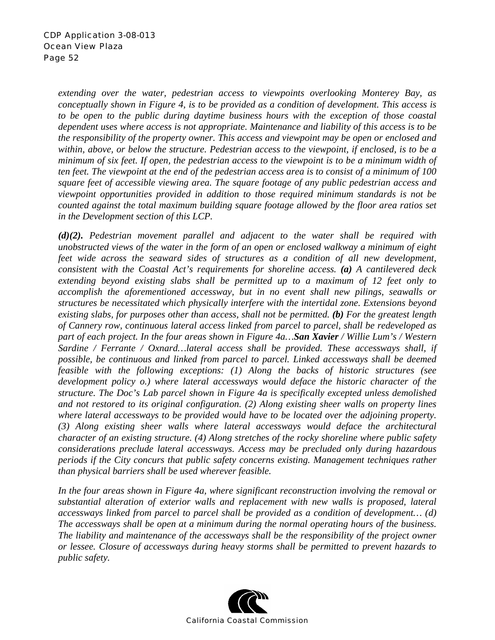*extending over the water, pedestrian access to viewpoints overlooking Monterey Bay, as conceptually shown in Figure 4, is to be provided as a condition of development. This access is to be open to the public during daytime business hours with the exception of those coastal dependent uses where access is not appropriate. Maintenance and liability of this access is to be the responsibility of the property owner. This access and viewpoint may be open or enclosed and within, above, or below the structure. Pedestrian access to the viewpoint, if enclosed, is to be a minimum of six feet. If open, the pedestrian access to the viewpoint is to be a minimum width of ten feet. The viewpoint at the end of the pedestrian access area is to consist of a minimum of 100 square feet of accessible viewing area. The square footage of any public pedestrian access and viewpoint opportunities provided in addition to those required minimum standards is not be counted against the total maximum building square footage allowed by the floor area ratios set in the Development section of this LCP.* 

*(d)(2). Pedestrian movement parallel and adjacent to the water shall be required with unobstructed views of the water in the form of an open or enclosed walkway a minimum of eight*  feet wide across the seaward sides of structures as a condition of all new development, *consistent with the Coastal Act's requirements for shoreline access. (a) A cantilevered deck extending beyond existing slabs shall be permitted up to a maximum of 12 feet only to accomplish the aforementioned accessway, but in no event shall new pilings, seawalls or structures be necessitated which physically interfere with the intertidal zone. Extensions beyond existing slabs, for purposes other than access, shall not be permitted. (b) For the greatest length of Cannery row, continuous lateral access linked from parcel to parcel, shall be redeveloped as part of each project. In the four areas shown in Figure 4a…San Xavier / Willie Lum's / Western Sardine / Ferrante / Oxnard…lateral access shall be provided. These accessways shall, if possible, be continuous and linked from parcel to parcel. Linked accessways shall be deemed feasible with the following exceptions: (1) Along the backs of historic structures (see development policy o.) where lateral accessways would deface the historic character of the structure. The Doc's Lab parcel shown in Figure 4a is specifically excepted unless demolished and not restored to its original configuration. (2) Along existing sheer walls on property lines where lateral accessways to be provided would have to be located over the adjoining property. (3) Along existing sheer walls where lateral accessways would deface the architectural character of an existing structure. (4) Along stretches of the rocky shoreline where public safety considerations preclude lateral accessways. Access may be precluded only during hazardous periods if the City concurs that public safety concerns existing. Management techniques rather than physical barriers shall be used wherever feasible.* 

*In the four areas shown in Figure 4a, where significant reconstruction involving the removal or substantial alteration of exterior walls and replacement with new walls is proposed, lateral accessways linked from parcel to parcel shall be provided as a condition of development… (d) The accessways shall be open at a minimum during the normal operating hours of the business. The liability and maintenance of the accessways shall be the responsibility of the project owner or lessee. Closure of accessways during heavy storms shall be permitted to prevent hazards to public safety.* 

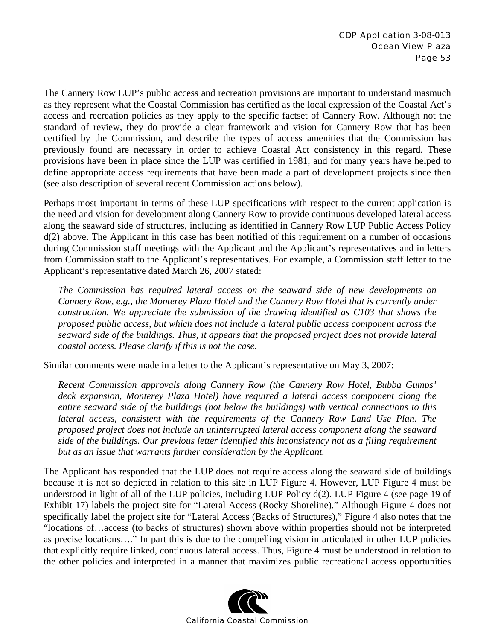The Cannery Row LUP's public access and recreation provisions are important to understand inasmuch as they represent what the Coastal Commission has certified as the local expression of the Coastal Act's access and recreation policies as they apply to the specific factset of Cannery Row. Although not the standard of review, they do provide a clear framework and vision for Cannery Row that has been certified by the Commission, and describe the types of access amenities that the Commission has previously found are necessary in order to achieve Coastal Act consistency in this regard. These provisions have been in place since the LUP was certified in 1981, and for many years have helped to define appropriate access requirements that have been made a part of development projects since then (see also description of several recent Commission actions below).

Perhaps most important in terms of these LUP specifications with respect to the current application is the need and vision for development along Cannery Row to provide continuous developed lateral access along the seaward side of structures, including as identified in Cannery Row LUP Public Access Policy d(2) above. The Applicant in this case has been notified of this requirement on a number of occasions during Commission staff meetings with the Applicant and the Applicant's representatives and in letters from Commission staff to the Applicant's representatives. For example, a Commission staff letter to the Applicant's representative dated March 26, 2007 stated:

*The Commission has required lateral access on the seaward side of new developments on Cannery Row, e.g., the Monterey Plaza Hotel and the Cannery Row Hotel that is currently under construction. We appreciate the submission of the drawing identified as C103 that shows the proposed public access, but which does not include a lateral public access component across the seaward side of the buildings. Thus, it appears that the proposed project does not provide lateral coastal access. Please clarify if this is not the case.* 

Similar comments were made in a letter to the Applicant's representative on May 3, 2007:

*Recent Commission approvals along Cannery Row (the Cannery Row Hotel, Bubba Gumps' deck expansion, Monterey Plaza Hotel) have required a lateral access component along the entire seaward side of the buildings (not below the buildings) with vertical connections to this lateral access, consistent with the requirements of the Cannery Row Land Use Plan. The proposed project does not include an uninterrupted lateral access component along the seaward side of the buildings. Our previous letter identified this inconsistency not as a filing requirement but as an issue that warrants further consideration by the Applicant.* 

The Applicant has responded that the LUP does not require access along the seaward side of buildings because it is not so depicted in relation to this site in LUP Figure 4. However, LUP Figure 4 must be understood in light of all of the LUP policies, including LUP Policy d(2). LUP Figure 4 (see page 19 of Exhibit 17) labels the project site for "Lateral Access (Rocky Shoreline)." Although Figure 4 does not specifically label the project site for "Lateral Access (Backs of Structures)," Figure 4 also notes that the "locations of…access (to backs of structures) shown above within properties should not be interpreted as precise locations…." In part this is due to the compelling vision in articulated in other LUP policies that explicitly require linked, continuous lateral access. Thus, Figure 4 must be understood in relation to the other policies and interpreted in a manner that maximizes public recreational access opportunities

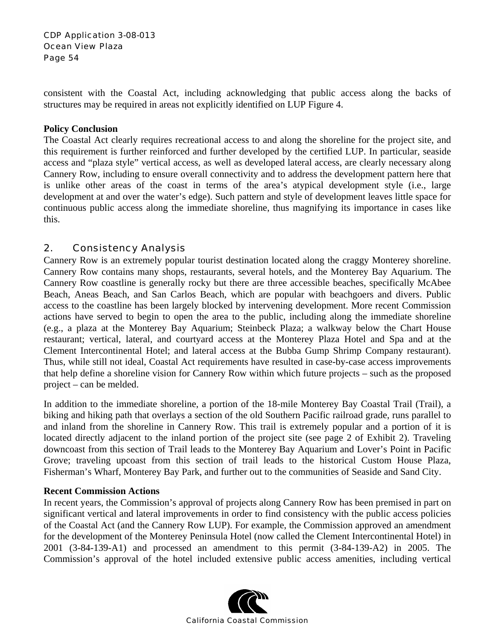consistent with the Coastal Act, including acknowledging that public access along the backs of structures may be required in areas not explicitly identified on LUP Figure 4.

#### **Policy Conclusion**

The Coastal Act clearly requires recreational access to and along the shoreline for the project site, and this requirement is further reinforced and further developed by the certified LUP. In particular, seaside access and "plaza style" vertical access, as well as developed lateral access, are clearly necessary along Cannery Row, including to ensure overall connectivity and to address the development pattern here that is unlike other areas of the coast in terms of the area's atypical development style (i.e., large development at and over the water's edge). Such pattern and style of development leaves little space for continuous public access along the immediate shoreline, thus magnifying its importance in cases like this.

# 2. Consistency Analysis

Cannery Row is an extremely popular tourist destination located along the craggy Monterey shoreline. Cannery Row contains many shops, restaurants, several hotels, and the Monterey Bay Aquarium. The Cannery Row coastline is generally rocky but there are three accessible beaches, specifically McAbee Beach, Aneas Beach, and San Carlos Beach, which are popular with beachgoers and divers. Public access to the coastline has been largely blocked by intervening development. More recent Commission actions have served to begin to open the area to the public, including along the immediate shoreline (e.g., a plaza at the Monterey Bay Aquarium; Steinbeck Plaza; a walkway below the Chart House restaurant; vertical, lateral, and courtyard access at the Monterey Plaza Hotel and Spa and at the Clement Intercontinental Hotel; and lateral access at the Bubba Gump Shrimp Company restaurant). Thus, while still not ideal, Coastal Act requirements have resulted in case-by-case access improvements that help define a shoreline vision for Cannery Row within which future projects – such as the proposed project – can be melded.

In addition to the immediate shoreline, a portion of the 18-mile Monterey Bay Coastal Trail (Trail), a biking and hiking path that overlays a section of the old Southern Pacific railroad grade, runs parallel to and inland from the shoreline in Cannery Row. This trail is extremely popular and a portion of it is located directly adjacent to the inland portion of the project site (see page 2 of Exhibit 2). Traveling downcoast from this section of Trail leads to the Monterey Bay Aquarium and Lover's Point in Pacific Grove; traveling upcoast from this section of trail leads to the historical Custom House Plaza, Fisherman's Wharf, Monterey Bay Park, and further out to the communities of Seaside and Sand City.

#### **Recent Commission Actions**

In recent years, the Commission's approval of projects along Cannery Row has been premised in part on significant vertical and lateral improvements in order to find consistency with the public access policies of the Coastal Act (and the Cannery Row LUP). For example, the Commission approved an amendment for the development of the Monterey Peninsula Hotel (now called the Clement Intercontinental Hotel) in 2001 (3-84-139-A1) and processed an amendment to this permit (3-84-139-A2) in 2005. The Commission's approval of the hotel included extensive public access amenities, including vertical

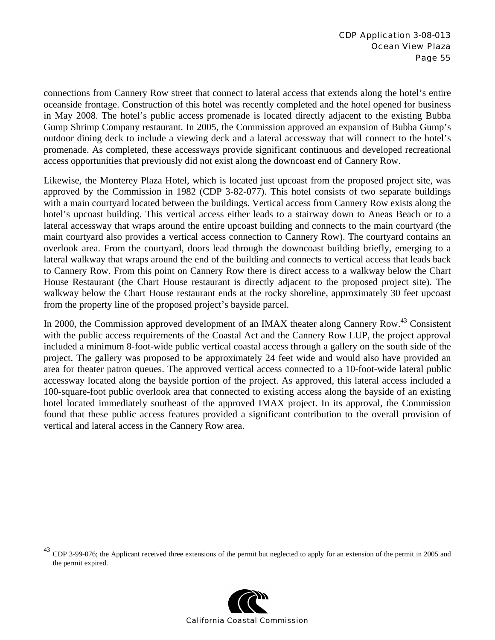connections from Cannery Row street that connect to lateral access that extends along the hotel's entire oceanside frontage. Construction of this hotel was recently completed and the hotel opened for business in May 2008. The hotel's public access promenade is located directly adjacent to the existing Bubba Gump Shrimp Company restaurant. In 2005, the Commission approved an expansion of Bubba Gump's outdoor dining deck to include a viewing deck and a lateral accessway that will connect to the hotel's promenade. As completed, these accessways provide significant continuous and developed recreational access opportunities that previously did not exist along the downcoast end of Cannery Row.

Likewise, the Monterey Plaza Hotel, which is located just upcoast from the proposed project site, was approved by the Commission in 1982 (CDP 3-82-077). This hotel consists of two separate buildings with a main courtyard located between the buildings. Vertical access from Cannery Row exists along the hotel's upcoast building. This vertical access either leads to a stairway down to Aneas Beach or to a lateral accessway that wraps around the entire upcoast building and connects to the main courtyard (the main courtyard also provides a vertical access connection to Cannery Row). The courtyard contains an overlook area. From the courtyard, doors lead through the downcoast building briefly, emerging to a lateral walkway that wraps around the end of the building and connects to vertical access that leads back to Cannery Row. From this point on Cannery Row there is direct access to a walkway below the Chart House Restaurant (the Chart House restaurant is directly adjacent to the proposed project site). The walkway below the Chart House restaurant ends at the rocky shoreline, approximately 30 feet upcoast from the property line of the proposed project's bayside parcel.

In 2000, the Commission approved development of an IMAX theater along Cannery Row.<sup>43</sup> Consistent with the public access requirements of the Coastal Act and the Cannery Row LUP, the project approval included a minimum 8-foot-wide public vertical coastal access through a gallery on the south side of the project. The gallery was proposed to be approximately 24 feet wide and would also have provided an area for theater patron queues. The approved vertical access connected to a 10-foot-wide lateral public accessway located along the bayside portion of the project. As approved, this lateral access included a 100-square-foot public overlook area that connected to existing access along the bayside of an existing hotel located immediately southeast of the approved IMAX project. In its approval, the Commission found that these public access features provided a significant contribution to the overall provision of vertical and lateral access in the Cannery Row area.

1



 $^{43}$  CDP 3-99-076; the Applicant received three extensions of the permit but neglected to apply for an extension of the permit in 2005 and the permit expired.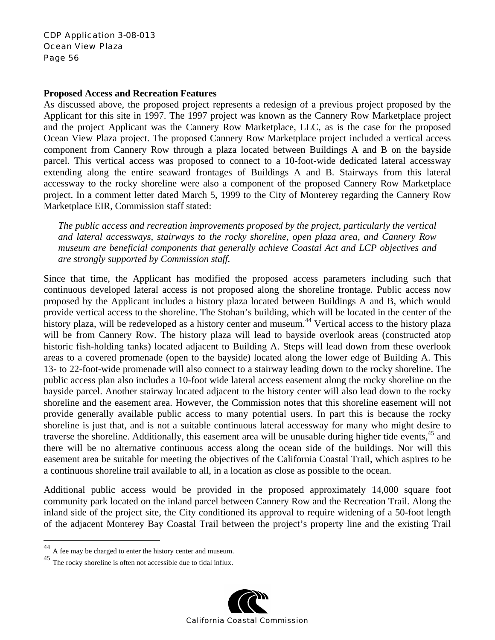#### **Proposed Access and Recreation Features**

As discussed above, the proposed project represents a redesign of a previous project proposed by the Applicant for this site in 1997. The 1997 project was known as the Cannery Row Marketplace project and the project Applicant was the Cannery Row Marketplace, LLC, as is the case for the proposed Ocean View Plaza project. The proposed Cannery Row Marketplace project included a vertical access component from Cannery Row through a plaza located between Buildings A and B on the bayside parcel. This vertical access was proposed to connect to a 10-foot-wide dedicated lateral accessway extending along the entire seaward frontages of Buildings A and B. Stairways from this lateral accessway to the rocky shoreline were also a component of the proposed Cannery Row Marketplace project. In a comment letter dated March 5, 1999 to the City of Monterey regarding the Cannery Row Marketplace EIR, Commission staff stated:

*The public access and recreation improvements proposed by the project, particularly the vertical and lateral accessways, stairways to the rocky shoreline, open plaza area, and Cannery Row museum are beneficial components that generally achieve Coastal Act and LCP objectives and are strongly supported by Commission staff.* 

Since that time, the Applicant has modified the proposed access parameters including such that continuous developed lateral access is not proposed along the shoreline frontage. Public access now proposed by the Applicant includes a history plaza located between Buildings A and B, which would provide vertical access to the shoreline. The Stohan's building, which will be located in the center of the history plaza, will be redeveloped as a history center and museum.<sup>44</sup> Vertical access to the history plaza will be from Cannery Row. The history plaza will lead to bayside overlook areas (constructed atop historic fish-holding tanks) located adjacent to Building A. Steps will lead down from these overlook areas to a covered promenade (open to the bayside) located along the lower edge of Building A. This 13- to 22-foot-wide promenade will also connect to a stairway leading down to the rocky shoreline. The public access plan also includes a 10-foot wide lateral access easement along the rocky shoreline on the bayside parcel. Another stairway located adjacent to the history center will also lead down to the rocky shoreline and the easement area. However, the Commission notes that this shoreline easement will not provide generally available public access to many potential users. In part this is because the rocky shoreline is just that, and is not a suitable continuous lateral accessway for many who might desire to traverse the shoreline. Additionally, this easement area will be unusable during higher tide events, <sup>45</sup> and there will be no alternative continuous access along the ocean side of the buildings. Nor will this easement area be suitable for meeting the objectives of the California Coastal Trail, which aspires to be a continuous shoreline trail available to all, in a location as close as possible to the ocean.

Additional public access would be provided in the proposed approximately 14,000 square foot community park located on the inland parcel between Cannery Row and the Recreation Trail. Along the inland side of the project site, the City conditioned its approval to require widening of a 50-foot length of the adjacent Monterey Bay Coastal Trail between the project's property line and the existing Trail

 $\overline{a}$ 



<sup>&</sup>lt;sup>44</sup> A fee may be charged to enter the history center and museum.<br><sup>45</sup> The rocky shoreline is often not accessible due to tidal influx.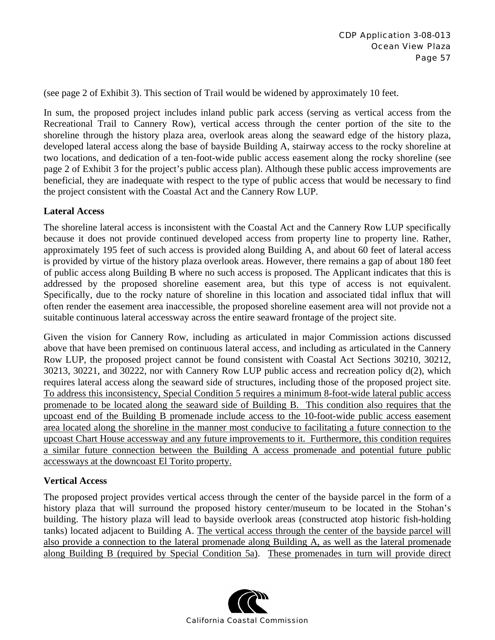(see page 2 of Exhibit 3). This section of Trail would be widened by approximately 10 feet.

In sum, the proposed project includes inland public park access (serving as vertical access from the Recreational Trail to Cannery Row), vertical access through the center portion of the site to the shoreline through the history plaza area, overlook areas along the seaward edge of the history plaza, developed lateral access along the base of bayside Building A, stairway access to the rocky shoreline at two locations, and dedication of a ten-foot-wide public access easement along the rocky shoreline (see page 2 of Exhibit 3 for the project's public access plan). Although these public access improvements are beneficial, they are inadequate with respect to the type of public access that would be necessary to find the project consistent with the Coastal Act and the Cannery Row LUP.

#### **Lateral Access**

The shoreline lateral access is inconsistent with the Coastal Act and the Cannery Row LUP specifically because it does not provide continued developed access from property line to property line. Rather, approximately 195 feet of such access is provided along Building A, and about 60 feet of lateral access is provided by virtue of the history plaza overlook areas. However, there remains a gap of about 180 feet of public access along Building B where no such access is proposed. The Applicant indicates that this is addressed by the proposed shoreline easement area, but this type of access is not equivalent. Specifically, due to the rocky nature of shoreline in this location and associated tidal influx that will often render the easement area inaccessible, the proposed shoreline easement area will not provide not a suitable continuous lateral accessway across the entire seaward frontage of the project site.

Given the vision for Cannery Row, including as articulated in major Commission actions discussed above that have been premised on continuous lateral access, and including as articulated in the Cannery Row LUP, the proposed project cannot be found consistent with Coastal Act Sections 30210, 30212, 30213, 30221, and 30222, nor with Cannery Row LUP public access and recreation policy d(2), which requires lateral access along the seaward side of structures, including those of the proposed project site. To address this inconsistency, Special Condition 5 requires a minimum 8-foot-wide lateral public access promenade to be located along the seaward side of Building B. This condition also requires that the upcoast end of the Building B promenade include access to the 10-foot-wide public access easement area located along the shoreline in the manner most conducive to facilitating a future connection to the upcoast Chart House accessway and any future improvements to it. Furthermore, this condition requires a similar future connection between the Building A access promenade and potential future public accessways at the downcoast El Torito property.

### **Vertical Access**

The proposed project provides vertical access through the center of the bayside parcel in the form of a history plaza that will surround the proposed history center/museum to be located in the Stohan's building. The history plaza will lead to bayside overlook areas (constructed atop historic fish-holding tanks) located adjacent to Building A. The vertical access through the center of the bayside parcel will also provide a connection to the lateral promenade along Building A, as well as the lateral promenade along Building B (required by Special Condition 5a). These promenades in turn will provide direct

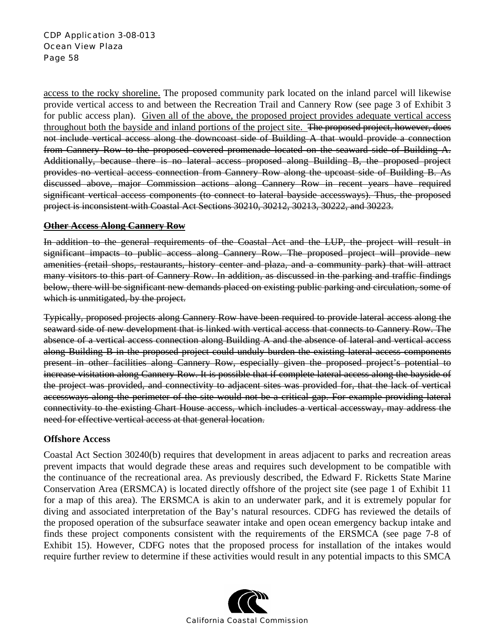#### CDP Application 3-08-013 Ocean View Plaza Page 58

access to the rocky shoreline. The proposed community park located on the inland parcel will likewise provide vertical access to and between the Recreation Trail and Cannery Row (see page 3 of Exhibit 3 for public access plan). Given all of the above, the proposed project provides adequate vertical access throughout both the bayside and inland portions of the project site. The proposed project, however, does not include vertical access along the downcoast side of Building A that would provide a connection from Cannery Row to the proposed covered promenade located on the seaward side of Building A. Additionally, because there is no lateral access proposed along Building B, the proposed project provides no vertical access connection from Cannery Row along the upcoast side of Building B. As discussed above, major Commission actions along Cannery Row in recent years have required significant vertical access components (to connect to lateral bayside accessways). Thus, the proposed project is inconsistent with Coastal Act Sections 30210, 30212, 30213, 30222, and 30223.

#### **Other Access Along Cannery Row**

In addition to the general requirements of the Coastal Act and the LUP, the project will result in significant impacts to public access along Cannery Row. The proposed project will provide new amenities (retail shops, restaurants, history center and plaza, and a community park) that will attract many visitors to this part of Cannery Row. In addition, as discussed in the parking and traffic findings below, there will be significant new demands placed on existing public parking and circulation, some of which is unmitigated, by the project.

Typically, proposed projects along Cannery Row have been required to provide lateral access along the seaward side of new development that is linked with vertical access that connects to Cannery Row. The absence of a vertical access connection along Building A and the absence of lateral and vertical access along Building B in the proposed project could unduly burden the existing lateral access components present in other facilities along Cannery Row, especially given the proposed project's potential to increase visitation along Cannery Row. It is possible that if complete lateral access along the bayside of the project was provided, and connectivity to adjacent sites was provided for, that the lack of vertical accessways along the perimeter of the site would not be a critical gap. For example providing lateral connectivity to the existing Chart House access, which includes a vertical accessway, may address the need for effective vertical access at that general location.

### **Offshore Access**

Coastal Act Section 30240(b) requires that development in areas adjacent to parks and recreation areas prevent impacts that would degrade these areas and requires such development to be compatible with the continuance of the recreational area. As previously described, the Edward F. Ricketts State Marine Conservation Area (ERSMCA) is located directly offshore of the project site (see page 1 of Exhibit 11 for a map of this area). The ERSMCA is akin to an underwater park, and it is extremely popular for diving and associated interpretation of the Bay's natural resources. CDFG has reviewed the details of the proposed operation of the subsurface seawater intake and open ocean emergency backup intake and finds these project components consistent with the requirements of the ERSMCA (see page 7-8 of Exhibit 15). However, CDFG notes that the proposed process for installation of the intakes would require further review to determine if these activities would result in any potential impacts to this SMCA

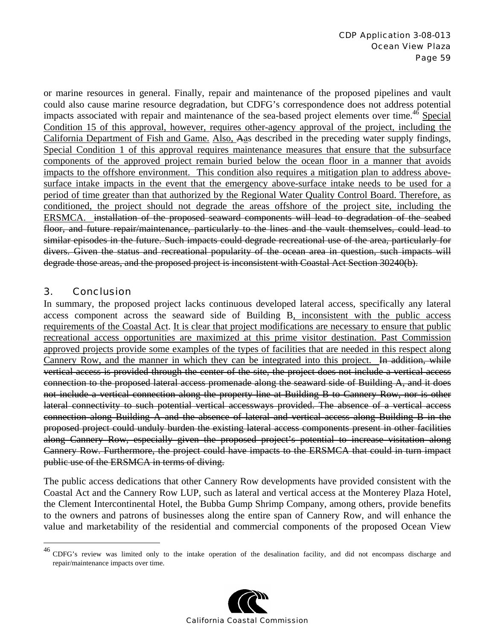or marine resources in general. Finally, repair and maintenance of the proposed pipelines and vault could also cause marine resource degradation, but CDFG's correspondence does not address potential impacts associated with repair and maintenance of the sea-based project elements over time.<sup>46</sup> Special Condition 15 of this approval, however, requires other-agency approval of the project, including the California Department of Fish and Game. Also, Aas described in the preceding water supply findings, Special Condition 1 of this approval requires maintenance measures that ensure that the subsurface components of the approved project remain buried below the ocean floor in a manner that avoids impacts to the offshore environment. This condition also requires a mitigation plan to address abovesurface intake impacts in the event that the emergency above-surface intake needs to be used for a period of time greater than that authorized by the Regional Water Quality Control Board. Therefore, as conditioned, the project should not degrade the areas offshore of the project site, including the ERSMCA. installation of the proposed seaward components will lead to degradation of the seabed floor, and future repair/maintenance, particularly to the lines and the vault themselves, could lead to similar episodes in the future. Such impacts could degrade recreational use of the area, particularly for divers. Given the status and recreational popularity of the ocean area in question, such impacts will degrade those areas, and the proposed project is inconsistent with Coastal Act Section 30240(b).

### 3. Conclusion

 $\overline{a}$ 

In summary, the proposed project lacks continuous developed lateral access, specifically any lateral access component across the seaward side of Building B, inconsistent with the public access requirements of the Coastal Act. It is clear that project modifications are necessary to ensure that public recreational access opportunities are maximized at this prime visitor destination. Past Commission approved projects provide some examples of the types of facilities that are needed in this respect along Cannery Row, and the manner in which they can be integrated into this project. In addition, while vertical access is provided through the center of the site, the project does not include a vertical access connection to the proposed lateral access promenade along the seaward side of Building A, and it does not include a vertical connection along the property line at Building B to Cannery Row, nor is other lateral connectivity to such potential vertical accessways provided. The absence of a vertical access connection along Building A and the absence of lateral and vertical access along Building B in the proposed project could unduly burden the existing lateral access components present in other facilities along Cannery Row, especially given the proposed project's potential to increase visitation along Cannery Row. Furthermore, the project could have impacts to the ERSMCA that could in turn impact public use of the ERSMCA in terms of diving.

The public access dedications that other Cannery Row developments have provided consistent with the Coastal Act and the Cannery Row LUP, such as lateral and vertical access at the Monterey Plaza Hotel, the Clement Intercontinental Hotel, the Bubba Gump Shrimp Company, among others, provide benefits to the owners and patrons of businesses along the entire span of Cannery Row, and will enhance the value and marketability of the residential and commercial components of the proposed Ocean View

 $^{46}$  CDFG's review was limited only to the intake operation of the desalination facility, and did not encompass discharge and repair/maintenance impacts over time.

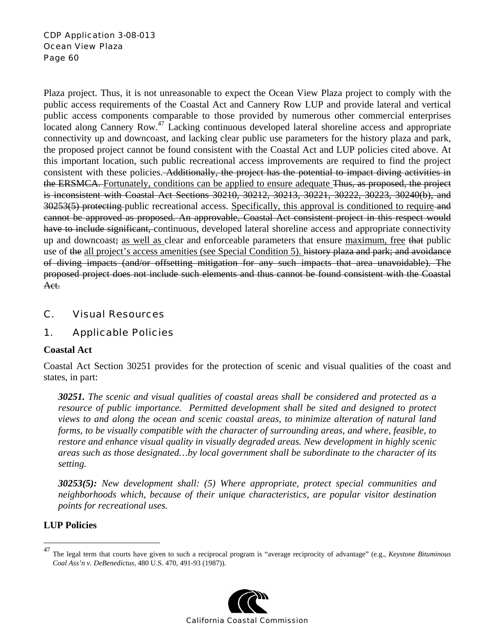Plaza project. Thus, it is not unreasonable to expect the Ocean View Plaza project to comply with the public access requirements of the Coastal Act and Cannery Row LUP and provide lateral and vertical public access components comparable to those provided by numerous other commercial enterprises located along Cannery Row.<sup>47</sup> Lacking continuous developed lateral shoreline access and appropriate connectivity up and downcoast, and lacking clear public use parameters for the history plaza and park, the proposed project cannot be found consistent with the Coastal Act and LUP policies cited above. At this important location, such public recreational access improvements are required to find the project consistent with these policies. Additionally, the project has the potential to impact diving activities in the ERSMCA. Fortunately, conditions can be applied to ensure adequate Thus, as proposed, the project is inconsistent with Coastal Act Sections 30210, 30212, 30213, 30221, 30222, 30223, 30240(b), and 30253(5) protecting public recreational access. Specifically, this approval is conditioned to require and cannot be approved as proposed. An approvable, Coastal Act consistent project in this respect would have to include significant, continuous, developed lateral shoreline access and appropriate connectivity up and downcoast; as well as clear and enforceable parameters that ensure maximum, free that public use of the all project's access amenities (see Special Condition 5). history plaza and park; and avoidance of diving impacts (and/or offsetting mitigation for any such impacts that area unavoidable). The proposed project does not include such elements and thus cannot be found consistent with the Coastal Act.

# C. Visual Resources

### 1. Applicable Policies

### **Coastal Act**

Coastal Act Section 30251 provides for the protection of scenic and visual qualities of the coast and states, in part:

*30251. The scenic and visual qualities of coastal areas shall be considered and protected as a resource of public importance. Permitted development shall be sited and designed to protect views to and along the ocean and scenic coastal areas, to minimize alteration of natural land forms, to be visually compatible with the character of surrounding areas, and where, feasible, to restore and enhance visual quality in visually degraded areas. New development in highly scenic areas such as those designated…by local government shall be subordinate to the character of its setting.* 

*30253(5): New development shall: (5) Where appropriate, protect special communities and neighborhoods which, because of their unique characteristics, are popular visitor destination points for recreational uses.* 

### **LUP Policies**

1

<sup>47</sup> The legal term that courts have given to such a reciprocal program is "average reciprocity of advantage" (e.g., *Keystone Bituminous Coal Ass'n v. DeBenedictus,* 480 U.S. 470, 491-93 (1987)).

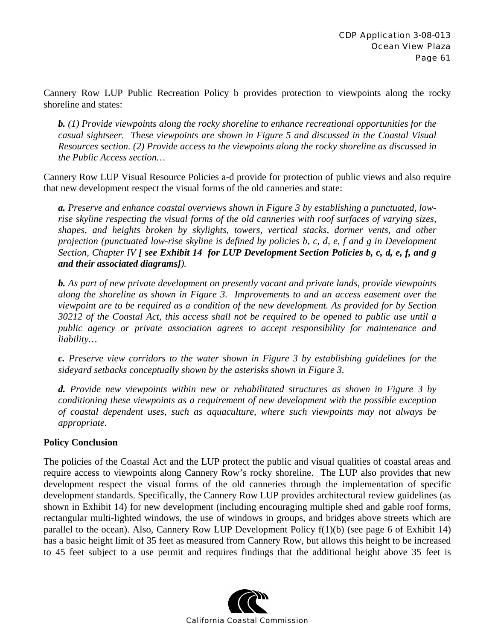Cannery Row LUP Public Recreation Policy b provides protection to viewpoints along the rocky shoreline and states:

*b. (1) Provide viewpoints along the rocky shoreline to enhance recreational opportunities for the casual sightseer. These viewpoints are shown in Figure 5 and discussed in the Coastal Visual Resources section. (2) Provide access to the viewpoints along the rocky shoreline as discussed in the Public Access section…* 

Cannery Row LUP Visual Resource Policies a-d provide for protection of public views and also require that new development respect the visual forms of the old canneries and state:

*a. Preserve and enhance coastal overviews shown in Figure 3 by establishing a punctuated, lowrise skyline respecting the visual forms of the old canneries with roof surfaces of varying sizes, shapes, and heights broken by skylights, towers, vertical stacks, dormer vents, and other projection (punctuated low-rise skyline is defined by policies b, c, d, e, f and g in Development Section, Chapter IV [ see Exhibit 14 for LUP Development Section Policies b, c, d, e, f, and g and their associated diagrams]).*

*b. As part of new private development on presently vacant and private lands, provide viewpoints along the shoreline as shown in Figure 3. Improvements to and an access easement over the viewpoint are to be required as a condition of the new development. As provided for by Section 30212 of the Coastal Act, this access shall not be required to be opened to public use until a public agency or private association agrees to accept responsibility for maintenance and liability…* 

*c. Preserve view corridors to the water shown in Figure 3 by establishing guidelines for the sideyard setbacks conceptually shown by the asterisks shown in Figure 3.* 

*d. Provide new viewpoints within new or rehabilitated structures as shown in Figure 3 by conditioning these viewpoints as a requirement of new development with the possible exception of coastal dependent uses, such as aquaculture, where such viewpoints may not always be appropriate.* 

### **Policy Conclusion**

The policies of the Coastal Act and the LUP protect the public and visual qualities of coastal areas and require access to viewpoints along Cannery Row's rocky shoreline. The LUP also provides that new development respect the visual forms of the old canneries through the implementation of specific development standards. Specifically, the Cannery Row LUP provides architectural review guidelines (as shown in Exhibit 14) for new development (including encouraging multiple shed and gable roof forms, rectangular multi-lighted windows, the use of windows in groups, and bridges above streets which are parallel to the ocean). Also, Cannery Row LUP Development Policy f(1)(b) (see page 6 of Exhibit 14) has a basic height limit of 35 feet as measured from Cannery Row, but allows this height to be increased to 45 feet subject to a use permit and requires findings that the additional height above 35 feet is

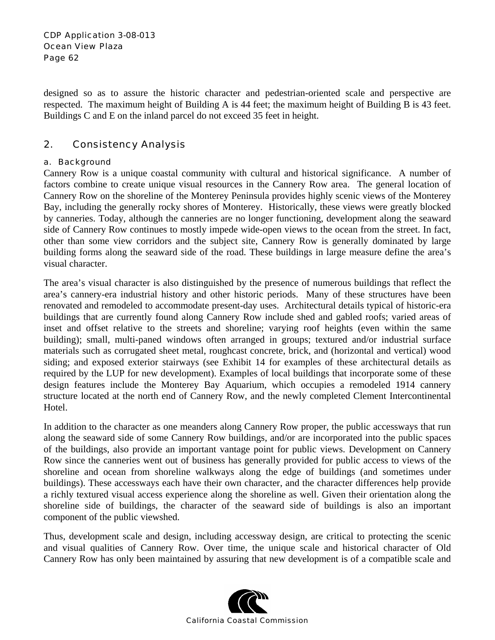designed so as to assure the historic character and pedestrian-oriented scale and perspective are respected. The maximum height of Building A is 44 feet; the maximum height of Building B is 43 feet. Buildings C and E on the inland parcel do not exceed 35 feet in height.

# 2. Consistency Analysis

#### a. Background

Cannery Row is a unique coastal community with cultural and historical significance. A number of factors combine to create unique visual resources in the Cannery Row area. The general location of Cannery Row on the shoreline of the Monterey Peninsula provides highly scenic views of the Monterey Bay, including the generally rocky shores of Monterey. Historically, these views were greatly blocked by canneries. Today, although the canneries are no longer functioning, development along the seaward side of Cannery Row continues to mostly impede wide-open views to the ocean from the street. In fact, other than some view corridors and the subject site, Cannery Row is generally dominated by large building forms along the seaward side of the road. These buildings in large measure define the area's visual character.

The area's visual character is also distinguished by the presence of numerous buildings that reflect the area's cannery-era industrial history and other historic periods. Many of these structures have been renovated and remodeled to accommodate present-day uses. Architectural details typical of historic-era buildings that are currently found along Cannery Row include shed and gabled roofs; varied areas of inset and offset relative to the streets and shoreline; varying roof heights (even within the same building); small, multi-paned windows often arranged in groups; textured and/or industrial surface materials such as corrugated sheet metal, roughcast concrete, brick, and (horizontal and vertical) wood siding; and exposed exterior stairways (see Exhibit 14 for examples of these architectural details as required by the LUP for new development). Examples of local buildings that incorporate some of these design features include the Monterey Bay Aquarium, which occupies a remodeled 1914 cannery structure located at the north end of Cannery Row, and the newly completed Clement Intercontinental Hotel.

In addition to the character as one meanders along Cannery Row proper, the public accessways that run along the seaward side of some Cannery Row buildings, and/or are incorporated into the public spaces of the buildings, also provide an important vantage point for public views. Development on Cannery Row since the canneries went out of business has generally provided for public access to views of the shoreline and ocean from shoreline walkways along the edge of buildings (and sometimes under buildings). These accessways each have their own character, and the character differences help provide a richly textured visual access experience along the shoreline as well. Given their orientation along the shoreline side of buildings, the character of the seaward side of buildings is also an important component of the public viewshed.

Thus, development scale and design, including accessway design, are critical to protecting the scenic and visual qualities of Cannery Row. Over time, the unique scale and historical character of Old Cannery Row has only been maintained by assuring that new development is of a compatible scale and

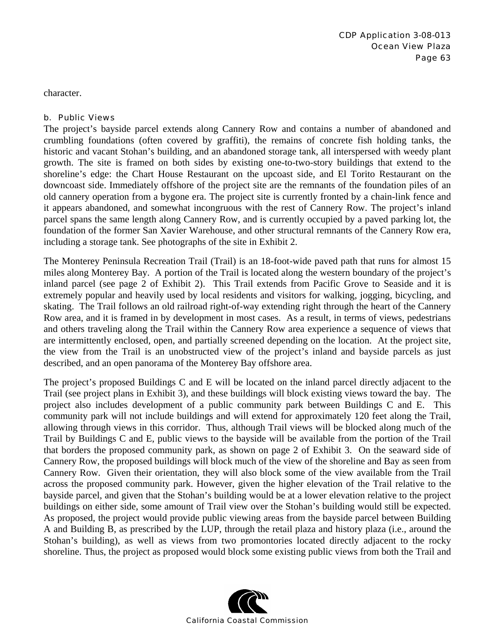character.

#### b. Public Views

The project's bayside parcel extends along Cannery Row and contains a number of abandoned and crumbling foundations (often covered by graffiti), the remains of concrete fish holding tanks, the historic and vacant Stohan's building, and an abandoned storage tank, all interspersed with weedy plant growth. The site is framed on both sides by existing one-to-two-story buildings that extend to the shoreline's edge: the Chart House Restaurant on the upcoast side, and El Torito Restaurant on the downcoast side. Immediately offshore of the project site are the remnants of the foundation piles of an old cannery operation from a bygone era. The project site is currently fronted by a chain-link fence and it appears abandoned, and somewhat incongruous with the rest of Cannery Row. The project's inland parcel spans the same length along Cannery Row, and is currently occupied by a paved parking lot, the foundation of the former San Xavier Warehouse, and other structural remnants of the Cannery Row era, including a storage tank. See photographs of the site in Exhibit 2.

The Monterey Peninsula Recreation Trail (Trail) is an 18-foot-wide paved path that runs for almost 15 miles along Monterey Bay. A portion of the Trail is located along the western boundary of the project's inland parcel (see page 2 of Exhibit 2). This Trail extends from Pacific Grove to Seaside and it is extremely popular and heavily used by local residents and visitors for walking, jogging, bicycling, and skating. The Trail follows an old railroad right-of-way extending right through the heart of the Cannery Row area, and it is framed in by development in most cases. As a result, in terms of views, pedestrians and others traveling along the Trail within the Cannery Row area experience a sequence of views that are intermittently enclosed, open, and partially screened depending on the location. At the project site, the view from the Trail is an unobstructed view of the project's inland and bayside parcels as just described, and an open panorama of the Monterey Bay offshore area.

The project's proposed Buildings C and E will be located on the inland parcel directly adjacent to the Trail (see project plans in Exhibit 3), and these buildings will block existing views toward the bay. The project also includes development of a public community park between Buildings C and E. This community park will not include buildings and will extend for approximately 120 feet along the Trail, allowing through views in this corridor. Thus, although Trail views will be blocked along much of the Trail by Buildings C and E, public views to the bayside will be available from the portion of the Trail that borders the proposed community park, as shown on page 2 of Exhibit 3. On the seaward side of Cannery Row, the proposed buildings will block much of the view of the shoreline and Bay as seen from Cannery Row. Given their orientation, they will also block some of the view available from the Trail across the proposed community park. However, given the higher elevation of the Trail relative to the bayside parcel, and given that the Stohan's building would be at a lower elevation relative to the project buildings on either side, some amount of Trail view over the Stohan's building would still be expected. As proposed, the project would provide public viewing areas from the bayside parcel between Building A and Building B, as prescribed by the LUP, through the retail plaza and history plaza (i.e., around the Stohan's building), as well as views from two promontories located directly adjacent to the rocky shoreline. Thus, the project as proposed would block some existing public views from both the Trail and

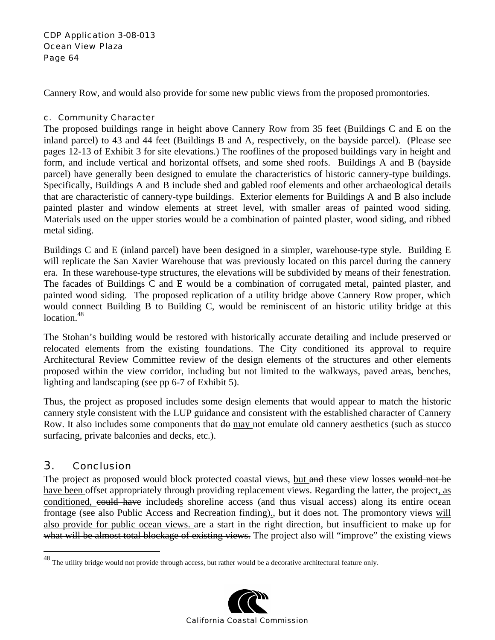#### CDP Application 3-08-013 Ocean View Plaza Page 64

Cannery Row, and would also provide for some new public views from the proposed promontories.

#### c. Community Character

The proposed buildings range in height above Cannery Row from 35 feet (Buildings C and E on the inland parcel) to 43 and 44 feet (Buildings B and A, respectively, on the bayside parcel). (Please see pages 12-13 of Exhibit 3 for site elevations.) The rooflines of the proposed buildings vary in height and form, and include vertical and horizontal offsets, and some shed roofs. Buildings A and B (bayside parcel) have generally been designed to emulate the characteristics of historic cannery-type buildings. Specifically, Buildings A and B include shed and gabled roof elements and other archaeological details that are characteristic of cannery-type buildings. Exterior elements for Buildings A and B also include painted plaster and window elements at street level, with smaller areas of painted wood siding. Materials used on the upper stories would be a combination of painted plaster, wood siding, and ribbed metal siding.

Buildings C and E (inland parcel) have been designed in a simpler, warehouse-type style. Building E will replicate the San Xavier Warehouse that was previously located on this parcel during the cannery era. In these warehouse-type structures, the elevations will be subdivided by means of their fenestration. The facades of Buildings C and E would be a combination of corrugated metal, painted plaster, and painted wood siding. The proposed replication of a utility bridge above Cannery Row proper, which would connect Building B to Building C, would be reminiscent of an historic utility bridge at this location.<sup>48</sup>

The Stohan's building would be restored with historically accurate detailing and include preserved or relocated elements from the existing foundations. The City conditioned its approval to require Architectural Review Committee review of the design elements of the structures and other elements proposed within the view corridor, including but not limited to the walkways, paved areas, benches, lighting and landscaping (see pp 6-7 of Exhibit 5).

Thus, the project as proposed includes some design elements that would appear to match the historic cannery style consistent with the LUP guidance and consistent with the established character of Cannery Row. It also includes some components that  $\theta$  may not emulate old cannery aesthetics (such as stucco surfacing, private balconies and decks, etc.).

# 3. Conclusion

1

The project as proposed would block protected coastal views, but and these view losses would not be have been offset appropriately through providing replacement views. Regarding the latter, the project, as conditioned, could have includeds shoreline access (and thus visual access) along its entire ocean frontage (see also Public Access and Recreation finding).<del>, but it does not.</del> The promontory views will also provide for public ocean views. are a start in the right direction, but insufficient to make up for what will be almost total blockage of existing views. The project also will "improve" the existing views

 $^{48}$  The utility bridge would not provide through access, but rather would be a decorative architectural feature only.

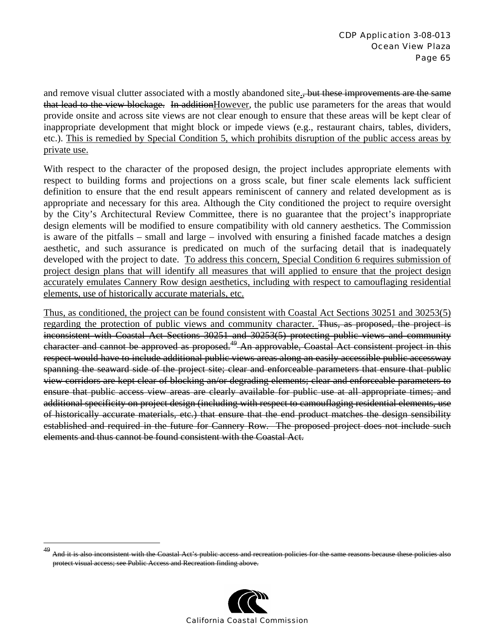and remove visual clutter associated with a mostly abandoned site., but these improvements are the same that lead to the view blockage. In additionHowever, the public use parameters for the areas that would provide onsite and across site views are not clear enough to ensure that these areas will be kept clear of inappropriate development that might block or impede views (e.g., restaurant chairs, tables, dividers, etc.). This is remedied by Special Condition 5, which prohibits disruption of the public access areas by private use.

With respect to the character of the proposed design, the project includes appropriate elements with respect to building forms and projections on a gross scale, but finer scale elements lack sufficient definition to ensure that the end result appears reminiscent of cannery and related development as is appropriate and necessary for this area. Although the City conditioned the project to require oversight by the City's Architectural Review Committee, there is no guarantee that the project's inappropriate design elements will be modified to ensure compatibility with old cannery aesthetics. The Commission is aware of the pitfalls – small and large – involved with ensuring a finished facade matches a design aesthetic, and such assurance is predicated on much of the surfacing detail that is inadequately developed with the project to date. To address this concern, Special Condition 6 requires submission of project design plans that will identify all measures that will applied to ensure that the project design accurately emulates Cannery Row design aesthetics, including with respect to camouflaging residential elements, use of historically accurate materials, etc.

Thus, as conditioned, the project can be found consistent with Coastal Act Sections 30251 and 30253(5) regarding the protection of public views and community character. Thus, as proposed, the project is inconsistent with Coastal Act Sections 30251 and 30253(5) protecting public views and community character and cannot be approved as proposed.<sup>49</sup> An approvable, Coastal Act consistent project in this respect would have to include additional public views areas along an easily accessible public accessway spanning the seaward side of the project site; clear and enforceable parameters that ensure that public view corridors are kept clear of blocking an/or degrading elements; clear and enforceable parameters to ensure that public access view areas are clearly available for public use at all appropriate times; and additional specificity on project design (including with respect to camouflaging residential elements, use of historically accurate materials, etc.) that ensure that the end product matches the design sensibility established and required in the future for Cannery Row. The proposed project does not include such elements and thus cannot be found consistent with the Coastal Act.

1



And it is also inconsistent with the Coastal Act's public access and recreation policies for the same reasons because these policies protect visual access; see Public Access and Recreation finding above.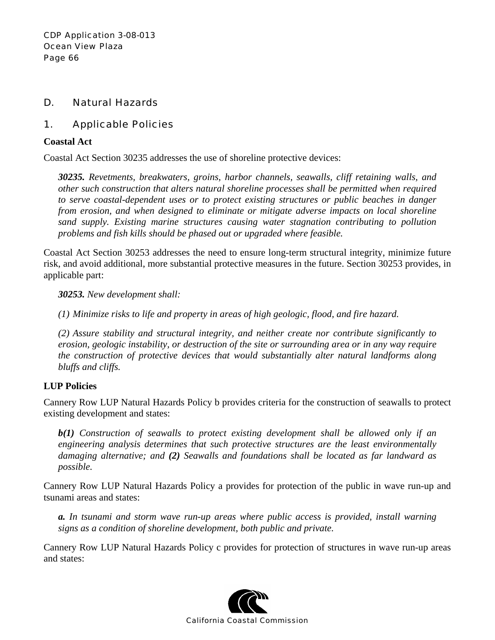# D. Natural Hazards

# 1. Applicable Policies

#### **Coastal Act**

Coastal Act Section 30235 addresses the use of shoreline protective devices:

*30235. Revetments, breakwaters, groins, harbor channels, seawalls, cliff retaining walls, and other such construction that alters natural shoreline processes shall be permitted when required to serve coastal-dependent uses or to protect existing structures or public beaches in danger from erosion, and when designed to eliminate or mitigate adverse impacts on local shoreline sand supply. Existing marine structures causing water stagnation contributing to pollution problems and fish kills should be phased out or upgraded where feasible.* 

Coastal Act Section 30253 addresses the need to ensure long-term structural integrity, minimize future risk, and avoid additional, more substantial protective measures in the future. Section 30253 provides, in applicable part:

*30253. New development shall:* 

*(1) Minimize risks to life and property in areas of high geologic, flood, and fire hazard.* 

*(2) Assure stability and structural integrity, and neither create nor contribute significantly to erosion, geologic instability, or destruction of the site or surrounding area or in any way require the construction of protective devices that would substantially alter natural landforms along bluffs and cliffs.* 

### **LUP Policies**

Cannery Row LUP Natural Hazards Policy b provides criteria for the construction of seawalls to protect existing development and states:

*b(1) Construction of seawalls to protect existing development shall be allowed only if an engineering analysis determines that such protective structures are the least environmentally damaging alternative; and (2) Seawalls and foundations shall be located as far landward as possible.* 

Cannery Row LUP Natural Hazards Policy a provides for protection of the public in wave run-up and tsunami areas and states:

*a. In tsunami and storm wave run-up areas where public access is provided, install warning signs as a condition of shoreline development, both public and private.* 

Cannery Row LUP Natural Hazards Policy c provides for protection of structures in wave run-up areas and states:

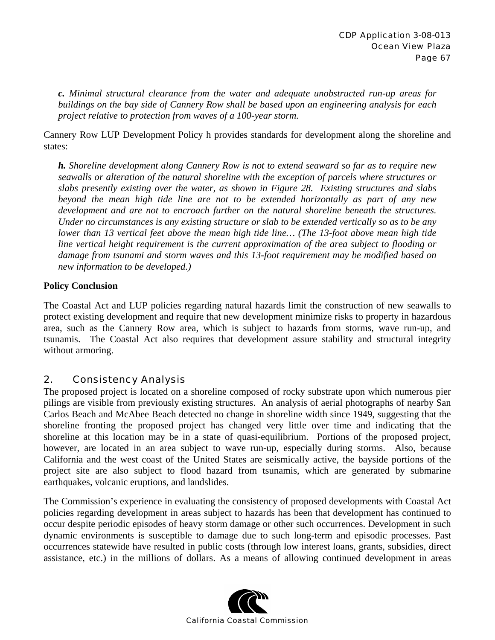*c. Minimal structural clearance from the water and adequate unobstructed run-up areas for buildings on the bay side of Cannery Row shall be based upon an engineering analysis for each project relative to protection from waves of a 100-year storm.* 

Cannery Row LUP Development Policy h provides standards for development along the shoreline and states:

*h. Shoreline development along Cannery Row is not to extend seaward so far as to require new seawalls or alteration of the natural shoreline with the exception of parcels where structures or slabs presently existing over the water, as shown in Figure 28. Existing structures and slabs beyond the mean high tide line are not to be extended horizontally as part of any new development and are not to encroach further on the natural shoreline beneath the structures. Under no circumstances is any existing structure or slab to be extended vertically so as to be any lower than 13 vertical feet above the mean high tide line… (The 13-foot above mean high tide line vertical height requirement is the current approximation of the area subject to flooding or damage from tsunami and storm waves and this 13-foot requirement may be modified based on new information to be developed.)*

### **Policy Conclusion**

The Coastal Act and LUP policies regarding natural hazards limit the construction of new seawalls to protect existing development and require that new development minimize risks to property in hazardous area, such as the Cannery Row area, which is subject to hazards from storms, wave run-up, and tsunamis. The Coastal Act also requires that development assure stability and structural integrity without armoring.

### 2. Consistency Analysis

The proposed project is located on a shoreline composed of rocky substrate upon which numerous pier pilings are visible from previously existing structures. An analysis of aerial photographs of nearby San Carlos Beach and McAbee Beach detected no change in shoreline width since 1949, suggesting that the shoreline fronting the proposed project has changed very little over time and indicating that the shoreline at this location may be in a state of quasi-equilibrium. Portions of the proposed project, however, are located in an area subject to wave run-up, especially during storms. Also, because California and the west coast of the United States are seismically active, the bayside portions of the project site are also subject to flood hazard from tsunamis, which are generated by submarine earthquakes, volcanic eruptions, and landslides.

The Commission's experience in evaluating the consistency of proposed developments with Coastal Act policies regarding development in areas subject to hazards has been that development has continued to occur despite periodic episodes of heavy storm damage or other such occurrences. Development in such dynamic environments is susceptible to damage due to such long-term and episodic processes. Past occurrences statewide have resulted in public costs (through low interest loans, grants, subsidies, direct assistance, etc.) in the millions of dollars. As a means of allowing continued development in areas

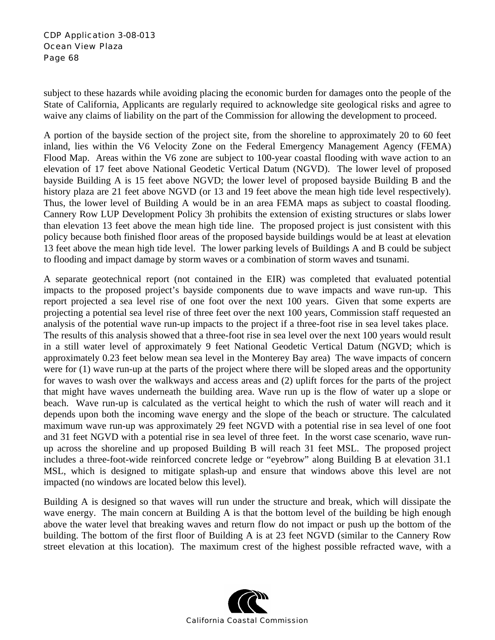subject to these hazards while avoiding placing the economic burden for damages onto the people of the State of California, Applicants are regularly required to acknowledge site geological risks and agree to waive any claims of liability on the part of the Commission for allowing the development to proceed.

A portion of the bayside section of the project site, from the shoreline to approximately 20 to 60 feet inland, lies within the V6 Velocity Zone on the Federal Emergency Management Agency (FEMA) Flood Map. Areas within the V6 zone are subject to 100-year coastal flooding with wave action to an elevation of 17 feet above National Geodetic Vertical Datum (NGVD). The lower level of proposed bayside Building A is 15 feet above NGVD; the lower level of proposed bayside Building B and the history plaza are 21 feet above NGVD (or 13 and 19 feet above the mean high tide level respectively). Thus, the lower level of Building A would be in an area FEMA maps as subject to coastal flooding. Cannery Row LUP Development Policy 3h prohibits the extension of existing structures or slabs lower than elevation 13 feet above the mean high tide line. The proposed project is just consistent with this policy because both finished floor areas of the proposed bayside buildings would be at least at elevation 13 feet above the mean high tide level. The lower parking levels of Buildings A and B could be subject to flooding and impact damage by storm waves or a combination of storm waves and tsunami.

A separate geotechnical report (not contained in the EIR) was completed that evaluated potential impacts to the proposed project's bayside components due to wave impacts and wave run-up. This report projected a sea level rise of one foot over the next 100 years. Given that some experts are projecting a potential sea level rise of three feet over the next 100 years, Commission staff requested an analysis of the potential wave run-up impacts to the project if a three-foot rise in sea level takes place. The results of this analysis showed that a three-foot rise in sea level over the next 100 years would result in a still water level of approximately 9 feet National Geodetic Vertical Datum (NGVD; which is approximately 0.23 feet below mean sea level in the Monterey Bay area) The wave impacts of concern were for (1) wave run-up at the parts of the project where there will be sloped areas and the opportunity for waves to wash over the walkways and access areas and (2) uplift forces for the parts of the project that might have waves underneath the building area. Wave run up is the flow of water up a slope or beach. Wave run-up is calculated as the vertical height to which the rush of water will reach and it depends upon both the incoming wave energy and the slope of the beach or structure. The calculated maximum wave run-up was approximately 29 feet NGVD with a potential rise in sea level of one foot and 31 feet NGVD with a potential rise in sea level of three feet. In the worst case scenario, wave runup across the shoreline and up proposed Building B will reach 31 feet MSL. The proposed project includes a three-foot-wide reinforced concrete ledge or "eyebrow" along Building B at elevation 31.1 MSL, which is designed to mitigate splash-up and ensure that windows above this level are not impacted (no windows are located below this level).

Building A is designed so that waves will run under the structure and break, which will dissipate the wave energy. The main concern at Building A is that the bottom level of the building be high enough above the water level that breaking waves and return flow do not impact or push up the bottom of the building. The bottom of the first floor of Building A is at 23 feet NGVD (similar to the Cannery Row street elevation at this location). The maximum crest of the highest possible refracted wave, with a

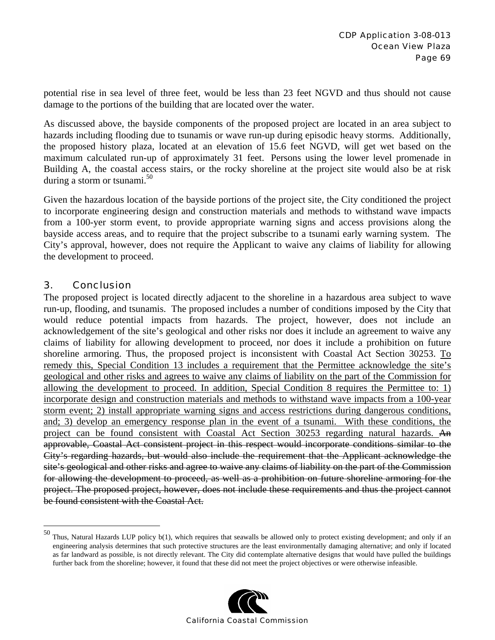potential rise in sea level of three feet, would be less than 23 feet NGVD and thus should not cause damage to the portions of the building that are located over the water.

As discussed above, the bayside components of the proposed project are located in an area subject to hazards including flooding due to tsunamis or wave run-up during episodic heavy storms. Additionally, the proposed history plaza, located at an elevation of 15.6 feet NGVD, will get wet based on the maximum calculated run-up of approximately 31 feet. Persons using the lower level promenade in Building A, the coastal access stairs, or the rocky shoreline at the project site would also be at risk during a storm or tsunami. 50

Given the hazardous location of the bayside portions of the project site, the City conditioned the project to incorporate engineering design and construction materials and methods to withstand wave impacts from a 100-yer storm event, to provide appropriate warning signs and access provisions along the bayside access areas, and to require that the project subscribe to a tsunami early warning system. The City's approval, however, does not require the Applicant to waive any claims of liability for allowing the development to proceed.

### 3. Conclusion

1

The proposed project is located directly adjacent to the shoreline in a hazardous area subject to wave run-up, flooding, and tsunamis. The proposed includes a number of conditions imposed by the City that would reduce potential impacts from hazards. The project, however, does not include an acknowledgement of the site's geological and other risks nor does it include an agreement to waive any claims of liability for allowing development to proceed, nor does it include a prohibition on future shoreline armoring. Thus, the proposed project is inconsistent with Coastal Act Section 30253. To remedy this, Special Condition 13 includes a requirement that the Permittee acknowledge the site's geological and other risks and agrees to waive any claims of liability on the part of the Commission for allowing the development to proceed. In addition, Special Condition 8 requires the Permittee to: 1) incorporate design and construction materials and methods to withstand wave impacts from a 100-year storm event; 2) install appropriate warning signs and access restrictions during dangerous conditions, and; 3) develop an emergency response plan in the event of a tsunami. With these conditions, the project can be found consistent with Coastal Act Section 30253 regarding natural hazards. An approvable, Coastal Act consistent project in this respect would incorporate conditions similar to the City's regarding hazards, but would also include the requirement that the Applicant acknowledge the site's geological and other risks and agree to waive any claims of liability on the part of the Commission for allowing the development to proceed, as well as a prohibition on future shoreline armoring for the project. The proposed project, however, does not include these requirements and thus the project cannot be found consistent with the Coastal Act.

 $50$  Thus, Natural Hazards LUP policy  $b(1)$ , which requires that seawalls be allowed only to protect existing development; and only if an engineering analysis determines that such protective structures are the least environmentally damaging alternative; and only if located as far landward as possible, is not directly relevant. The City did contemplate alternative designs that would have pulled the buildings further back from the shoreline; however, it found that these did not meet the project objectives or were otherwise infeasible.

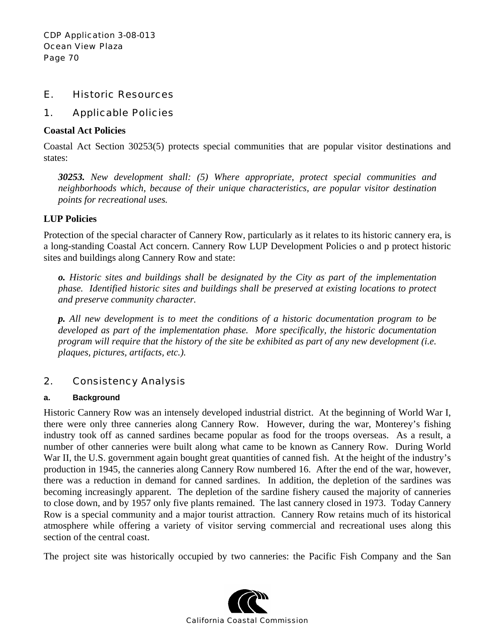### E. Historic Resources

### 1. Applicable Policies

#### **Coastal Act Policies**

Coastal Act Section 30253(5) protects special communities that are popular visitor destinations and states:

*30253. New development shall: (5) Where appropriate, protect special communities and neighborhoods which, because of their unique characteristics, are popular visitor destination points for recreational uses.* 

### **LUP Policies**

Protection of the special character of Cannery Row, particularly as it relates to its historic cannery era, is a long-standing Coastal Act concern. Cannery Row LUP Development Policies o and p protect historic sites and buildings along Cannery Row and state:

*o. Historic sites and buildings shall be designated by the City as part of the implementation phase. Identified historic sites and buildings shall be preserved at existing locations to protect and preserve community character.* 

*p. All new development is to meet the conditions of a historic documentation program to be developed as part of the implementation phase. More specifically, the historic documentation program will require that the history of the site be exhibited as part of any new development (i.e. plaques, pictures, artifacts, etc.).*

# 2. Consistency Analysis

#### **a. Background**

Historic Cannery Row was an intensely developed industrial district. At the beginning of World War I, there were only three canneries along Cannery Row. However, during the war, Monterey's fishing industry took off as canned sardines became popular as food for the troops overseas. As a result, a number of other canneries were built along what came to be known as Cannery Row. During World War II, the U.S. government again bought great quantities of canned fish. At the height of the industry's production in 1945, the canneries along Cannery Row numbered 16. After the end of the war, however, there was a reduction in demand for canned sardines. In addition, the depletion of the sardines was becoming increasingly apparent. The depletion of the sardine fishery caused the majority of canneries to close down, and by 1957 only five plants remained. The last cannery closed in 1973. Today Cannery Row is a special community and a major tourist attraction. Cannery Row retains much of its historical atmosphere while offering a variety of visitor serving commercial and recreational uses along this section of the central coast.

The project site was historically occupied by two canneries: the Pacific Fish Company and the San

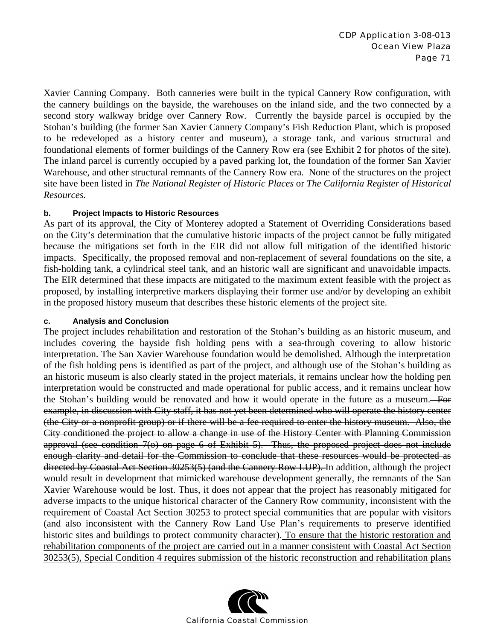Xavier Canning Company. Both canneries were built in the typical Cannery Row configuration, with the cannery buildings on the bayside, the warehouses on the inland side, and the two connected by a second story walkway bridge over Cannery Row. Currently the bayside parcel is occupied by the Stohan's building (the former San Xavier Cannery Company's Fish Reduction Plant, which is proposed to be redeveloped as a history center and museum), a storage tank, and various structural and foundational elements of former buildings of the Cannery Row era (see Exhibit 2 for photos of the site). The inland parcel is currently occupied by a paved parking lot, the foundation of the former San Xavier Warehouse, and other structural remnants of the Cannery Row era. None of the structures on the project site have been listed in *The National Register of Historic Places* or *The California Register of Historical Resources.*

#### **b. Project Impacts to Historic Resources**

As part of its approval, the City of Monterey adopted a Statement of Overriding Considerations based on the City's determination that the cumulative historic impacts of the project cannot be fully mitigated because the mitigations set forth in the EIR did not allow full mitigation of the identified historic impacts. Specifically, the proposed removal and non-replacement of several foundations on the site, a fish-holding tank, a cylindrical steel tank, and an historic wall are significant and unavoidable impacts. The EIR determined that these impacts are mitigated to the maximum extent feasible with the project as proposed, by installing interpretive markers displaying their former use and/or by developing an exhibit in the proposed history museum that describes these historic elements of the project site.

#### **c. Analysis and Conclusion**

The project includes rehabilitation and restoration of the Stohan's building as an historic museum, and includes covering the bayside fish holding pens with a sea-through covering to allow historic interpretation. The San Xavier Warehouse foundation would be demolished. Although the interpretation of the fish holding pens is identified as part of the project, and although use of the Stohan's building as an historic museum is also clearly stated in the project materials, it remains unclear how the holding pen interpretation would be constructed and made operational for public access, and it remains unclear how the Stohan's building would be renovated and how it would operate in the future as a museum. For example, in discussion with City staff, it has not yet been determined who will operate the history center (the City or a nonprofit group) or if there will be a fee required to enter the history museum. Also, the City conditioned the project to allow a change in use of the History Center with Planning Commission approval (see condition 7(o) on page 6 of Exhibit 5). Thus, the proposed project does not include enough clarity and detail for the Commission to conclude that these resources would be protected as directed by Coastal Act Section 30253(5) (and the Cannery Row LUP). In addition, although the project would result in development that mimicked warehouse development generally, the remnants of the San Xavier Warehouse would be lost. Thus, it does not appear that the project has reasonably mitigated for adverse impacts to the unique historical character of the Cannery Row community, inconsistent with the requirement of Coastal Act Section 30253 to protect special communities that are popular with visitors (and also inconsistent with the Cannery Row Land Use Plan's requirements to preserve identified historic sites and buildings to protect community character). To ensure that the historic restoration and rehabilitation components of the project are carried out in a manner consistent with Coastal Act Section 30253(5), Special Condition 4 requires submission of the historic reconstruction and rehabilitation plans

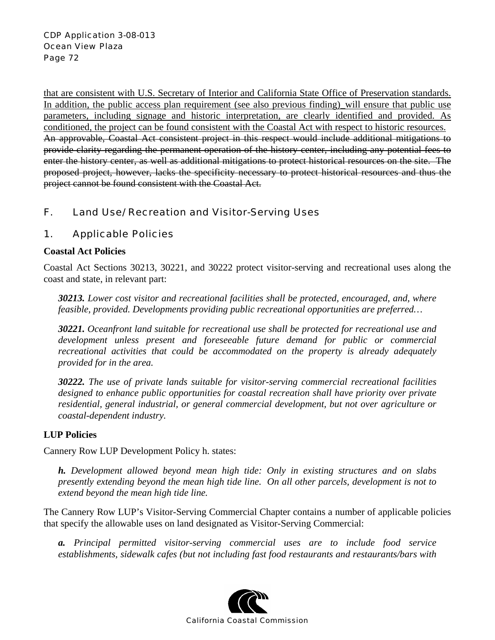that are consistent with U.S. Secretary of Interior and California State Office of Preservation standards. In addition, the public access plan requirement (see also previous finding)\_will ensure that public use parameters, including signage and historic interpretation, are clearly identified and provided. As conditioned, the project can be found consistent with the Coastal Act with respect to historic resources. An approvable, Coastal Act consistent project in this respect would include additional mitigations to provide clarity regarding the permanent operation of the history center, including any potential fees to enter the history center, as well as additional mitigations to protect historical resources on the site. The proposed project, however, lacks the specificity necessary to protect historical resources and thus the project cannot be found consistent with the Coastal Act.

# F. Land Use/ Recreation and Visitor-Serving Uses

# 1. Applicable Policies

#### **Coastal Act Policies**

Coastal Act Sections 30213, 30221, and 30222 protect visitor-serving and recreational uses along the coast and state, in relevant part:

*30213. Lower cost visitor and recreational facilities shall be protected, encouraged, and, where feasible, provided. Developments providing public recreational opportunities are preferred…* 

*30221. Oceanfront land suitable for recreational use shall be protected for recreational use and development unless present and foreseeable future demand for public or commercial recreational activities that could be accommodated on the property is already adequately provided for in the area.* 

*30222. The use of private lands suitable for visitor-serving commercial recreational facilities designed to enhance public opportunities for coastal recreation shall have priority over private residential, general industrial, or general commercial development, but not over agriculture or coastal-dependent industry.* 

### **LUP Policies**

Cannery Row LUP Development Policy h. states:

*h. Development allowed beyond mean high tide: Only in existing structures and on slabs presently extending beyond the mean high tide line. On all other parcels, development is not to extend beyond the mean high tide line.* 

The Cannery Row LUP's Visitor-Serving Commercial Chapter contains a number of applicable policies that specify the allowable uses on land designated as Visitor-Serving Commercial:

*a. Principal permitted visitor-serving commercial uses are to include food service establishments, sidewalk cafes (but not including fast food restaurants and restaurants/bars with* 

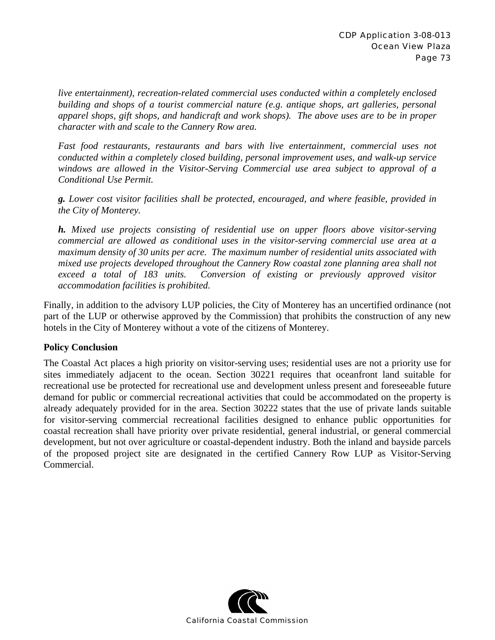*live entertainment), recreation-related commercial uses conducted within a completely enclosed building and shops of a tourist commercial nature (e.g. antique shops, art galleries, personal apparel shops, gift shops, and handicraft and work shops). The above uses are to be in proper character with and scale to the Cannery Row area.* 

*Fast food restaurants, restaurants and bars with live entertainment, commercial uses not conducted within a completely closed building, personal improvement uses, and walk-up service windows are allowed in the Visitor-Serving Commercial use area subject to approval of a Conditional Use Permit.* 

*g. Lower cost visitor facilities shall be protected, encouraged, and where feasible, provided in the City of Monterey.* 

*h. Mixed use projects consisting of residential use on upper floors above visitor-serving commercial are allowed as conditional uses in the visitor-serving commercial use area at a maximum density of 30 units per acre. The maximum number of residential units associated with mixed use projects developed throughout the Cannery Row coastal zone planning area shall not exceed a total of 183 units. Conversion of existing or previously approved visitor accommodation facilities is prohibited.* 

Finally, in addition to the advisory LUP policies, the City of Monterey has an uncertified ordinance (not part of the LUP or otherwise approved by the Commission) that prohibits the construction of any new hotels in the City of Monterey without a vote of the citizens of Monterey.

## **Policy Conclusion**

The Coastal Act places a high priority on visitor-serving uses; residential uses are not a priority use for sites immediately adjacent to the ocean. Section 30221 requires that oceanfront land suitable for recreational use be protected for recreational use and development unless present and foreseeable future demand for public or commercial recreational activities that could be accommodated on the property is already adequately provided for in the area. Section 30222 states that the use of private lands suitable for visitor-serving commercial recreational facilities designed to enhance public opportunities for coastal recreation shall have priority over private residential, general industrial, or general commercial development, but not over agriculture or coastal-dependent industry. Both the inland and bayside parcels of the proposed project site are designated in the certified Cannery Row LUP as Visitor-Serving Commercial.

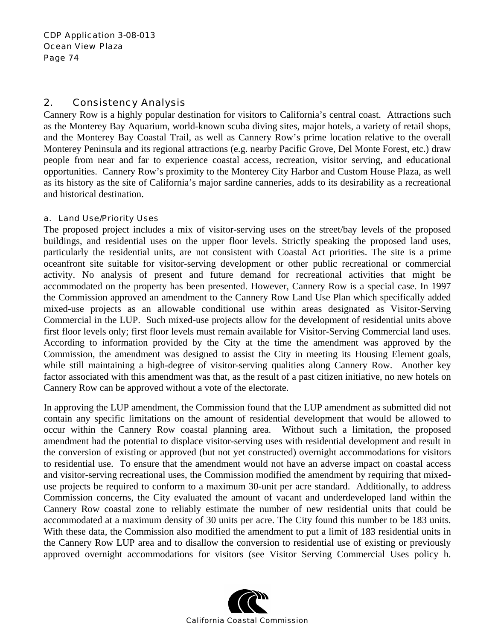## 2. Consistency Analysis

Cannery Row is a highly popular destination for visitors to California's central coast. Attractions such as the Monterey Bay Aquarium, world-known scuba diving sites, major hotels, a variety of retail shops, and the Monterey Bay Coastal Trail, as well as Cannery Row's prime location relative to the overall Monterey Peninsula and its regional attractions (e.g. nearby Pacific Grove, Del Monte Forest, etc.) draw people from near and far to experience coastal access, recreation, visitor serving, and educational opportunities. Cannery Row's proximity to the Monterey City Harbor and Custom House Plaza, as well as its history as the site of California's major sardine canneries, adds to its desirability as a recreational and historical destination.

#### a. Land Use/Priority Uses

The proposed project includes a mix of visitor-serving uses on the street/bay levels of the proposed buildings, and residential uses on the upper floor levels. Strictly speaking the proposed land uses, particularly the residential units, are not consistent with Coastal Act priorities. The site is a prime oceanfront site suitable for visitor-serving development or other public recreational or commercial activity. No analysis of present and future demand for recreational activities that might be accommodated on the property has been presented. However, Cannery Row is a special case. In 1997 the Commission approved an amendment to the Cannery Row Land Use Plan which specifically added mixed-use projects as an allowable conditional use within areas designated as Visitor-Serving Commercial in the LUP. Such mixed-use projects allow for the development of residential units above first floor levels only; first floor levels must remain available for Visitor-Serving Commercial land uses. According to information provided by the City at the time the amendment was approved by the Commission, the amendment was designed to assist the City in meeting its Housing Element goals, while still maintaining a high-degree of visitor-serving qualities along Cannery Row. Another key factor associated with this amendment was that, as the result of a past citizen initiative, no new hotels on Cannery Row can be approved without a vote of the electorate.

In approving the LUP amendment, the Commission found that the LUP amendment as submitted did not contain any specific limitations on the amount of residential development that would be allowed to occur within the Cannery Row coastal planning area. Without such a limitation, the proposed amendment had the potential to displace visitor-serving uses with residential development and result in the conversion of existing or approved (but not yet constructed) overnight accommodations for visitors to residential use. To ensure that the amendment would not have an adverse impact on coastal access and visitor-serving recreational uses, the Commission modified the amendment by requiring that mixeduse projects be required to conform to a maximum 30-unit per acre standard. Additionally, to address Commission concerns, the City evaluated the amount of vacant and underdeveloped land within the Cannery Row coastal zone to reliably estimate the number of new residential units that could be accommodated at a maximum density of 30 units per acre. The City found this number to be 183 units. With these data, the Commission also modified the amendment to put a limit of 183 residential units in the Cannery Row LUP area and to disallow the conversion to residential use of existing or previously approved overnight accommodations for visitors (see Visitor Serving Commercial Uses policy h.

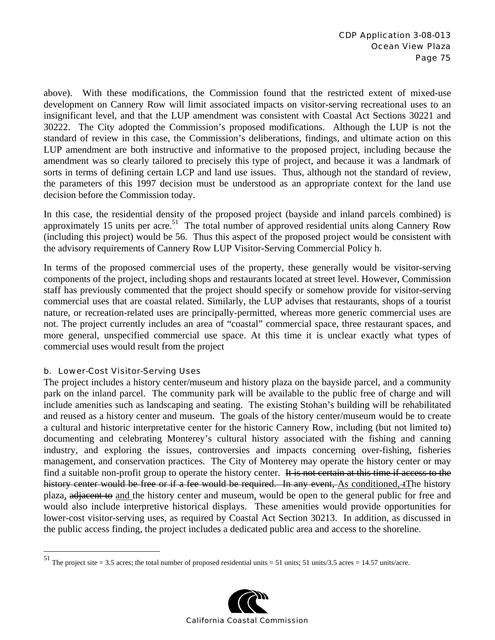above). With these modifications, the Commission found that the restricted extent of mixed-use development on Cannery Row will limit associated impacts on visitor-serving recreational uses to an insignificant level, and that the LUP amendment was consistent with Coastal Act Sections 30221 and 30222. The City adopted the Commission's proposed modifications. Although the LUP is not the standard of review in this case, the Commission's deliberations, findings, and ultimate action on this LUP amendment are both instructive and informative to the proposed project, including because the amendment was so clearly tailored to precisely this type of project, and because it was a landmark of sorts in terms of defining certain LCP and land use issues. Thus, although not the standard of review, the parameters of this 1997 decision must be understood as an appropriate context for the land use decision before the Commission today.

In this case, the residential density of the proposed project (bayside and inland parcels combined) is approximately 15 units per acre.<sup>51</sup> The total number of approved residential units along Cannery Row (including this project) would be 56. Thus this aspect of the proposed project would be consistent with the advisory requirements of Cannery Row LUP Visitor-Serving Commercial Policy h.

In terms of the proposed commercial uses of the property, these generally would be visitor-serving components of the project, including shops and restaurants located at street level. However, Commission staff has previously commented that the project should specify or somehow provide for visitor-serving commercial uses that are coastal related. Similarly, the LUP advises that restaurants, shops of a tourist nature, or recreation-related uses are principally-permitted, whereas more generic commercial uses are not. The project currently includes an area of "coastal" commercial space, three restaurant spaces, and more general, unspecified commercial use space. At this time it is unclear exactly what types of commercial uses would result from the project

#### b. Lower-Cost Visitor-Serving Uses

 $\overline{a}$ 

The project includes a history center/museum and history plaza on the bayside parcel, and a community park on the inland parcel. The community park will be available to the public free of charge and will include amenities such as landscaping and seating. The existing Stohan's building will be rehabilitated and reused as a history center and museum. The goals of the history center/museum would be to create a cultural and historic interpretative center for the historic Cannery Row, including (but not limited to) documenting and celebrating Monterey's cultural history associated with the fishing and canning industry, and exploring the issues, controversies and impacts concerning over-fishing, fisheries management, and conservation practices. The City of Monterey may operate the history center or may find a suitable non-profit group to operate the history center. It is not certain at this time if access to the history center would be free or if a fee would be required. In any event, As conditioned,  $+$ The history plaza, adjacent to and the history center and museum, would be open to the general public for free and would also include interpretive historical displays. These amenities would provide opportunities for lower-cost visitor-serving uses, as required by Coastal Act Section 30213. In addition, as discussed in the public access finding, the project includes a dedicated public area and access to the shoreline.

<sup>&</sup>lt;sup>51</sup> The project site = 3.5 acres; the total number of proposed residential units = 51 units; 51 units/3.5 acres = 14.57 units/acre.

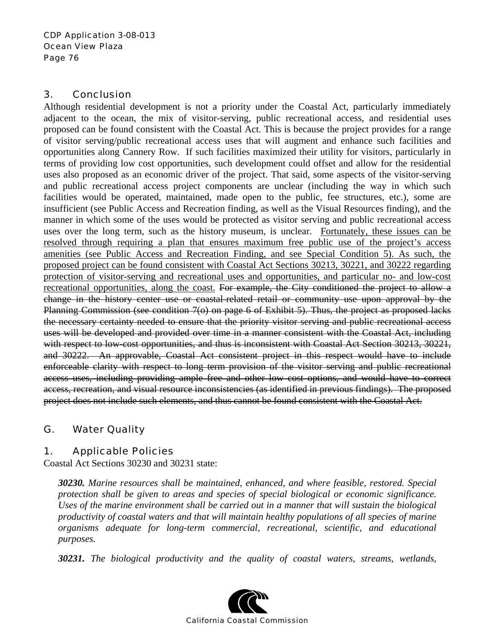## 3. Conclusion

Although residential development is not a priority under the Coastal Act, particularly immediately adjacent to the ocean, the mix of visitor-serving, public recreational access, and residential uses proposed can be found consistent with the Coastal Act. This is because the project provides for a range of visitor serving/public recreational access uses that will augment and enhance such facilities and opportunities along Cannery Row. If such facilities maximized their utility for visitors, particularly in terms of providing low cost opportunities, such development could offset and allow for the residential uses also proposed as an economic driver of the project. That said, some aspects of the visitor-serving and public recreational access project components are unclear (including the way in which such facilities would be operated, maintained, made open to the public, fee structures, etc.), some are insufficient (see Public Access and Recreation finding, as well as the Visual Resources finding), and the manner in which some of the uses would be protected as visitor serving and public recreational access uses over the long term, such as the history museum, is unclear. Fortunately, these issues can be resolved through requiring a plan that ensures maximum free public use of the project's access amenities (see Public Access and Recreation Finding, and see Special Condition 5). As such, the proposed project can be found consistent with Coastal Act Sections 30213, 30221, and 30222 regarding protection of visitor-serving and recreational uses and opportunities, and particular no- and low-cost recreational opportunities, along the coast. For example, the City conditioned the project to allow a change in the history center use or coastal-related retail or community use upon approval by the Planning Commission (see condition 7(o) on page 6 of Exhibit 5). Thus, the project as proposed lacks the necessary certainty needed to ensure that the priority visitor serving and public recreational access uses will be developed and provided over time in a manner consistent with the Coastal Act, including with respect to low-cost opportunities, and thus is inconsistent with Coastal Act Section 30213, 30221, and 30222. An approvable, Coastal Act consistent project in this respect would have to include enforceable clarity with respect to long term provision of the visitor serving and public recreational access uses, including providing ample free and other low cost options, and would have to correct access, recreation, and visual resource inconsistencies (as identified in previous findings). The proposed project does not include such elements, and thus cannot be found consistent with the Coastal Act.

# G. Water Quality

# 1. Applicable Policies

Coastal Act Sections 30230 and 30231 state:

*30230. Marine resources shall be maintained, enhanced, and where feasible, restored. Special protection shall be given to areas and species of special biological or economic significance. Uses of the marine environment shall be carried out in a manner that will sustain the biological productivity of coastal waters and that will maintain healthy populations of all species of marine organisms adequate for long-term commercial, recreational, scientific, and educational purposes.* 

*30231. The biological productivity and the quality of coastal waters, streams, wetlands,* 

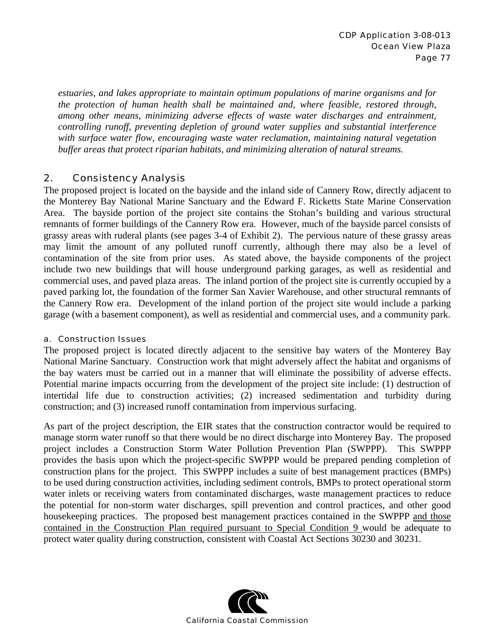*estuaries, and lakes appropriate to maintain optimum populations of marine organisms and for the protection of human health shall be maintained and, where feasible, restored through, among other means, minimizing adverse effects of waste water discharges and entrainment, controlling runoff, preventing depletion of ground water supplies and substantial interference with surface water flow, encouraging waste water reclamation, maintaining natural vegetation buffer areas that protect riparian habitats, and minimizing alteration of natural streams.* 

## 2. Consistency Analysis

The proposed project is located on the bayside and the inland side of Cannery Row, directly adjacent to the Monterey Bay National Marine Sanctuary and the Edward F. Ricketts State Marine Conservation Area. The bayside portion of the project site contains the Stohan's building and various structural remnants of former buildings of the Cannery Row era. However, much of the bayside parcel consists of grassy areas with ruderal plants (see pages 3-4 of Exhibit 2). The pervious nature of these grassy areas may limit the amount of any polluted runoff currently, although there may also be a level of contamination of the site from prior uses. As stated above, the bayside components of the project include two new buildings that will house underground parking garages, as well as residential and commercial uses, and paved plaza areas. The inland portion of the project site is currently occupied by a paved parking lot, the foundation of the former San Xavier Warehouse, and other structural remnants of the Cannery Row era. Development of the inland portion of the project site would include a parking garage (with a basement component), as well as residential and commercial uses, and a community park.

#### a. Construction Issues

The proposed project is located directly adjacent to the sensitive bay waters of the Monterey Bay National Marine Sanctuary. Construction work that might adversely affect the habitat and organisms of the bay waters must be carried out in a manner that will eliminate the possibility of adverse effects. Potential marine impacts occurring from the development of the project site include: (1) destruction of intertidal life due to construction activities; (2) increased sedimentation and turbidity during construction; and (3) increased runoff contamination from impervious surfacing.

As part of the project description, the EIR states that the construction contractor would be required to manage storm water runoff so that there would be no direct discharge into Monterey Bay. The proposed project includes a Construction Storm Water Pollution Prevention Plan (SWPPP). This SWPPP provides the basis upon which the project-specific SWPPP would be prepared pending completion of construction plans for the project. This SWPPP includes a suite of best management practices (BMPs) to be used during construction activities, including sediment controls, BMPs to protect operational storm water inlets or receiving waters from contaminated discharges, waste management practices to reduce the potential for non-storm water discharges, spill prevention and control practices, and other good housekeeping practices. The proposed best management practices contained in the SWPPP and those contained in the Construction Plan required pursuant to Special Condition 9 would be adequate to protect water quality during construction, consistent with Coastal Act Sections 30230 and 30231.

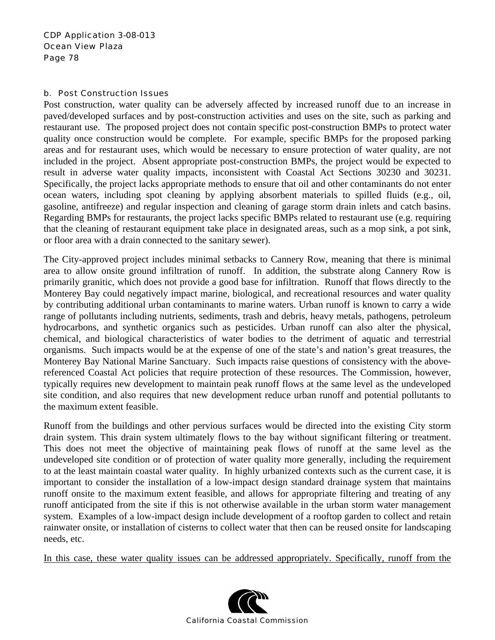#### b. Post Construction Issues

Post construction, water quality can be adversely affected by increased runoff due to an increase in paved/developed surfaces and by post-construction activities and uses on the site, such as parking and restaurant use. The proposed project does not contain specific post-construction BMPs to protect water quality once construction would be complete. For example, specific BMPs for the proposed parking areas and for restaurant uses, which would be necessary to ensure protection of water quality, are not included in the project. Absent appropriate post-construction BMPs, the project would be expected to result in adverse water quality impacts, inconsistent with Coastal Act Sections 30230 and 30231. Specifically, the project lacks appropriate methods to ensure that oil and other contaminants do not enter ocean waters, including spot cleaning by applying absorbent materials to spilled fluids (e.g., oil, gasoline, antifreeze) and regular inspection and cleaning of garage storm drain inlets and catch basins. Regarding BMPs for restaurants, the project lacks specific BMPs related to restaurant use (e.g. requiring that the cleaning of restaurant equipment take place in designated areas, such as a mop sink, a pot sink, or floor area with a drain connected to the sanitary sewer).

The City-approved project includes minimal setbacks to Cannery Row, meaning that there is minimal area to allow onsite ground infiltration of runoff. In addition, the substrate along Cannery Row is primarily granitic, which does not provide a good base for infiltration. Runoff that flows directly to the Monterey Bay could negatively impact marine, biological, and recreational resources and water quality by contributing additional urban contaminants to marine waters. Urban runoff is known to carry a wide range of pollutants including nutrients, sediments, trash and debris, heavy metals, pathogens, petroleum hydrocarbons, and synthetic organics such as pesticides. Urban runoff can also alter the physical, chemical, and biological characteristics of water bodies to the detriment of aquatic and terrestrial organisms. Such impacts would be at the expense of one of the state's and nation's great treasures, the Monterey Bay National Marine Sanctuary. Such impacts raise questions of consistency with the abovereferenced Coastal Act policies that require protection of these resources. The Commission, however, typically requires new development to maintain peak runoff flows at the same level as the undeveloped site condition, and also requires that new development reduce urban runoff and potential pollutants to the maximum extent feasible.

Runoff from the buildings and other pervious surfaces would be directed into the existing City storm drain system. This drain system ultimately flows to the bay without significant filtering or treatment. This does not meet the objective of maintaining peak flows of runoff at the same level as the undeveloped site condition or of protection of water quality more generally, including the requirement to at the least maintain coastal water quality. In highly urbanized contexts such as the current case, it is important to consider the installation of a low-impact design standard drainage system that maintains runoff onsite to the maximum extent feasible, and allows for appropriate filtering and treating of any runoff anticipated from the site if this is not otherwise available in the urban storm water management system. Examples of a low-impact design include development of a rooftop garden to collect and retain rainwater onsite, or installation of cisterns to collect water that then can be reused onsite for landscaping needs, etc.

In this case, these water quality issues can be addressed appropriately. Specifically, runoff from the

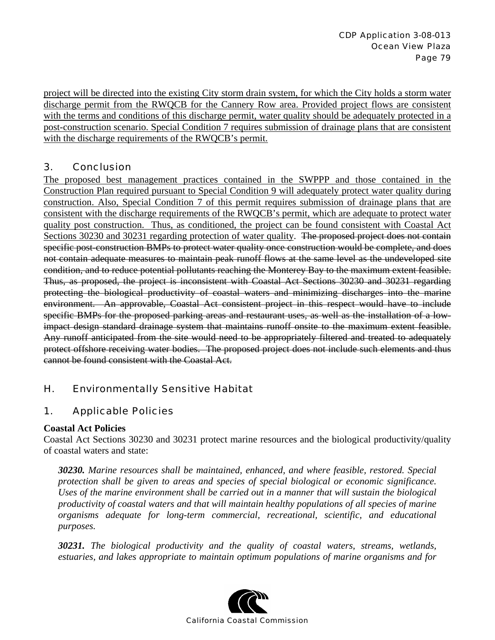project will be directed into the existing City storm drain system, for which the City holds a storm water discharge permit from the RWQCB for the Cannery Row area. Provided project flows are consistent with the terms and conditions of this discharge permit, water quality should be adequately protected in a post-construction scenario. Special Condition 7 requires submission of drainage plans that are consistent with the discharge requirements of the RWQCB's permit.

# 3. Conclusion

The proposed best management practices contained in the SWPPP and those contained in the Construction Plan required pursuant to Special Condition 9 will adequately protect water quality during construction. Also, Special Condition 7 of this permit requires submission of drainage plans that are consistent with the discharge requirements of the RWQCB's permit, which are adequate to protect water quality post construction. Thus, as conditioned, the project can be found consistent with Coastal Act Sections 30230 and 30231 regarding protection of water quality. The proposed project does not contain specific post-construction BMPs to protect water quality once construction would be complete, and does not contain adequate measures to maintain peak runoff flows at the same level as the undeveloped site condition, and to reduce potential pollutants reaching the Monterey Bay to the maximum extent feasible. Thus, as proposed, the project is inconsistent with Coastal Act Sections 30230 and 30231 regarding protecting the biological productivity of coastal waters and minimizing discharges into the marine environment. An approvable, Coastal Act consistent project in this respect would have to include specific BMPs for the proposed parking areas and restaurant uses, as well as the installation of a lowimpact design standard drainage system that maintains runoff onsite to the maximum extent feasible. Any runoff anticipated from the site would need to be appropriately filtered and treated to adequately protect offshore receiving water bodies. The proposed project does not include such elements and thus cannot be found consistent with the Coastal Act.

# H. Environmentally Sensitive Habitat

# 1. Applicable Policies

## **Coastal Act Policies**

Coastal Act Sections 30230 and 30231 protect marine resources and the biological productivity/quality of coastal waters and state:

*30230. Marine resources shall be maintained, enhanced, and where feasible, restored. Special protection shall be given to areas and species of special biological or economic significance. Uses of the marine environment shall be carried out in a manner that will sustain the biological productivity of coastal waters and that will maintain healthy populations of all species of marine organisms adequate for long-term commercial, recreational, scientific, and educational purposes.* 

*30231. The biological productivity and the quality of coastal waters, streams, wetlands, estuaries, and lakes appropriate to maintain optimum populations of marine organisms and for* 

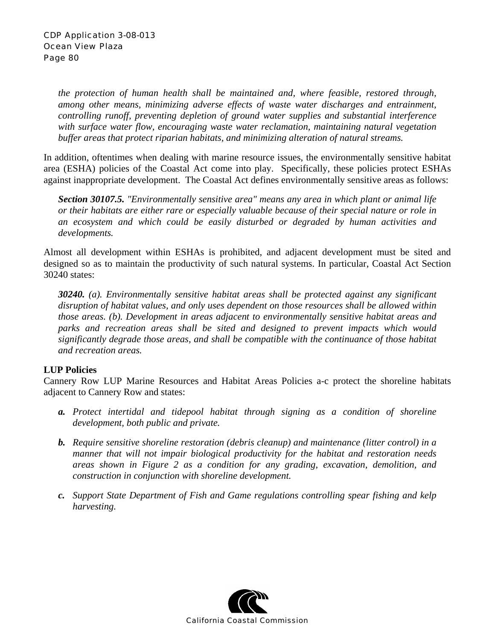*the protection of human health shall be maintained and, where feasible, restored through, among other means, minimizing adverse effects of waste water discharges and entrainment, controlling runoff, preventing depletion of ground water supplies and substantial interference with surface water flow, encouraging waste water reclamation, maintaining natural vegetation buffer areas that protect riparian habitats, and minimizing alteration of natural streams.* 

In addition, oftentimes when dealing with marine resource issues, the environmentally sensitive habitat area (ESHA) policies of the Coastal Act come into play. Specifically, these policies protect ESHAs against inappropriate development. The Coastal Act defines environmentally sensitive areas as follows:

*Section 30107.5. "Environmentally sensitive area" means any area in which plant or animal life or their habitats are either rare or especially valuable because of their special nature or role in an ecosystem and which could be easily disturbed or degraded by human activities and developments.* 

Almost all development within ESHAs is prohibited, and adjacent development must be sited and designed so as to maintain the productivity of such natural systems. In particular, Coastal Act Section 30240 states:

*30240. (a). Environmentally sensitive habitat areas shall be protected against any significant disruption of habitat values, and only uses dependent on those resources shall be allowed within those areas. (b). Development in areas adjacent to environmentally sensitive habitat areas and parks and recreation areas shall be sited and designed to prevent impacts which would significantly degrade those areas, and shall be compatible with the continuance of those habitat and recreation areas.* 

## **LUP Policies**

Cannery Row LUP Marine Resources and Habitat Areas Policies a-c protect the shoreline habitats adjacent to Cannery Row and states:

- *a. Protect intertidal and tidepool habitat through signing as a condition of shoreline development, both public and private.*
- *b. Require sensitive shoreline restoration (debris cleanup) and maintenance (litter control) in a manner that will not impair biological productivity for the habitat and restoration needs areas shown in Figure 2 as a condition for any grading, excavation, demolition, and construction in conjunction with shoreline development.*
- *c. Support State Department of Fish and Game regulations controlling spear fishing and kelp harvesting.*

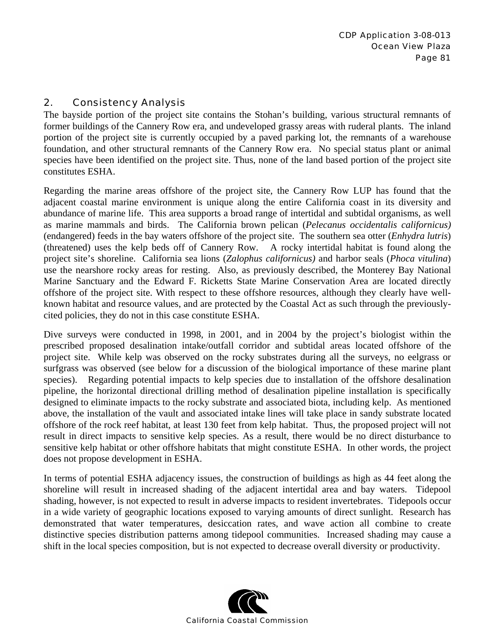## 2. Consistency Analysis

The bayside portion of the project site contains the Stohan's building, various structural remnants of former buildings of the Cannery Row era, and undeveloped grassy areas with ruderal plants. The inland portion of the project site is currently occupied by a paved parking lot, the remnants of a warehouse foundation, and other structural remnants of the Cannery Row era. No special status plant or animal species have been identified on the project site. Thus, none of the land based portion of the project site constitutes ESHA.

Regarding the marine areas offshore of the project site, the Cannery Row LUP has found that the adjacent coastal marine environment is unique along the entire California coast in its diversity and abundance of marine life. This area supports a broad range of intertidal and subtidal organisms, as well as marine mammals and birds. The California brown pelican (*Pelecanus occidentalis californicus)* (endangered) feeds in the bay waters offshore of the project site. The southern sea otter (*Enhydra lutris*) (threatened) uses the kelp beds off of Cannery Row. A rocky intertidal habitat is found along the project site's shoreline. California sea lions (*Zalophus californicus)* and harbor seals (*Phoca vitulina*) use the nearshore rocky areas for resting. Also, as previously described, the Monterey Bay National Marine Sanctuary and the Edward F. Ricketts State Marine Conservation Area are located directly offshore of the project site. With respect to these offshore resources, although they clearly have wellknown habitat and resource values, and are protected by the Coastal Act as such through the previouslycited policies, they do not in this case constitute ESHA.

Dive surveys were conducted in 1998, in 2001, and in 2004 by the project's biologist within the prescribed proposed desalination intake/outfall corridor and subtidal areas located offshore of the project site. While kelp was observed on the rocky substrates during all the surveys, no eelgrass or surfgrass was observed (see below for a discussion of the biological importance of these marine plant species). Regarding potential impacts to kelp species due to installation of the offshore desalination pipeline, the horizontal directional drilling method of desalination pipeline installation is specifically designed to eliminate impacts to the rocky substrate and associated biota, including kelp. As mentioned above, the installation of the vault and associated intake lines will take place in sandy substrate located offshore of the rock reef habitat, at least 130 feet from kelp habitat. Thus, the proposed project will not result in direct impacts to sensitive kelp species. As a result, there would be no direct disturbance to sensitive kelp habitat or other offshore habitats that might constitute ESHA. In other words, the project does not propose development in ESHA.

In terms of potential ESHA adjacency issues, the construction of buildings as high as 44 feet along the shoreline will result in increased shading of the adjacent intertidal area and bay waters. Tidepool shading, however, is not expected to result in adverse impacts to resident invertebrates. Tidepools occur in a wide variety of geographic locations exposed to varying amounts of direct sunlight. Research has demonstrated that water temperatures, desiccation rates, and wave action all combine to create distinctive species distribution patterns among tidepool communities. Increased shading may cause a shift in the local species composition, but is not expected to decrease overall diversity or productivity.

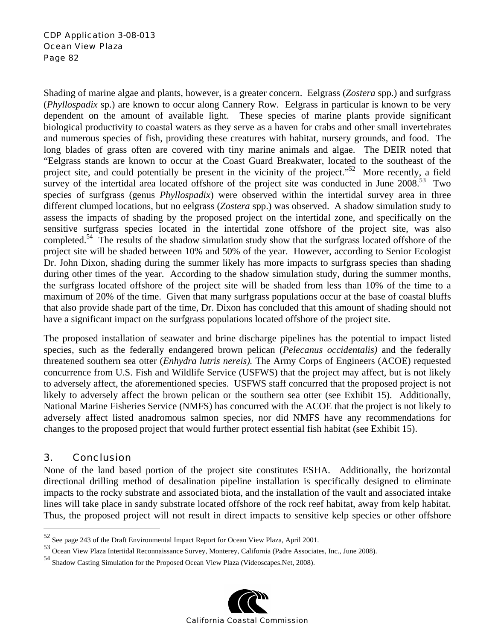Shading of marine algae and plants, however, is a greater concern. Eelgrass (*Zostera* spp.) and surfgrass (*Phyllospadix* sp.) are known to occur along Cannery Row. Eelgrass in particular is known to be very dependent on the amount of available light. These species of marine plants provide significant biological productivity to coastal waters as they serve as a haven for crabs and other small invertebrates and numerous species of fish, providing these creatures with habitat, nursery grounds, and food. The long blades of grass often are covered with tiny marine animals and algae. The DEIR noted that "Eelgrass stands are known to occur at the Coast Guard Breakwater, located to the southeast of the project site, and could potentially be present in the vicinity of the project."<sup>52</sup> More recently, a field survey of the intertidal area located offshore of the project site was conducted in June  $2008<sup>53</sup>$  Two species of surfgrass (genus *Phyllospadix*) were observed within the intertidal survey area in three different clumped locations, but no eelgrass (*Zostera* spp.) was observed. A shadow simulation study to assess the impacts of shading by the proposed project on the intertidal zone, and specifically on the sensitive surfgrass species located in the intertidal zone offshore of the project site, was also completed.<sup>54</sup> The results of the shadow simulation study show that the surfgrass located offshore of the project site will be shaded between 10% and 50% of the year. However, according to Senior Ecologist Dr. John Dixon, shading during the summer likely has more impacts to surfgrass species than shading during other times of the year. According to the shadow simulation study, during the summer months, the surfgrass located offshore of the project site will be shaded from less than 10% of the time to a maximum of 20% of the time. Given that many surfgrass populations occur at the base of coastal bluffs that also provide shade part of the time, Dr. Dixon has concluded that this amount of shading should not have a significant impact on the surfgrass populations located offshore of the project site.

The proposed installation of seawater and brine discharge pipelines has the potential to impact listed species, such as the federally endangered brown pelican (*Pelecanus occidentalis)* and the federally threatened southern sea otter (*Enhydra lutris nereis).* The Army Corps of Engineers (ACOE) requested concurrence from U.S. Fish and Wildlife Service (USFWS) that the project may affect, but is not likely to adversely affect, the aforementioned species. USFWS staff concurred that the proposed project is not likely to adversely affect the brown pelican or the southern sea otter (see Exhibit 15). Additionally, National Marine Fisheries Service (NMFS) has concurred with the ACOE that the project is not likely to adversely affect listed anadromous salmon species, nor did NMFS have any recommendations for changes to the proposed project that would further protect essential fish habitat (see Exhibit 15).

## 3. Conclusion

 $\overline{a}$ 

None of the land based portion of the project site constitutes ESHA. Additionally, the horizontal directional drilling method of desalination pipeline installation is specifically designed to eliminate impacts to the rocky substrate and associated biota, and the installation of the vault and associated intake lines will take place in sandy substrate located offshore of the rock reef habitat, away from kelp habitat. Thus, the proposed project will not result in direct impacts to sensitive kelp species or other offshore

<sup>54</sup> Shadow Casting Simulation for the Proposed Ocean View Plaza (Videoscapes.Net, 2008).



<sup>52</sup> See page 243 of the Draft Environmental Impact Report for Ocean View Plaza, April 2001.

<sup>53</sup> Ocean View Plaza Intertidal Reconnaissance Survey, Monterey, California (Padre Associates, Inc., June 2008).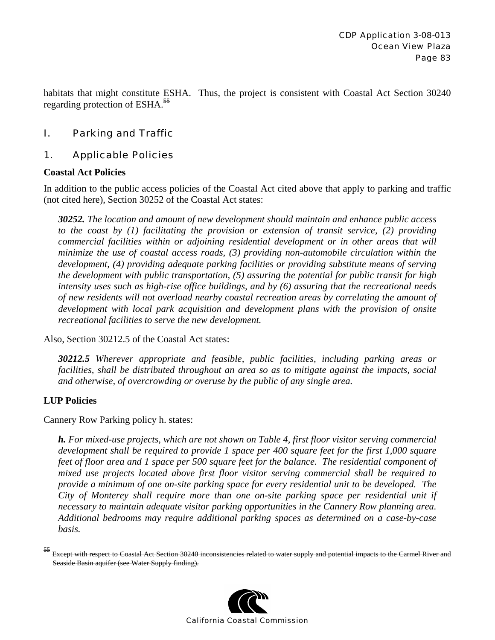habitats that might constitute ESHA. Thus, the project is consistent with Coastal Act Section 30240 regarding protection of ESHA.<sup>55</sup>

# I. Parking and Traffic

## 1. Applicable Policies

#### **Coastal Act Policies**

In addition to the public access policies of the Coastal Act cited above that apply to parking and traffic (not cited here), Section 30252 of the Coastal Act states:

*30252. The location and amount of new development should maintain and enhance public access to the coast by (1) facilitating the provision or extension of transit service, (2) providing commercial facilities within or adjoining residential development or in other areas that will minimize the use of coastal access roads, (3) providing non-automobile circulation within the development, (4) providing adequate parking facilities or providing substitute means of serving the development with public transportation, (5) assuring the potential for public transit for high intensity uses such as high-rise office buildings, and by (6) assuring that the recreational needs of new residents will not overload nearby coastal recreation areas by correlating the amount of development with local park acquisition and development plans with the provision of onsite recreational facilities to serve the new development.* 

Also, Section 30212.5 of the Coastal Act states:

*30212.5 Wherever appropriate and feasible, public facilities, including parking areas or facilities, shall be distributed throughout an area so as to mitigate against the impacts, social and otherwise, of overcrowding or overuse by the public of any single area.* 

## **LUP Policies**

1

Cannery Row Parking policy h. states:

*h. For mixed-use projects, which are not shown on Table 4, first floor visitor serving commercial development shall be required to provide 1 space per 400 square feet for the first 1,000 square feet of floor area and 1 space per 500 square feet for the balance. The residential component of mixed use projects located above first floor visitor serving commercial shall be required to provide a minimum of one on-site parking space for every residential unit to be developed. The City of Monterey shall require more than one on-site parking space per residential unit if necessary to maintain adequate visitor parking opportunities in the Cannery Row planning area. Additional bedrooms may require additional parking spaces as determined on a case-by-case basis.* 

<sup>55</sup> Except with respect to Coastal Act Section 30240 inconsistencies related to water supply and potential impacts to the Carmel River and Seaside Basin aquifer (see Water Supply finding).

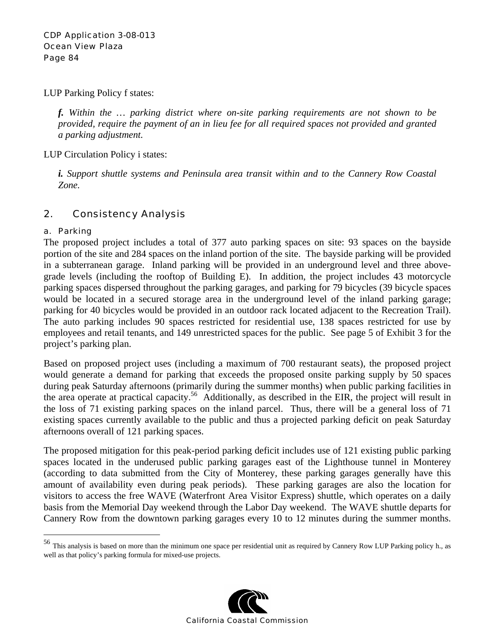LUP Parking Policy f states:

*f. Within the … parking district where on-site parking requirements are not shown to be provided, require the payment of an in lieu fee for all required spaces not provided and granted a parking adjustment.* 

LUP Circulation Policy i states:

*i. Support shuttle systems and Peninsula area transit within and to the Cannery Row Coastal Zone.* 

# 2. Consistency Analysis

#### a. Parking

1

The proposed project includes a total of 377 auto parking spaces on site: 93 spaces on the bayside portion of the site and 284 spaces on the inland portion of the site. The bayside parking will be provided in a subterranean garage. Inland parking will be provided in an underground level and three abovegrade levels (including the rooftop of Building E). In addition, the project includes 43 motorcycle parking spaces dispersed throughout the parking garages, and parking for 79 bicycles (39 bicycle spaces would be located in a secured storage area in the underground level of the inland parking garage; parking for 40 bicycles would be provided in an outdoor rack located adjacent to the Recreation Trail). The auto parking includes 90 spaces restricted for residential use, 138 spaces restricted for use by employees and retail tenants, and 149 unrestricted spaces for the public. See page 5 of Exhibit 3 for the project's parking plan.

Based on proposed project uses (including a maximum of 700 restaurant seats), the proposed project would generate a demand for parking that exceeds the proposed onsite parking supply by 50 spaces during peak Saturday afternoons (primarily during the summer months) when public parking facilities in the area operate at practical capacity.<sup>56</sup> Additionally, as described in the EIR, the project will result in the loss of 71 existing parking spaces on the inland parcel. Thus, there will be a general loss of 71 existing spaces currently available to the public and thus a projected parking deficit on peak Saturday afternoons overall of 121 parking spaces.

The proposed mitigation for this peak-period parking deficit includes use of 121 existing public parking spaces located in the underused public parking garages east of the Lighthouse tunnel in Monterey (according to data submitted from the City of Monterey, these parking garages generally have this amount of availability even during peak periods). These parking garages are also the location for visitors to access the free WAVE (Waterfront Area Visitor Express) shuttle, which operates on a daily basis from the Memorial Day weekend through the Labor Day weekend. The WAVE shuttle departs for Cannery Row from the downtown parking garages every 10 to 12 minutes during the summer months.

<sup>56</sup> This analysis is based on more than the minimum one space per residential unit as required by Cannery Row LUP Parking policy h., as well as that policy's parking formula for mixed-use projects.

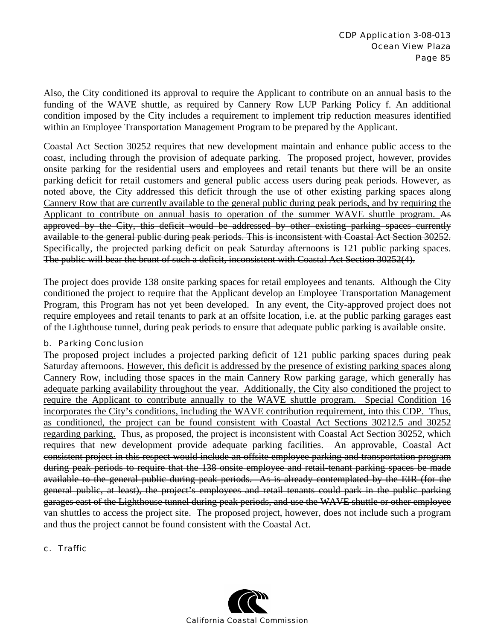Also, the City conditioned its approval to require the Applicant to contribute on an annual basis to the funding of the WAVE shuttle, as required by Cannery Row LUP Parking Policy f. An additional condition imposed by the City includes a requirement to implement trip reduction measures identified within an Employee Transportation Management Program to be prepared by the Applicant.

Coastal Act Section 30252 requires that new development maintain and enhance public access to the coast, including through the provision of adequate parking. The proposed project, however, provides onsite parking for the residential users and employees and retail tenants but there will be an onsite parking deficit for retail customers and general public access users during peak periods. However, as noted above, the City addressed this deficit through the use of other existing parking spaces along Cannery Row that are currently available to the general public during peak periods, and by requiring the Applicant to contribute on annual basis to operation of the summer WAVE shuttle program. As approved by the City, this deficit would be addressed by other existing parking spaces currently available to the general public during peak periods. This is inconsistent with Coastal Act Section 30252. Specifically, the projected parking deficit on peak Saturday afternoons is 121 public parking spaces. The public will bear the brunt of such a deficit, inconsistent with Coastal Act Section 30252(4).

The project does provide 138 onsite parking spaces for retail employees and tenants. Although the City conditioned the project to require that the Applicant develop an Employee Transportation Management Program, this Program has not yet been developed. In any event, the City-approved project does not require employees and retail tenants to park at an offsite location, i.e. at the public parking garages east of the Lighthouse tunnel, during peak periods to ensure that adequate public parking is available onsite.

#### b. Parking Conclusion

The proposed project includes a projected parking deficit of 121 public parking spaces during peak Saturday afternoons. However, this deficit is addressed by the presence of existing parking spaces along Cannery Row, including those spaces in the main Cannery Row parking garage, which generally has adequate parking availability throughout the year. Additionally, the City also conditioned the project to require the Applicant to contribute annually to the WAVE shuttle program. Special Condition 16 incorporates the City's conditions, including the WAVE contribution requirement, into this CDP. Thus, as conditioned, the project can be found consistent with Coastal Act Sections 30212.5 and 30252 regarding parking. Thus, as proposed, the project is inconsistent with Coastal Act Section 30252, which requires that new development provide adequate parking facilities. An approvable, Coastal Act consistent project in this respect would include an offsite employee parking and transportation program during peak periods to require that the 138 onsite employee and retail tenant parking spaces be made available to the general public during peak periods. As is already contemplated by the EIR (for the general public, at least), the project's employees and retail tenants could park in the public parking garages east of the Lighthouse tunnel during peak periods, and use the WAVE shuttle or other employee van shuttles to access the project site. The proposed project, however, does not include such a program and thus the project cannot be found consistent with the Coastal Act.

c. Traffic

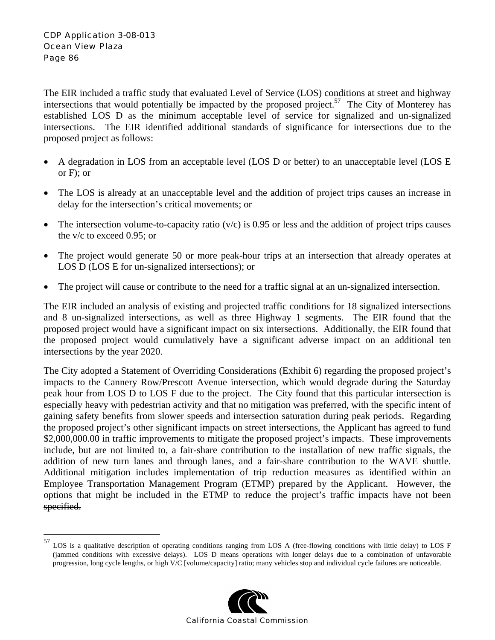1

The EIR included a traffic study that evaluated Level of Service (LOS) conditions at street and highway intersections that would potentially be impacted by the proposed project.<sup>57</sup> The City of Monterey has established LOS D as the minimum acceptable level of service for signalized and un-signalized intersections. The EIR identified additional standards of significance for intersections due to the proposed project as follows:

- A degradation in LOS from an acceptable level (LOS D or better) to an unacceptable level (LOS E or F); or
- The LOS is already at an unacceptable level and the addition of project trips causes an increase in delay for the intersection's critical movements; or
- The intersection volume-to-capacity ratio  $(v/c)$  is 0.95 or less and the addition of project trips causes the v/c to exceed 0.95; or
- The project would generate 50 or more peak-hour trips at an intersection that already operates at LOS D (LOS E for un-signalized intersections); or
- The project will cause or contribute to the need for a traffic signal at an un-signalized intersection.

The EIR included an analysis of existing and projected traffic conditions for 18 signalized intersections and 8 un-signalized intersections, as well as three Highway 1 segments. The EIR found that the proposed project would have a significant impact on six intersections. Additionally, the EIR found that the proposed project would cumulatively have a significant adverse impact on an additional ten intersections by the year 2020.

The City adopted a Statement of Overriding Considerations (Exhibit 6) regarding the proposed project's impacts to the Cannery Row/Prescott Avenue intersection, which would degrade during the Saturday peak hour from LOS D to LOS F due to the project. The City found that this particular intersection is especially heavy with pedestrian activity and that no mitigation was preferred, with the specific intent of gaining safety benefits from slower speeds and intersection saturation during peak periods. Regarding the proposed project's other significant impacts on street intersections, the Applicant has agreed to fund \$2,000,000.00 in traffic improvements to mitigate the proposed project's impacts. These improvements include, but are not limited to, a fair-share contribution to the installation of new traffic signals, the addition of new turn lanes and through lanes, and a fair-share contribution to the WAVE shuttle. Additional mitigation includes implementation of trip reduction measures as identified within an Employee Transportation Management Program (ETMP) prepared by the Applicant. However, the options that might be included in the ETMP to reduce the project's traffic impacts have not been specified.

 $57$  LOS is a qualitative description of operating conditions ranging from LOS A (free-flowing conditions with little delay) to LOS F (jammed conditions with excessive delays). LOS D means operations with longer delays due to a combination of unfavorable progression, long cycle lengths, or high V/C [volume/capacity] ratio; many vehicles stop and individual cycle failures are noticeable.

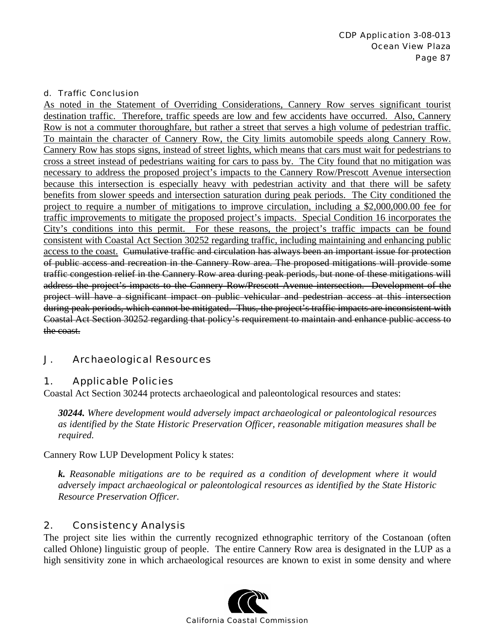#### d. Traffic Conclusion

As noted in the Statement of Overriding Considerations, Cannery Row serves significant tourist destination traffic. Therefore, traffic speeds are low and few accidents have occurred. Also, Cannery Row is not a commuter thoroughfare, but rather a street that serves a high volume of pedestrian traffic. To maintain the character of Cannery Row, the City limits automobile speeds along Cannery Row. Cannery Row has stops signs, instead of street lights, which means that cars must wait for pedestrians to cross a street instead of pedestrians waiting for cars to pass by. The City found that no mitigation was necessary to address the proposed project's impacts to the Cannery Row/Prescott Avenue intersection because this intersection is especially heavy with pedestrian activity and that there will be safety benefits from slower speeds and intersection saturation during peak periods. The City conditioned the project to require a number of mitigations to improve circulation, including a \$2,000,000.00 fee for traffic improvements to mitigate the proposed project's impacts. Special Condition 16 incorporates the City's conditions into this permit. For these reasons, the project's traffic impacts can be found consistent with Coastal Act Section 30252 regarding traffic, including maintaining and enhancing public access to the coast. Cumulative traffic and circulation has always been an important issue for protection of public access and recreation in the Cannery Row area. The proposed mitigations will provide some traffic congestion relief in the Cannery Row area during peak periods, but none of these mitigations will address the project's impacts to the Cannery Row/Prescott Avenue intersection. Development of the project will have a significant impact on public vehicular and pedestrian access at this intersection during peak periods, which cannot be mitigated. Thus, the project's traffic impacts are inconsistent with Coastal Act Section 30252 regarding that policy's requirement to maintain and enhance public access to the coast.

# J. Archaeological Resources

# 1. Applicable Policies

Coastal Act Section 30244 protects archaeological and paleontological resources and states:

*30244. Where development would adversely impact archaeological or paleontological resources as identified by the State Historic Preservation Officer, reasonable mitigation measures shall be required.* 

Cannery Row LUP Development Policy k states:

*k. Reasonable mitigations are to be required as a condition of development where it would adversely impact archaeological or paleontological resources as identified by the State Historic Resource Preservation Officer.* 

## 2. Consistency Analysis

The project site lies within the currently recognized ethnographic territory of the Costanoan (often called Ohlone) linguistic group of people. The entire Cannery Row area is designated in the LUP as a high sensitivity zone in which archaeological resources are known to exist in some density and where

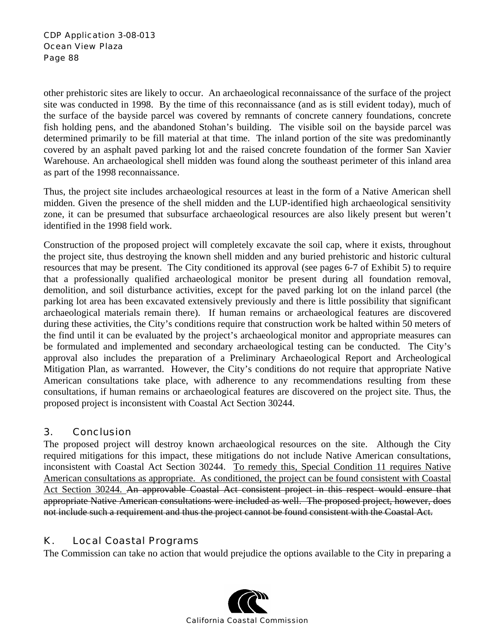#### CDP Application 3-08-013 Ocean View Plaza Page 88

other prehistoric sites are likely to occur. An archaeological reconnaissance of the surface of the project site was conducted in 1998. By the time of this reconnaissance (and as is still evident today), much of the surface of the bayside parcel was covered by remnants of concrete cannery foundations, concrete fish holding pens, and the abandoned Stohan's building. The visible soil on the bayside parcel was determined primarily to be fill material at that time. The inland portion of the site was predominantly covered by an asphalt paved parking lot and the raised concrete foundation of the former San Xavier Warehouse. An archaeological shell midden was found along the southeast perimeter of this inland area as part of the 1998 reconnaissance.

Thus, the project site includes archaeological resources at least in the form of a Native American shell midden. Given the presence of the shell midden and the LUP-identified high archaeological sensitivity zone, it can be presumed that subsurface archaeological resources are also likely present but weren't identified in the 1998 field work.

Construction of the proposed project will completely excavate the soil cap, where it exists, throughout the project site, thus destroying the known shell midden and any buried prehistoric and historic cultural resources that may be present. The City conditioned its approval (see pages 6-7 of Exhibit 5) to require that a professionally qualified archaeological monitor be present during all foundation removal, demolition, and soil disturbance activities, except for the paved parking lot on the inland parcel (the parking lot area has been excavated extensively previously and there is little possibility that significant archaeological materials remain there). If human remains or archaeological features are discovered during these activities, the City's conditions require that construction work be halted within 50 meters of the find until it can be evaluated by the project's archaeological monitor and appropriate measures can be formulated and implemented and secondary archaeological testing can be conducted. The City's approval also includes the preparation of a Preliminary Archaeological Report and Archeological Mitigation Plan, as warranted. However, the City's conditions do not require that appropriate Native American consultations take place, with adherence to any recommendations resulting from these consultations, if human remains or archaeological features are discovered on the project site. Thus, the proposed project is inconsistent with Coastal Act Section 30244.

# 3. Conclusion

The proposed project will destroy known archaeological resources on the site. Although the City required mitigations for this impact, these mitigations do not include Native American consultations, inconsistent with Coastal Act Section 30244. To remedy this, Special Condition 11 requires Native American consultations as appropriate. As conditioned, the project can be found consistent with Coastal Act Section 30244. An approvable Coastal Act consistent project in this respect would ensure that appropriate Native American consultations were included as well. The proposed project, however, does not include such a requirement and thus the project cannot be found consistent with the Coastal Act.

# K. Local Coastal Programs

The Commission can take no action that would prejudice the options available to the City in preparing a

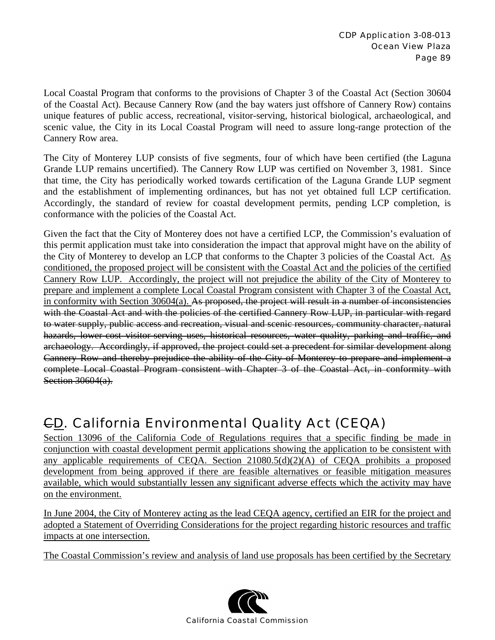Local Coastal Program that conforms to the provisions of Chapter 3 of the Coastal Act (Section 30604 of the Coastal Act). Because Cannery Row (and the bay waters just offshore of Cannery Row) contains unique features of public access, recreational, visitor-serving, historical biological, archaeological, and scenic value, the City in its Local Coastal Program will need to assure long-range protection of the Cannery Row area.

The City of Monterey LUP consists of five segments, four of which have been certified (the Laguna Grande LUP remains uncertified). The Cannery Row LUP was certified on November 3, 1981. Since that time, the City has periodically worked towards certification of the Laguna Grande LUP segment and the establishment of implementing ordinances, but has not yet obtained full LCP certification. Accordingly, the standard of review for coastal development permits, pending LCP completion, is conformance with the policies of the Coastal Act.

Given the fact that the City of Monterey does not have a certified LCP, the Commission's evaluation of this permit application must take into consideration the impact that approval might have on the ability of the City of Monterey to develop an LCP that conforms to the Chapter 3 policies of the Coastal Act. As conditioned, the proposed project will be consistent with the Coastal Act and the policies of the certified Cannery Row LUP. Accordingly, the project will not prejudice the ability of the City of Monterey to prepare and implement a complete Local Coastal Program consistent with Chapter 3 of the Coastal Act, in conformity with Section 30604(a). As proposed, the project will result in a number of inconsistencies with the Coastal Act and with the policies of the certified Cannery Row LUP, in particular with regard to water supply, public access and recreation, visual and scenic resources, community character, natural hazards, lower-cost visitor-serving uses, historical resources, water quality, parking and traffic, and archaeology. Accordingly, if approved, the project could set a precedent for similar development along Cannery Row and thereby prejudice the ability of the City of Monterey to prepare and implement a complete Local Coastal Program consistent with Chapter 3 of the Coastal Act, in conformity with Section 30604(a).

# CD. California Environmental Quality Act (CEQA)

Section 13096 of the California Code of Regulations requires that a specific finding be made in conjunction with coastal development permit applications showing the application to be consistent with any applicable requirements of CEQA. Section 21080.5(d)(2)(A) of CEQA prohibits a proposed development from being approved if there are feasible alternatives or feasible mitigation measures available, which would substantially lessen any significant adverse effects which the activity may have on the environment.

In June 2004, the City of Monterey acting as the lead CEQA agency, certified an EIR for the project and adopted a Statement of Overriding Considerations for the project regarding historic resources and traffic impacts at one intersection.

The Coastal Commission's review and analysis of land use proposals has been certified by the Secretary

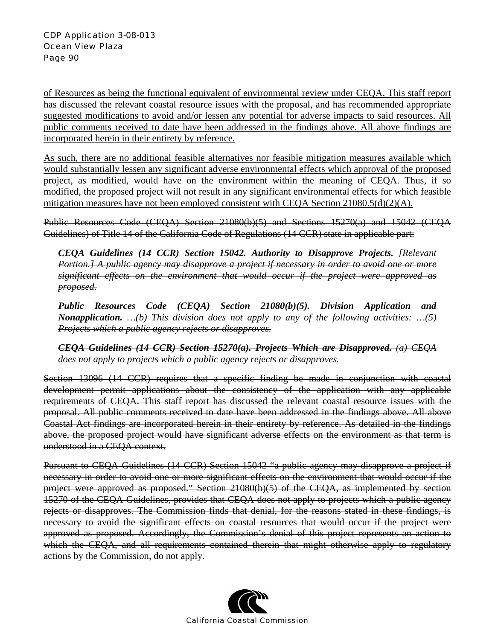of Resources as being the functional equivalent of environmental review under CEQA. This staff report has discussed the relevant coastal resource issues with the proposal, and has recommended appropriate suggested modifications to avoid and/or lessen any potential for adverse impacts to said resources. All public comments received to date have been addressed in the findings above. All above findings are incorporated herein in their entirety by reference.

As such, there are no additional feasible alternatives nor feasible mitigation measures available which would substantially lessen any significant adverse environmental effects which approval of the proposed project, as modified, would have on the environment within the meaning of CEQA. Thus, if so modified, the proposed project will not result in any significant environmental effects for which feasible mitigation measures have not been employed consistent with CEQA Section 21080.5(d)(2)(A).

Public Resources Code (CEQA) Section 21080(b)(5) and Sections 15270(a) and 15042 (CEQA Guidelines) of Title 14 of the California Code of Regulations (14 CCR) state in applicable part:

*CEQA Guidelines (14 CCR) Section 15042. Authority to Disapprove Projects. [Relevant Portion.] A public agency may disapprove a project if necessary in order to avoid one or more significant effects on the environment that would occur if the project were approved as proposed.*

*Public Resources Code (CEQA) Section 21080(b)(5). Division Application and Nonapplication. …(b) This division does not apply to any of the following activities: …(5) Projects which a public agency rejects or disapproves.*

*CEQA Guidelines (14 CCR) Section 15270(a). Projects Which are Disapproved. (a) CEQA does not apply to projects which a public agency rejects or disapproves.*

Section 13096 (14 CCR) requires that a specific finding be made in conjunction with coastal development permit applications about the consistency of the application with any applicable requirements of CEQA. This staff report has discussed the relevant coastal resource issues with the proposal. All public comments received to date have been addressed in the findings above. All above Coastal Act findings are incorporated herein in their entirety by reference. As detailed in the findings above, the proposed project would have significant adverse effects on the environment as that term is understood in a CEQA context.

Pursuant to CEQA Guidelines (14 CCR) Section 15042 "a public agency may disapprove a project if necessary in order to avoid one or more significant effects on the environment that would occur if the project were approved as proposed." Section 21080(b)(5) of the CEQA, as implemented by section 15270 of the CEQA Guidelines, provides that CEQA does not apply to projects which a public agency rejects or disapproves. The Commission finds that denial, for the reasons stated in these findings, is necessary to avoid the significant effects on coastal resources that would occur if the project were approved as proposed. Accordingly, the Commission's denial of this project represents an action to which the CEQA, and all requirements contained therein that might otherwise apply to regulatory actions by the Commission, do not apply.